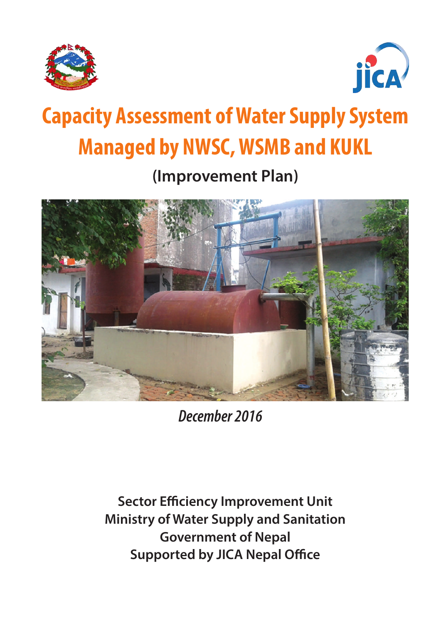



# **Capacity Assessment of Water Supply System Managed by NWSC, WSMB and KUKL**

**(Improvement Plan)**



*December 2016*

**Sector Efficiency Improvement Unit Ministry of Water Supply and Sanitation Government of Nepal Supported by JICA Nepal Office**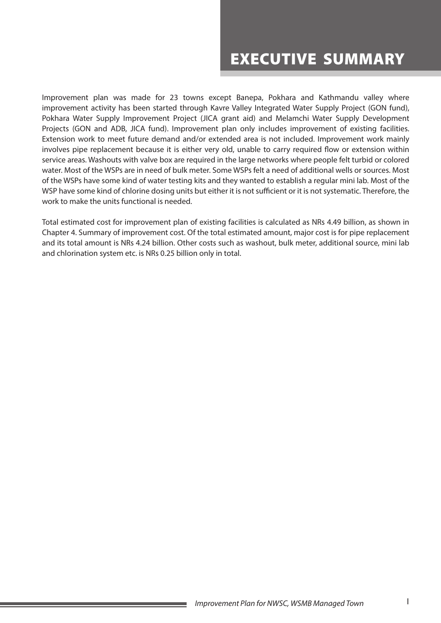# EXECUTIVE SUMMARY

Improvement plan was made for 23 towns except Banepa, Pokhara and Kathmandu valley where improvement activity has been started through Kavre Valley Integrated Water Supply Project (GON fund), Pokhara Water Supply Improvement Project (JICA grant aid) and Melamchi Water Supply Development Projects (GON and ADB, JICA fund). Improvement plan only includes improvement of existing facilities. Extension work to meet future demand and/or extended area is not included. Improvement work mainly involves pipe replacement because it is either very old, unable to carry required flow or extension within service areas. Washouts with valve box are required in the large networks where people felt turbid or colored water. Most of the WSPs are in need of bulk meter. Some WSPs felt a need of additional wells or sources. Most of the WSPs have some kind of water testing kits and they wanted to establish a regular mini lab. Most of the WSP have some kind of chlorine dosing units but either it is not sufficient or it is not systematic. Therefore, the work to make the units functional is needed.

Total estimated cost for improvement plan of existing facilities is calculated as NRs 4.49 billion, as shown in Chapter 4. Summary of improvement cost. Of the total estimated amount, major cost is for pipe replacement and its total amount is NRs 4.24 billion. Other costs such as washout, bulk meter, additional source, mini lab and chlorination system etc. is NRs 0.25 billion only in total.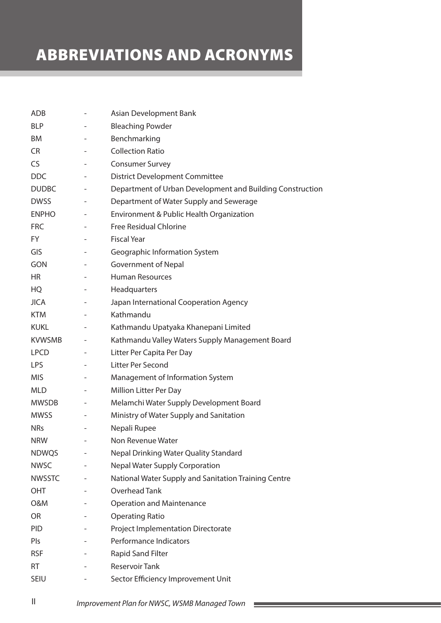# ABBREVIATIONS AND ACRONYMS

| <b>ADB</b>    |                          | Asian Development Bank                                    |
|---------------|--------------------------|-----------------------------------------------------------|
| <b>BLP</b>    |                          | <b>Bleaching Powder</b>                                   |
| BM            |                          | Benchmarking                                              |
| <b>CR</b>     | -                        | <b>Collection Ratio</b>                                   |
| CS            | -                        | <b>Consumer Survey</b>                                    |
| <b>DDC</b>    |                          | <b>District Development Committee</b>                     |
| <b>DUDBC</b>  | $\overline{\phantom{0}}$ | Department of Urban Development and Building Construction |
| <b>DWSS</b>   |                          | Department of Water Supply and Sewerage                   |
| <b>ENPHO</b>  |                          | Environment & Public Health Organization                  |
| <b>FRC</b>    |                          | <b>Free Residual Chlorine</b>                             |
| FY.           | -                        | <b>Fiscal Year</b>                                        |
| GIS           |                          | Geographic Information System                             |
| <b>GON</b>    |                          | <b>Government of Nepal</b>                                |
| <b>HR</b>     |                          | <b>Human Resources</b>                                    |
| <b>HQ</b>     |                          | Headquarters                                              |
| <b>JICA</b>   | -                        | Japan International Cooperation Agency                    |
| <b>KTM</b>    | -                        | Kathmandu                                                 |
| <b>KUKL</b>   | -                        | Kathmandu Upatyaka Khanepani Limited                      |
| <b>KVWSMB</b> | -                        | Kathmandu Valley Waters Supply Management Board           |
| <b>LPCD</b>   |                          | Litter Per Capita Per Day                                 |
| <b>LPS</b>    |                          | Litter Per Second                                         |
| MIS.          | -                        | Management of Information System                          |
| <b>MLD</b>    | -                        | <b>Million Litter Per Day</b>                             |
| <b>MWSDB</b>  | -                        | Melamchi Water Supply Development Board                   |
| <b>MWSS</b>   | -                        | Ministry of Water Supply and Sanitation                   |
| <b>NRs</b>    |                          | Nepali Rupee                                              |
| <b>NRW</b>    |                          | Non Revenue Water                                         |
| <b>NDWQS</b>  |                          | Nepal Drinking Water Quality Standard                     |
| <b>NWSC</b>   |                          | <b>Nepal Water Supply Corporation</b>                     |
| <b>NWSSTC</b> |                          | National Water Supply and Sanitation Training Centre      |
| OHT           |                          | Overhead Tank                                             |
| O&M           |                          | <b>Operation and Maintenance</b>                          |
| OR            |                          | <b>Operating Ratio</b>                                    |
| <b>PID</b>    |                          | <b>Project Implementation Directorate</b>                 |
| Pls           |                          | Performance Indicators                                    |
| <b>RSF</b>    |                          | <b>Rapid Sand Filter</b>                                  |
| RT            |                          | <b>Reservoir Tank</b>                                     |
| SEIU          |                          | Sector Efficiency Improvement Unit                        |

II *Improvement Plan for NWSC, WSMB Managed Town*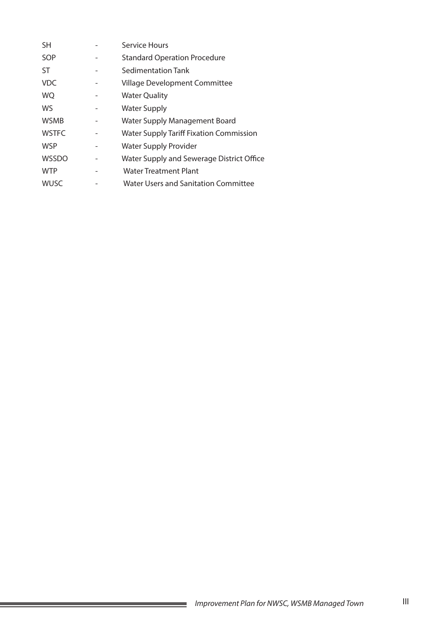| <b>SH</b>    | Service Hours                                  |
|--------------|------------------------------------------------|
| SOP          | <b>Standard Operation Procedure</b>            |
| <b>ST</b>    | Sedimentation Tank                             |
| <b>VDC</b>   | Village Development Committee                  |
| <b>WQ</b>    | <b>Water Quality</b>                           |
| WS           | <b>Water Supply</b>                            |
| <b>WSMB</b>  | Water Supply Management Board                  |
| <b>WSTFC</b> | <b>Water Supply Tariff Fixation Commission</b> |
| <b>WSP</b>   | <b>Water Supply Provider</b>                   |
| <b>WSSDO</b> | Water Supply and Sewerage District Office      |
| <b>WTP</b>   | <b>Water Treatment Plant</b>                   |
| <b>WUSC</b>  | Water Users and Sanitation Committee           |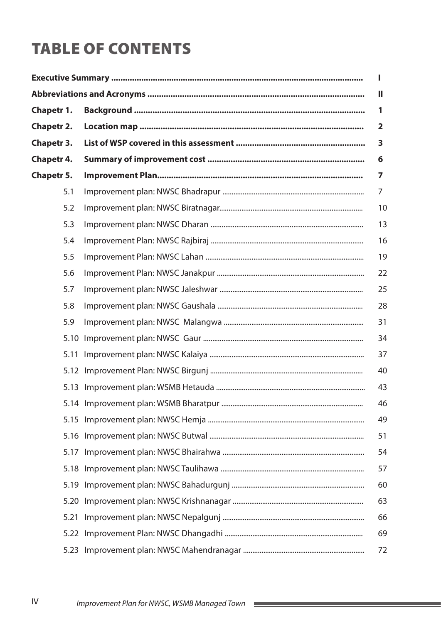# **TABLE OF CONTENTS**

|                   | Ш              |
|-------------------|----------------|
| Chapetr 1.        | 1              |
| <b>Chapetr 2.</b> | $\mathbf{2}$   |
| <b>Chapetr 3.</b> | 3              |
| <b>Chapetr 4.</b> | 6              |
| <b>Chapetr 5.</b> | 7              |
| 5.1               | $\overline{7}$ |
| 5.2               | 10             |
| 5.3               | 13             |
| 5.4               | 16             |
| 5.5               | 19             |
| 5.6               | 22             |
| 5.7               | 25             |
| 5.8               | 28             |
| 5.9               | 31             |
| 5.10              | 34             |
| 5.11              | 37             |
|                   | 40             |
|                   | 43             |
|                   | 46             |
| 5.15              | 49             |
| 5.16              | 51             |
| 5.17              | 54             |
|                   | 57             |
| 5.19              | 60             |
| 5.20              | 63             |
| 5.21              | 66             |
| 5.22              | 69             |
| 5.23              | 72             |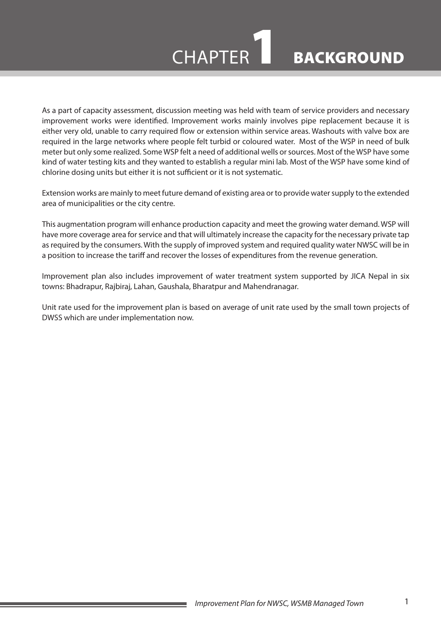

# CHAPTER BACKGROUND

As a part of capacity assessment, discussion meeting was held with team of service providers and necessary improvement works were identified. Improvement works mainly involves pipe replacement because it is either very old, unable to carry required flow or extension within service areas. Washouts with valve box are required in the large networks where people felt turbid or coloured water. Most of the WSP in need of bulk meter but only some realized. Some WSP felt a need of additional wells or sources. Most of the WSP have some kind of water testing kits and they wanted to establish a regular mini lab. Most of the WSP have some kind of chlorine dosing units but either it is not sufficient or it is not systematic.

Extension works are mainly to meet future demand of existing area or to provide water supply to the extended area of municipalities or the city centre.

This augmentation program will enhance production capacity and meet the growing water demand. WSP will have more coverage area for service and that will ultimately increase the capacity for the necessary private tap as required by the consumers. With the supply of improved system and required quality water NWSC will be in a position to increase the tariff and recover the losses of expenditures from the revenue generation.

Improvement plan also includes improvement of water treatment system supported by JICA Nepal in six towns: Bhadrapur, Rajbiraj, Lahan, Gaushala, Bharatpur and Mahendranagar.

Unit rate used for the improvement plan is based on average of unit rate used by the small town projects of DWSS which are under implementation now.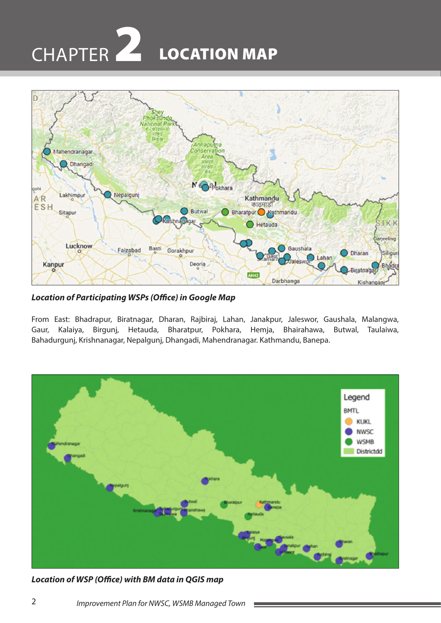# LOCATION MAP CHAPTER 2



*Location of Participating WSPs (Office) in Google Map*

From East: Bhadrapur, Biratnagar, Dharan, Rajbiraj, Lahan, Janakpur, Jaleswor, Gaushala, Malangwa, Gaur, Kalaiya, Birgunj, Hetauda, Bharatpur, Pokhara, Hemja, Bhairahawa, Butwal, Taulaiwa, Bahadurgunj, Krishnanagar, Nepalgunj, Dhangadi, Mahendranagar. Kathmandu, Banepa.



*Location of WSP (Office) with BM data in QGIS map*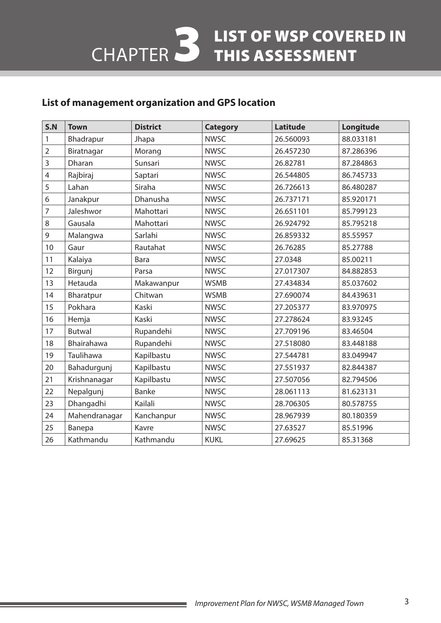# 3 LIST OF WSP COVERED IN<br>3 THIS ASSESSMENT CHAPTER

#### **List of management organization and GPS location**

| S.N            | <b>Town</b>       | <b>District</b> | <b>Category</b> | <b>Latitude</b> | Longitude |
|----------------|-------------------|-----------------|-----------------|-----------------|-----------|
| 1              | Bhadrapur         | Jhapa           | <b>NWSC</b>     | 26.560093       | 88.033181 |
| $\overline{2}$ | Biratnagar        | Morang          | <b>NWSC</b>     | 26.457230       | 87.286396 |
| 3              | Dharan            | Sunsari         | <b>NWSC</b>     | 26.82781        | 87.284863 |
| 4              | Rajbiraj          | Saptari         | <b>NWSC</b>     | 26.544805       | 86.745733 |
| 5              | Lahan             | Siraha          | <b>NWSC</b>     | 26.726613       | 86.480287 |
| 6              | Janakpur          | Dhanusha        | <b>NWSC</b>     | 26.737171       | 85.920171 |
| 7              | Jaleshwor         | Mahottari       | <b>NWSC</b>     | 26.651101       | 85.799123 |
| 8              | Gausala           | Mahottari       | <b>NWSC</b>     | 26.924792       | 85.795218 |
| 9              | Malangwa          | Sarlahi         | <b>NWSC</b>     | 26.859332       | 85.55957  |
| 10             | Gaur              | Rautahat        | <b>NWSC</b>     | 26.76285        | 85.27788  |
| 11             | Kalaiya           | <b>Bara</b>     | <b>NWSC</b>     | 27.0348         | 85.00211  |
| 12             | Birgunj           | Parsa           | <b>NWSC</b>     | 27.017307       | 84.882853 |
| 13             | Hetauda           | Makawanpur      | <b>WSMB</b>     | 27.434834       | 85.037602 |
| 14             | Bharatpur         | Chitwan         | <b>WSMB</b>     | 27.690074       | 84.439631 |
| 15             | Pokhara           | Kaski           | <b>NWSC</b>     | 27.205377       | 83.970975 |
| 16             | Hemja             | Kaski           | <b>NWSC</b>     | 27.278624       | 83.93245  |
| 17             | <b>Butwal</b>     | Rupandehi       | <b>NWSC</b>     | 27.709196       | 83.46504  |
| 18             | <b>Bhairahawa</b> | Rupandehi       | <b>NWSC</b>     | 27.518080       | 83.448188 |
| 19             | Taulihawa         | Kapilbastu      | <b>NWSC</b>     | 27.544781       | 83.049947 |
| 20             | Bahadurgunj       | Kapilbastu      | <b>NWSC</b>     | 27.551937       | 82.844387 |
| 21             | Krishnanagar      | Kapilbastu      | <b>NWSC</b>     | 27.507056       | 82.794506 |
| 22             | Nepalgunj         | <b>Banke</b>    | <b>NWSC</b>     | 28.061113       | 81.623131 |
| 23             | Dhangadhi         | Kailali         | <b>NWSC</b>     | 28.706305       | 80.578755 |
| 24             | Mahendranagar     | Kanchanpur      | <b>NWSC</b>     | 28.967939       | 80.180359 |
| 25             | Banepa            | Kavre           | <b>NWSC</b>     | 27.63527        | 85.51996  |
| 26             | Kathmandu         | Kathmandu       | <b>KUKL</b>     | 27.69625        | 85.31368  |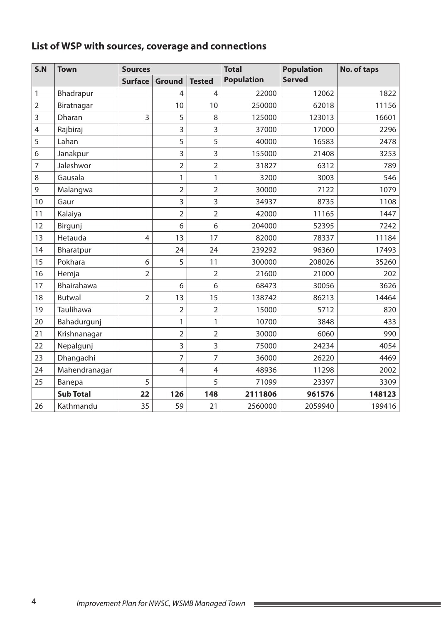# **List of WSP with sources, coverage and connections**

| S.N            | <b>Town</b>      | <b>Sources</b> |                |                | <b>Total</b>      | <b>Population</b> | No. of taps |
|----------------|------------------|----------------|----------------|----------------|-------------------|-------------------|-------------|
|                |                  | <b>Surface</b> | <b>Ground</b>  | <b>Tested</b>  | <b>Population</b> | <b>Served</b>     |             |
| 1              | Bhadrapur        |                | 4              | 4              | 22000             | 12062             | 1822        |
| $\overline{2}$ | Biratnagar       |                | 10             | 10             | 250000            | 62018             | 11156       |
| 3              | Dharan           | 3              | 5              | 8              | 125000            | 123013            | 16601       |
| $\overline{4}$ | Rajbiraj         |                | 3              | 3              | 37000             | 17000             | 2296        |
| 5              | Lahan            |                | 5              | 5              | 40000             | 16583             | 2478        |
| 6              | Janakpur         |                | 3              | 3              | 155000            | 21408             | 3253        |
| $\overline{7}$ | Jaleshwor        |                | $\overline{2}$ | $\overline{2}$ | 31827             | 6312              | 789         |
| 8              | Gausala          |                | 1              | 1              | 3200              | 3003              | 546         |
| 9              | Malangwa         |                | $\overline{2}$ | $\overline{2}$ | 30000             | 7122              | 1079        |
| 10             | Gaur             |                | 3              | 3              | 34937             | 8735              | 1108        |
| 11             | Kalaiya          |                | $\overline{2}$ | $\overline{2}$ | 42000             | 11165             | 1447        |
| 12             | Birgunj          |                | 6              | 6              | 204000            | 52395             | 7242        |
| 13             | Hetauda          | $\overline{4}$ | 13             | 17             | 82000             | 78337             | 11184       |
| 14             | Bharatpur        |                | 24             | 24             | 239292            | 96360             | 17493       |
| 15             | Pokhara          | 6              | 5              | 11             | 300000            | 208026            | 35260       |
| 16             | Hemja            | $\overline{2}$ |                | $\overline{2}$ | 21600             | 21000             | 202         |
| 17             | Bhairahawa       |                | 6              | 6              | 68473             | 30056             | 3626        |
| 18             | <b>Butwal</b>    | $\overline{2}$ | 13             | 15             | 138742            | 86213             | 14464       |
| 19             | Taulihawa        |                | $\overline{2}$ | $\overline{2}$ | 15000             | 5712              | 820         |
| 20             | Bahadurgunj      |                | 1              | 1              | 10700             | 3848              | 433         |
| 21             | Krishnanagar     |                | $\overline{2}$ | $\overline{2}$ | 30000             | 6060              | 990         |
| 22             | Nepalgunj        |                | 3              | 3              | 75000             | 24234             | 4054        |
| 23             | Dhangadhi        |                | 7              | 7              | 36000             | 26220             | 4469        |
| 24             | Mahendranagar    |                | $\overline{4}$ | 4              | 48936             | 11298             | 2002        |
| 25             | Banepa           | 5              |                | 5              | 71099             | 23397             | 3309        |
|                | <b>Sub Total</b> | 22             | 126            | 148            | 2111806           | 961576            | 148123      |
| 26             | Kathmandu        | 35             | 59             | 21             | 2560000           | 2059940           | 199416      |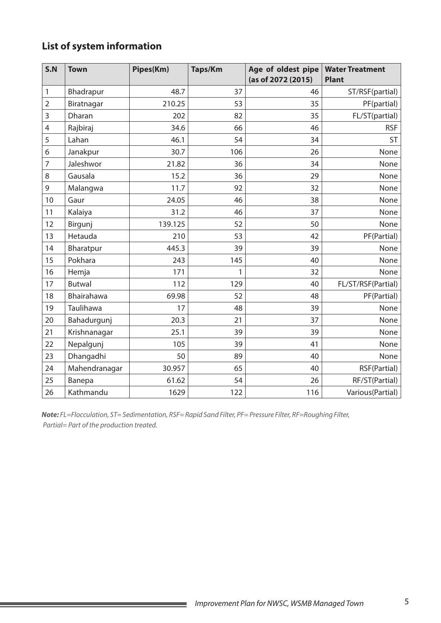# **List of system information**

| S.N            | <b>Town</b>   | Pipes(Km) | <b>Taps/Km</b> | Age of oldest pipe<br>(as of 2072 (2015) | <b>Water Treatment</b><br><b>Plant</b> |
|----------------|---------------|-----------|----------------|------------------------------------------|----------------------------------------|
| 1              | Bhadrapur     | 48.7      | 37             | 46                                       | ST/RSF(partial)                        |
| $\overline{2}$ | Biratnagar    | 210.25    | 53             | 35                                       | PF(partial)                            |
| 3              | Dharan        | 202       | 82             | 35                                       | FL/ST(partial)                         |
| 4              | Rajbiraj      | 34.6      | 66             | 46                                       | <b>RSF</b>                             |
| 5              | Lahan         | 46.1      | 54             | 34                                       | <b>ST</b>                              |
| 6              | Janakpur      | 30.7      | 106            | 26                                       | None                                   |
| 7              | Jaleshwor     | 21.82     | 36             | 34                                       | None                                   |
| 8              | Gausala       | 15.2      | 36             | 29                                       | None                                   |
| 9              | Malangwa      | 11.7      | 92             | 32                                       | None                                   |
| 10             | Gaur          | 24.05     | 46             | 38                                       | None                                   |
| 11             | Kalaiya       | 31.2      | 46             | 37                                       | None                                   |
| 12             | Birgunj       | 139.125   | 52             | 50                                       | None                                   |
| 13             | Hetauda       | 210       | 53             | 42                                       | PF(Partial)                            |
| 14             | Bharatpur     | 445.3     | 39             | 39                                       | None                                   |
| 15             | Pokhara       | 243       | 145            | 40                                       | None                                   |
| 16             | Hemja         | 171       | 1              | 32                                       | None                                   |
| 17             | <b>Butwal</b> | 112       | 129            | 40                                       | FL/ST/RSF(Partial)                     |
| 18             | Bhairahawa    | 69.98     | 52             | 48                                       | PF(Partial)                            |
| 19             | Taulihawa     | 17        | 48             | 39                                       | None                                   |
| 20             | Bahadurgunj   | 20.3      | 21             | 37                                       | None                                   |
| 21             | Krishnanagar  | 25.1      | 39             | 39                                       | None                                   |
| 22             | Nepalgunj     | 105       | 39             | 41                                       | None                                   |
| 23             | Dhangadhi     | 50        | 89             | 40                                       | None                                   |
| 24             | Mahendranagar | 30.957    | 65             | 40                                       | RSF(Partial)                           |
| 25             | Banepa        | 61.62     | 54             | 26                                       | RF/ST(Partial)                         |
| 26             | Kathmandu     | 1629      | 122            | 116                                      | Various (Partial)                      |

*Note: FL=Flocculation, ST= Sedimentation, RSF= Rapid Sand Filter, PF= Pressure Filter, RF=Roughing Filter, Partial= Part of the production treated.*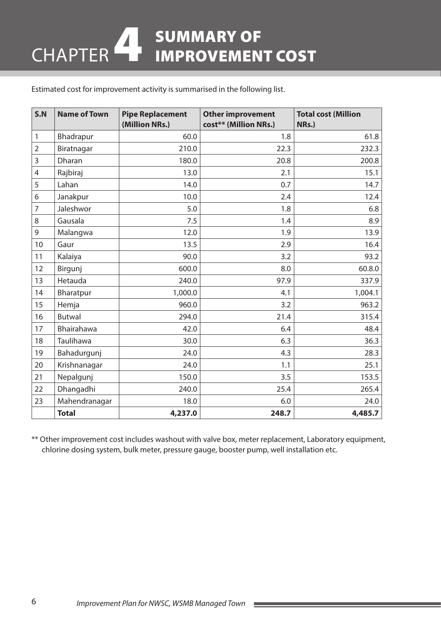# SUMMARY OF<br>IMPROVEMENT COST CHAPTER

Estimated cost for improvement activity is summarised in the following list.

| S.N            | <b>Name of Town</b> | <b>Pipe Replacement</b><br>(Million NRs.) | <b>Other improvement</b><br>cost** (Million NRs.) | <b>Total cost (Million</b><br>NRs.) |
|----------------|---------------------|-------------------------------------------|---------------------------------------------------|-------------------------------------|
| 1              | Bhadrapur           | 60.0                                      | 1.8                                               | 61.8                                |
| $\overline{2}$ | Biratnagar          | 210.0                                     | 22.3                                              | 232.3                               |
| 3              | Dharan              | 180.0                                     | 20.8                                              | 200.8                               |
| $\overline{4}$ | Rajbiraj            | 13.0                                      | 2.1                                               | 15.1                                |
| 5              | Lahan               | 14.0                                      | 0.7                                               | 14.7                                |
| 6              | Janakpur            | 10.0                                      | 2.4                                               | 12.4                                |
| $\overline{7}$ | Jaleshwor           | 5.0                                       | 1.8                                               | 6.8                                 |
| 8              | Gausala             | 7.5                                       | 1.4                                               | 8.9                                 |
| $\mathsf 9$    | Malangwa            | 12.0                                      | 1.9                                               | 13.9                                |
| 10             | Gaur                | 13.5                                      | 2.9                                               | 16.4                                |
| 11             | Kalaiya             | 90.0                                      | 3.2                                               | 93.2                                |
| 12             | Birgunj             | 600.0                                     | 8.0                                               | 60.8.0                              |
| 13             | Hetauda             | 240.0                                     | 97.9                                              | 337.9                               |
| 14             | Bharatpur           | 1,000.0                                   | 4.1                                               | 1,004.1                             |
| 15             | Hemja               | 960.0                                     | 3.2                                               | 963.2                               |
| 16             | <b>Butwal</b>       | 294.0                                     | 21.4                                              | 315.4                               |
| 17             | Bhairahawa          | 42.0                                      | 6.4                                               | 48.4                                |
| 18             | Taulihawa           | 30.0                                      | 6.3                                               | 36.3                                |
| 19             | Bahadurgunj         | 24.0                                      | 4.3                                               | 28.3                                |
| 20             | Krishnanagar        | 24.0                                      | 1.1                                               | 25.1                                |
| 21             | Nepalgunj           | 150.0                                     | 3.5                                               | 153.5                               |
| 22             | Dhangadhi           | 240.0                                     | 25.4                                              | 265.4                               |
| 23             | Mahendranagar       | 18.0                                      | 6.0                                               | 24.0                                |
|                | <b>Total</b>        | 4,237.0                                   | 248.7                                             | 4,485.7                             |

\*\* Other improvement cost includes washout with valve box, meter replacement, Laboratory equipment, chlorine dosing system, bulk meter, pressure gauge, booster pump, well installation etc.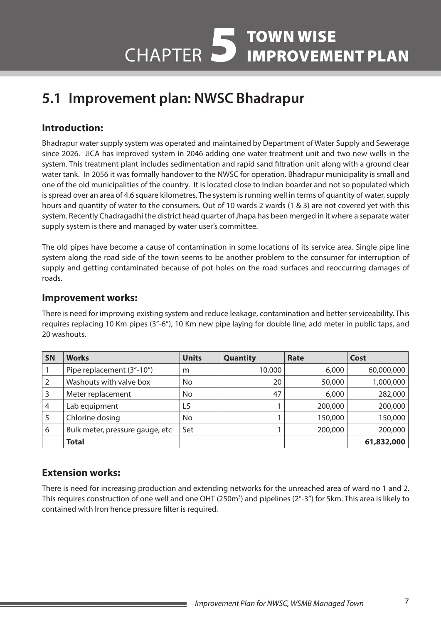# **5.1 Improvement plan: NWSC Bhadrapur**

## **Introduction:**

Bhadrapur water supply system was operated and maintained by Department of Water Supply and Sewerage since 2026. JICA has improved system in 2046 adding one water treatment unit and two new wells in the system. This treatment plant includes sedimentation and rapid sand filtration unit along with a ground clear water tank. In 2056 it was formally handover to the NWSC for operation. Bhadrapur municipality is small and one of the old municipalities of the country. It is located close to Indian boarder and not so populated which is spread over an area of 4.6 square kilometres. The system is running well in terms of quantity of water, supply hours and quantity of water to the consumers. Out of 10 wards 2 wards (1 & 3) are not covered yet with this system. Recently Chadragadhi the district head quarter of Jhapa has been merged in it where a separate water supply system is there and managed by water user's committee.

The old pipes have become a cause of contamination in some locations of its service area. Single pipe line system along the road side of the town seems to be another problem to the consumer for interruption of supply and getting contaminated because of pot holes on the road surfaces and reoccurring damages of roads.

#### **Improvement works:**

There is need for improving existing system and reduce leakage, contamination and better serviceability. This requires replacing 10 Km pipes (3"-6"), 10 Km new pipe laying for double line, add meter in public taps, and 20 washouts.

| <b>SN</b> | <b>Works</b>                    | <b>Units</b> | <b>Quantity</b> | Rate    | Cost       |
|-----------|---------------------------------|--------------|-----------------|---------|------------|
|           | Pipe replacement (3"-10")       | m            | 10,000          | 6,000   | 60,000,000 |
|           | Washouts with valve box         | No           | 20              | 50,000  | 1,000,000  |
| 3         | Meter replacement               | No           | 47              | 6,000   | 282,000    |
| 4         | Lab equipment                   | LS           |                 | 200,000 | 200,000    |
|           | Chlorine dosing                 | No           |                 | 150,000 | 150,000    |
| 6         | Bulk meter, pressure gauge, etc | Set          |                 | 200,000 | 200,000    |
|           | <b>Total</b>                    |              |                 |         | 61,832,000 |

#### **Extension works:**

There is need for increasing production and extending networks for the unreached area of ward no 1 and 2. This requires construction of one well and one OHT (250m<sup>3</sup>) and pipelines (2"-3") for 5km. This area is likely to contained with Iron hence pressure filter is required.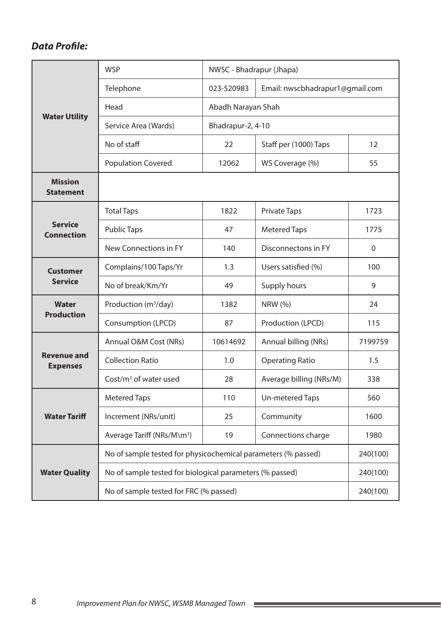|                                       | <b>WSP</b>                                                    | NWSC - Bhadrapur (Jhapa) |                                 |                   |  |
|---------------------------------------|---------------------------------------------------------------|--------------------------|---------------------------------|-------------------|--|
| <b>Water Utility</b>                  | Telephone                                                     | 023-520983               | Email: nwscbhadrapur1@gmail.com |                   |  |
|                                       | Head                                                          | Abadh Narayan Shah       |                                 |                   |  |
|                                       | Service Area (Wards)                                          | Bhadrapur-2, 4-10        |                                 |                   |  |
|                                       | No of staff                                                   | 22                       | Staff per (1000) Taps           | $12 \overline{ }$ |  |
|                                       | <b>Population Covered</b>                                     | 12062                    | WS Coverage (%)                 | 55                |  |
| <b>Mission</b><br><b>Statement</b>    |                                                               |                          |                                 |                   |  |
|                                       | <b>Total Taps</b>                                             | 1822                     | <b>Private Taps</b>             | 1723              |  |
| <b>Service</b><br><b>Connection</b>   | <b>Public Taps</b>                                            | 47                       | <b>Metered Taps</b>             | 1775              |  |
|                                       | New Connections in FY                                         | 140                      | Disconnectons in FY             | $\mathbf 0$       |  |
| <b>Customer</b>                       | Complains/100 Taps/Yr                                         | 1.3                      | Users satisfied (%)             | 100               |  |
| <b>Service</b>                        | No of break/Km/Yr                                             | 49                       | Supply hours                    | 9                 |  |
| <b>Water</b><br><b>Production</b>     | Production (m <sup>3</sup> /day)                              | 1382                     | <b>NRW (%)</b>                  | 24                |  |
|                                       | Consumption (LPCD)                                            | 87                       | Production (LPCD)               | 115               |  |
|                                       | Annual O&M Cost (NRs)                                         | 10614692                 | Annual billing (NRs)            | 7199759           |  |
| <b>Revenue and</b><br><b>Expenses</b> | <b>Collection Ratio</b>                                       | 1.0                      | <b>Operating Ratio</b>          | 1.5               |  |
|                                       | $Cost/m3$ of water used                                       | 28                       | Average billing (NRs/M)         | 338               |  |
|                                       | <b>Metered Taps</b>                                           | 110                      | Un-metered Taps                 | 560               |  |
| <b>Water Tariff</b>                   | Increment (NRs/unit)                                          | 25                       | Community                       | 1600              |  |
|                                       | Average Tariff (NRs/M\m <sup>3</sup> )                        | 19                       | Connections charge              | 1980              |  |
|                                       | No of sample tested for physicochemical parameters (% passed) |                          |                                 | 240(100)          |  |
| <b>Water Quality</b>                  | No of sample tested for biological parameters (% passed)      |                          |                                 | 240(100)          |  |
|                                       | No of sample tested for FRC (% passed)                        |                          | 240(100)                        |                   |  |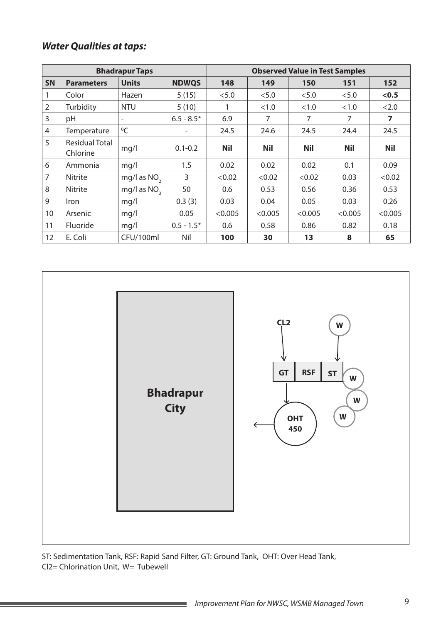| <b>Bhadrapur Taps</b> |                                   |                          |                          | <b>Observed Value in Test Samples</b> |            |                |            |            |
|-----------------------|-----------------------------------|--------------------------|--------------------------|---------------------------------------|------------|----------------|------------|------------|
| <b>SN</b>             | <b>Parameters</b>                 | <b>Units</b>             | <b>NDWQS</b>             | 148                                   | 149        | 150            | 151        | 152        |
|                       | Color                             | Hazen                    | 5(15)                    | < 5.0                                 | < 5.0      | < 5.0          | < 5.0      | < 0.5      |
| $\overline{2}$        | Turbidity                         | <b>NTU</b>               | 5(10)                    |                                       | <1.0       | <1.0           | < 1.0      | < 2.0      |
| 3                     | pH                                | $\overline{\phantom{a}}$ | $6.5 - 8.5*$             | 6.9                                   | 7          | $\overline{7}$ | 7          | 7          |
| 4                     | Temperature                       | $^0C$                    | $\overline{\phantom{a}}$ | 24.5                                  | 24.6       | 24.5           | 24.4       | 24.5       |
| 5                     | <b>Residual Total</b><br>Chlorine | mq/l                     | $0.1 - 0.2$              | <b>Nil</b>                            | <b>Nil</b> | <b>Nil</b>     | <b>Nil</b> | <b>Nil</b> |
| 6                     | Ammonia                           | mq/l                     | 1.5                      | 0.02                                  | 0.02       | 0.02           | 0.1        | 0.09       |
| 7                     | Nitrite                           | mg/l as $NO2$            | 3                        | < 0.02                                | < 0.02     | < 0.02         | 0.03       | < 0.02     |
| 8                     | Nitrite                           | mg/l as NO <sub>2</sub>  | 50                       | 0.6                                   | 0.53       | 0.56           | 0.36       | 0.53       |
| 9                     | <i>Iron</i>                       | mq/l                     | 0.3(3)                   | 0.03                                  | 0.04       | 0.05           | 0.03       | 0.26       |
| 10                    | Arsenic                           | mq/l                     | 0.05                     | < 0.005                               | < 0.005    | < 0.005        | < 0.005    | < 0.005    |
| 11                    | Fluoride                          | mq/l                     | $0.5 - 1.5*$             | 0.6                                   | 0.58       | 0.86           | 0.82       | 0.18       |
| 12                    | E. Coli                           | CFU/100ml                | Nil                      | 100                                   | 30         | 13             | 8          | 65         |



ST: Sedimentation Tank, RSF: Rapid Sand Filter, GT: Ground Tank, OHT: Over Head Tank, Cl2= Chlorination Unit, W= Tubewell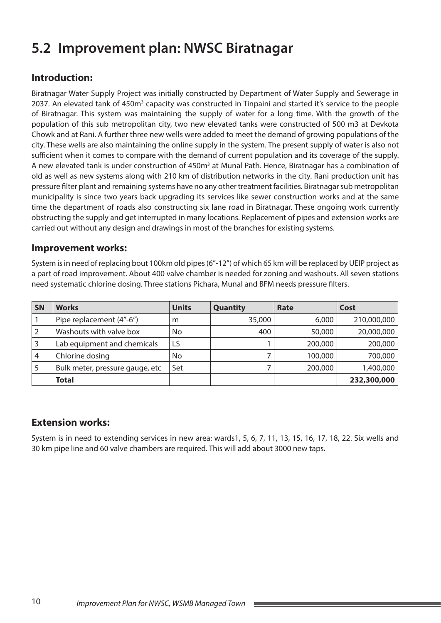# **5.2 Improvement plan: NWSC Biratnagar**

## **Introduction:**

Biratnagar Water Supply Project was initially constructed by Department of Water Supply and Sewerage in 2037. An elevated tank of 450m<sup>3</sup> capacity was constructed in Tinpaini and started it's service to the people of Biratnagar. This system was maintaining the supply of water for a long time. With the growth of the population of this sub metropolitan city, two new elevated tanks were constructed of 500 m3 at Devkota Chowk and at Rani. A further three new wells were added to meet the demand of growing populations of the city. These wells are also maintaining the online supply in the system. The present supply of water is also not sufficient when it comes to compare with the demand of current population and its coverage of the supply. A new elevated tank is under construction of 450m<sup>3</sup> at Munal Path. Hence, Biratnagar has a combination of old as well as new systems along with 210 km of distribution networks in the city. Rani production unit has pressure filter plant and remaining systems have no any other treatment facilities. Biratnagar sub metropolitan municipality is since two years back upgrading its services like sewer construction works and at the same time the department of roads also constructing six lane road in Biratnagar. These ongoing work currently obstructing the supply and get interrupted in many locations. Replacement of pipes and extension works are carried out without any design and drawings in most of the branches for existing systems.

#### **Improvement works:**

System is in need of replacing bout 100km old pipes (6"-12") of which 65 km will be replaced by UEIP project as a part of road improvement. About 400 valve chamber is needed for zoning and washouts. All seven stations need systematic chlorine dosing. Three stations Pichara, Munal and BFM needs pressure filters.

| SN | <b>Works</b>                    | <b>Units</b> | <b>Quantity</b> | Rate    | Cost        |
|----|---------------------------------|--------------|-----------------|---------|-------------|
|    | Pipe replacement (4"-6")        | m            | 35,000          | 6,000   | 210,000,000 |
|    | Washouts with valve box         | No           | 400             | 50,000  | 20,000,000  |
|    | Lab equipment and chemicals     | LS           |                 | 200,000 | 200,000     |
| 4  | Chlorine dosing                 | No           |                 | 100,000 | 700,000     |
|    | Bulk meter, pressure gauge, etc | Set          |                 | 200,000 | 1,400,000   |
|    | <b>Total</b>                    |              |                 |         | 232,300,000 |

#### **Extension works:**

System is in need to extending services in new area: wards1, 5, 6, 7, 11, 13, 15, 16, 17, 18, 22. Six wells and 30 km pipe line and 60 valve chambers are required. This will add about 3000 new taps.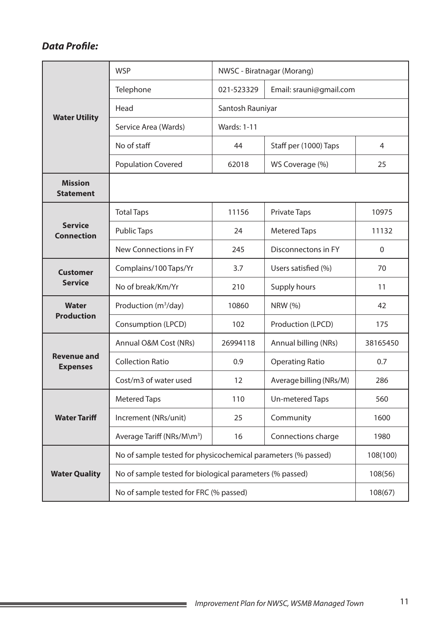|                                       | <b>WSP</b>                                                    | NWSC - Biratnagar (Morang) |                         |                |
|---------------------------------------|---------------------------------------------------------------|----------------------------|-------------------------|----------------|
| <b>Water Utility</b>                  | Telephone                                                     | 021-523329                 | Email: srauni@gmail.com |                |
|                                       | Head                                                          | Santosh Rauniyar           |                         |                |
|                                       | Service Area (Wards)                                          | <b>Wards: 1-11</b>         |                         |                |
|                                       | No of staff                                                   | 44                         | Staff per (1000) Taps   | $\overline{4}$ |
|                                       | <b>Population Covered</b>                                     | 62018                      | WS Coverage (%)         | 25             |
| <b>Mission</b><br><b>Statement</b>    |                                                               |                            |                         |                |
|                                       | <b>Total Taps</b>                                             | 11156                      | <b>Private Taps</b>     | 10975          |
| <b>Service</b><br><b>Connection</b>   | <b>Public Taps</b>                                            | 24                         | <b>Metered Taps</b>     | 11132          |
|                                       | New Connections in FY                                         | 245                        | Disconnectons in FY     | $\mathbf 0$    |
| <b>Customer</b>                       | Complains/100 Taps/Yr                                         | 3.7                        | Users satisfied (%)     | 70             |
| <b>Service</b>                        | No of break/Km/Yr                                             | 210                        | Supply hours            | 11             |
| <b>Water</b>                          | Production (m <sup>3</sup> /day)                              | 10860                      | <b>NRW</b> (%)          | 42             |
| <b>Production</b>                     | Consumption (LPCD)                                            | 102                        | Production (LPCD)       | 175            |
|                                       | Annual O&M Cost (NRs)                                         | 26994118                   | Annual billing (NRs)    | 38165450       |
| <b>Revenue and</b><br><b>Expenses</b> | <b>Collection Ratio</b>                                       | 0.9                        | <b>Operating Ratio</b>  | 0.7            |
|                                       | Cost/m3 of water used                                         | 12                         | Average billing (NRs/M) | 286            |
|                                       | <b>Metered Taps</b>                                           | 110                        | Un-metered Taps         | 560            |
| <b>Water Tariff</b>                   | Increment (NRs/unit)                                          | 25                         | Community               | 1600           |
|                                       | Average Tariff (NRs/M\m <sup>3</sup> )                        | 16                         | Connections charge      | 1980           |
|                                       | No of sample tested for physicochemical parameters (% passed) |                            |                         | 108(100)       |
| <b>Water Quality</b>                  | No of sample tested for biological parameters (% passed)      |                            |                         | 108(56)        |
|                                       | No of sample tested for FRC (% passed)                        |                            |                         | 108(67)        |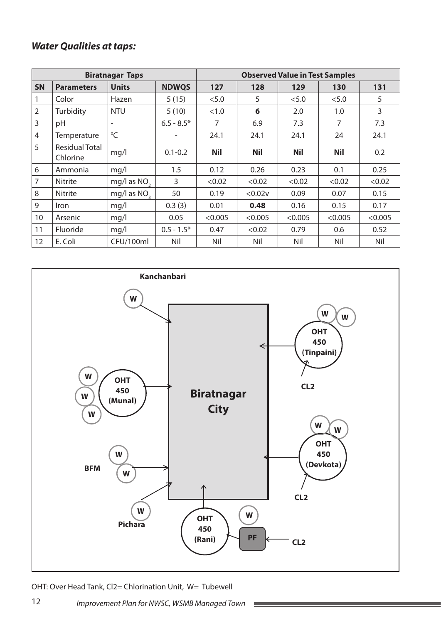|                |                            | <b>Biratnagar Taps</b>   |              | <b>Observed Value in Test Samples</b> |            |            |            |         |  |
|----------------|----------------------------|--------------------------|--------------|---------------------------------------|------------|------------|------------|---------|--|
| <b>SN</b>      | <b>Parameters</b>          | <b>Units</b>             | <b>NDWQS</b> | 127                                   | 128        | 129        | 130        | 131     |  |
| 1              | Color                      | Hazen                    | 5(15)        | < 5.0                                 | 5          | < 5.0      | < 5.0      | 5       |  |
| $\overline{2}$ | Turbidity                  | <b>NTU</b>               | 5(10)        | <1.0                                  | 6          | 2.0        | 1.0        | 3       |  |
| $\overline{3}$ | pH                         | $\overline{\phantom{a}}$ | $6.5 - 8.5*$ | 7                                     | 6.9        | 7.3        | 7          | 7.3     |  |
| $\overline{4}$ | Temperature                | $^0C$                    |              | 24.1                                  | 24.1       | 24.1       | 24         | 24.1    |  |
| 5              | Residual Total<br>Chlorine | mg/l                     | $0.1 - 0.2$  | <b>Nil</b>                            | <b>Nil</b> | <b>Nil</b> | <b>Nil</b> | 0.2     |  |
| 6              | Ammonia                    | mq/l                     | 1.5          | 0.12                                  | 0.26       | 0.23       | 0.1        | 0.25    |  |
| $\overline{7}$ | <b>Nitrite</b>             | mg/l as NO <sub>3</sub>  | 3            | < 0.02                                | < 0.02     | < 0.02     | < 0.02     | < 0.02  |  |
| 8              | Nitrite                    | mg/l as NO <sub>2</sub>  | 50           | 0.19                                  | < 0.02v    | 0.09       | 0.07       | 0.15    |  |
| 9              | <b>Iron</b>                | mq/l                     | 0.3(3)       | 0.01                                  | 0.48       | 0.16       | 0.15       | 0.17    |  |
| 10             | Arsenic                    | mq/l                     | 0.05         | < 0.005                               | < 0.005    | < 0.005    | < 0.005    | < 0.005 |  |
| 11             | <b>Fluoride</b>            | mq/l                     | $0.5 - 1.5*$ | 0.47                                  | < 0.02     | 0.79       | 0.6        | 0.52    |  |
| 12             | E. Coli                    | CFU/100ml                | Nil          | Nil                                   | Nil        | Nil        | Nil        | Nil     |  |



Ī.

OHT: Over Head Tank, Cl2= Chlorination Unit, W= Tubewell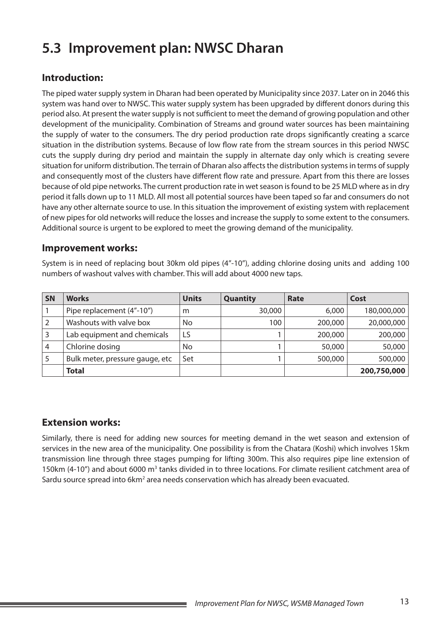# **5.3 Improvement plan: NWSC Dharan**

## **Introduction:**

The piped water supply system in Dharan had been operated by Municipality since 2037. Later on in 2046 this system was hand over to NWSC. This water supply system has been upgraded by different donors during this period also. At present the water supply is not sufficient to meet the demand of growing population and other development of the municipality. Combination of Streams and ground water sources has been maintaining the supply of water to the consumers. The dry period production rate drops significantly creating a scarce situation in the distribution systems. Because of low flow rate from the stream sources in this period NWSC cuts the supply during dry period and maintain the supply in alternate day only which is creating severe situation for uniform distribution. The terrain of Dharan also affects the distribution systems in terms of supply and consequently most of the clusters have different flow rate and pressure. Apart from this there are losses because of old pipe networks. The current production rate in wet season is found to be 25 MLD where as in dry period it falls down up to 11 MLD. All most all potential sources have been taped so far and consumers do not have any other alternate source to use. In this situation the improvement of existing system with replacement of new pipes for old networks will reduce the losses and increase the supply to some extent to the consumers. Additional source is urgent to be explored to meet the growing demand of the municipality.

#### **Improvement works:**

System is in need of replacing bout 30km old pipes (4"-10"), adding chlorine dosing units and adding 100 numbers of washout valves with chamber. This will add about 4000 new taps.

| <b>SN</b> | <b>Works</b>                     | <b>Units</b> | <b>Quantity</b> | Rate    | Cost        |
|-----------|----------------------------------|--------------|-----------------|---------|-------------|
|           | Pipe replacement (4"-10")        | m            | 30,000          | 6,000   | 180,000,000 |
|           | Washouts with valve box          | No.          | 100             | 200,000 | 20,000,000  |
|           | Lab equipment and chemicals      | LS           |                 | 200,000 | 200,000     |
| 4         | Chlorine dosing                  | No           |                 | 50,000  | 50,000      |
|           | Bulk meter, pressure gauge, etc. | Set          |                 | 500,000 | 500,000     |
|           | <b>Total</b>                     |              |                 |         | 200,750,000 |

#### **Extension works:**

Similarly, there is need for adding new sources for meeting demand in the wet season and extension of services in the new area of the municipality. One possibility is from the Chatara (Koshi) which involves 15km transmission line through three stages pumping for lifting 300m. This also requires pipe line extension of 150km (4-10") and about 6000 m<sup>3</sup> tanks divided in to three locations. For climate resilient catchment area of Sardu source spread into 6km<sup>2</sup> area needs conservation which has already been evacuated.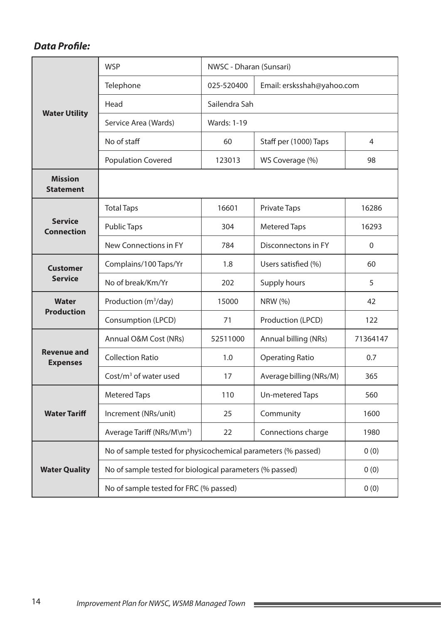|                                       | <b>WSP</b>                                                    | NWSC - Dharan (Sunsari) |                            |                |
|---------------------------------------|---------------------------------------------------------------|-------------------------|----------------------------|----------------|
|                                       | Telephone                                                     | 025-520400              | Email: ersksshah@yahoo.com |                |
|                                       | Head                                                          | Sailendra Sah           |                            |                |
| <b>Water Utility</b>                  | Service Area (Wards)                                          | <b>Wards: 1-19</b>      |                            |                |
|                                       | No of staff                                                   | 60                      | Staff per (1000) Taps      | $\overline{4}$ |
|                                       | <b>Population Covered</b>                                     | 123013                  | WS Coverage (%)            | 98             |
| <b>Mission</b><br><b>Statement</b>    |                                                               |                         |                            |                |
|                                       | <b>Total Taps</b>                                             | 16601                   | <b>Private Taps</b>        | 16286          |
| <b>Service</b><br><b>Connection</b>   | <b>Public Taps</b>                                            | 304                     | <b>Metered Taps</b>        | 16293          |
|                                       | New Connections in FY                                         | 784                     | Disconnectons in FY        | $\mathbf 0$    |
| <b>Customer</b>                       | Complains/100 Taps/Yr                                         | 1.8                     | Users satisfied (%)        | 60             |
| <b>Service</b>                        | No of break/Km/Yr                                             | 202                     | Supply hours               | 5              |
| <b>Water</b><br><b>Production</b>     | Production (m <sup>3</sup> /day)                              | 15000                   | <b>NRW (%)</b>             | 42             |
|                                       | Consumption (LPCD)                                            | 71                      | Production (LPCD)          | 122            |
|                                       | Annual O&M Cost (NRs)                                         | 52511000                | Annual billing (NRs)       | 71364147       |
| <b>Revenue and</b><br><b>Expenses</b> | <b>Collection Ratio</b>                                       | 1.0                     | <b>Operating Ratio</b>     | 0.7            |
|                                       | Cost/ $m3$ of water used                                      | 17                      | Average billing (NRs/M)    | 365            |
|                                       | <b>Metered Taps</b>                                           | 110                     | <b>Un-metered Taps</b>     | 560            |
| <b>Water Tariff</b>                   | Increment (NRs/unit)                                          | 25                      | Community                  | 1600           |
|                                       | Average Tariff (NRs/M\m <sup>3</sup> )                        | 22                      | Connections charge         | 1980           |
|                                       | No of sample tested for physicochemical parameters (% passed) |                         |                            | 0(0)           |
| <b>Water Quality</b>                  | No of sample tested for biological parameters (% passed)      |                         |                            | 0(0)           |
|                                       | No of sample tested for FRC (% passed)                        |                         |                            | 0(0)           |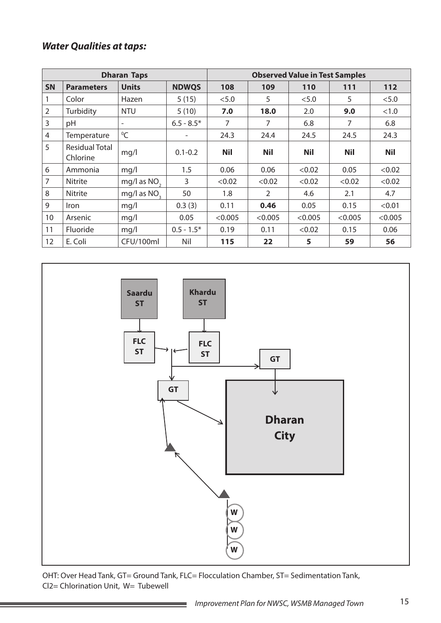|                |                                   | <b>Dharan Taps</b>       |                          | <b>Observed Value in Test Samples</b> |                |            |            |            |  |
|----------------|-----------------------------------|--------------------------|--------------------------|---------------------------------------|----------------|------------|------------|------------|--|
| <b>SN</b>      | <b>Parameters</b>                 | <b>Units</b>             | <b>NDWQS</b>             | 108                                   | 109            | 110        | 111        | 112        |  |
|                | Color                             | Hazen                    | 5(15)                    | < 5.0                                 | 5              | < 5.0      | 5          | < 5.0      |  |
| $\overline{2}$ | Turbidity                         | <b>NTU</b>               | 5(10)                    | 7.0                                   | 18.0           | 2.0        | 9.0        | <1.0       |  |
| 3              | pH                                | $\overline{\phantom{m}}$ | $6.5 - 8.5*$             | 7                                     | 7              | 6.8        | 7          | 6.8        |  |
| 4              | Temperature                       | ${}^{0}C$                | $\overline{\phantom{0}}$ | 24.3                                  | 24.4           | 24.5       | 24.5       | 24.3       |  |
| 5              | <b>Residual Total</b><br>Chlorine | mq/l                     | $0.1 - 0.2$              | <b>Nil</b>                            | <b>Nil</b>     | <b>Nil</b> | <b>Nil</b> | <b>Nil</b> |  |
| 6              | Ammonia                           | mq/1                     | 1.5                      | 0.06                                  | 0.06           | < 0.02     | 0.05       | < 0.02     |  |
| $\overline{7}$ | <b>Nitrite</b>                    | mg/l as $NO2$            | 3                        | < 0.02                                | < 0.02         | < 0.02     | < 0.02     | < 0.02     |  |
| 8              | Nitrite                           | mg/l as NO <sub>2</sub>  | 50                       | 1.8                                   | $\overline{2}$ | 4.6        | 2.1        | 4.7        |  |
| 9              | <b>Iron</b>                       | mq/1                     | 0.3(3)                   | 0.11                                  | 0.46           | 0.05       | 0.15       | < 0.01     |  |
| 10             | Arsenic                           | mq/l                     | 0.05                     | < 0.005                               | < 0.005        | < 0.005    | < 0.005    | < 0.005    |  |
| 11             | <b>Fluoride</b>                   | mq/l                     | $0.5 - 1.5*$             | 0.19                                  | 0.11           | < 0.02     | 0.15       | 0.06       |  |
| 12             | E. Coli                           | CFU/100ml                | Nil                      | 115                                   | 22             | 5          | 59         | 56         |  |



OHT: Over Head Tank, GT= Ground Tank, FLC= Flocculation Chamber, ST= Sedimentation Tank, Cl2= Chlorination Unit, W= Tubewell

۰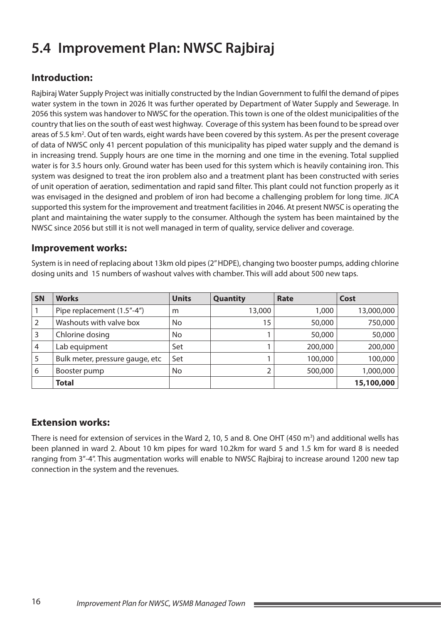# **5.4 Improvement Plan: NWSC Rajbiraj**

# **Introduction:**

Rajbiraj Water Supply Project was initially constructed by the Indian Government to fulfil the demand of pipes water system in the town in 2026 It was further operated by Department of Water Supply and Sewerage. In 2056 this system was handover to NWSC for the operation. This town is one of the oldest municipalities of the country that lies on the south of east west highway. Coverage of this system has been found to be spread over areas of 5.5 km<sup>2</sup>. Out of ten wards, eight wards have been covered by this system. As per the present coverage of data of NWSC only 41 percent population of this municipality has piped water supply and the demand is in increasing trend. Supply hours are one time in the morning and one time in the evening. Total supplied water is for 3.5 hours only. Ground water has been used for this system which is heavily containing iron. This system was designed to treat the iron problem also and a treatment plant has been constructed with series of unit operation of aeration, sedimentation and rapid sand filter. This plant could not function properly as it was envisaged in the designed and problem of iron had become a challenging problem for long time. JICA supported this system for the improvement and treatment facilities in 2046. At present NWSC is operating the plant and maintaining the water supply to the consumer. Although the system has been maintained by the NWSC since 2056 but still it is not well managed in term of quality, service deliver and coverage.

#### **Improvement works:**

System is in need of replacing about 13km old pipes (2" HDPE), changing two booster pumps, adding chlorine dosing units and 15 numbers of washout valves with chamber. This will add about 500 new taps.

| SN | <b>Works</b>                    | <b>Units</b> | Quantity | Rate    | Cost       |
|----|---------------------------------|--------------|----------|---------|------------|
|    | Pipe replacement (1.5"-4")      | m            | 13,000   | 1,000   | 13,000,000 |
|    | Washouts with valve box         | No           | 15       | 50,000  | 750,000    |
| 3  | Chlorine dosing                 | No           |          | 50,000  | 50,000     |
| 4  | Lab equipment                   | Set          |          | 200,000 | 200,000    |
| 5  | Bulk meter, pressure gauge, etc | Set          |          | 100,000 | 100,000    |
| 6  | Booster pump                    | No           | 2        | 500,000 | 1,000,000  |
|    | <b>Total</b>                    |              |          |         | 15,100,000 |

#### **Extension works:**

There is need for extension of services in the Ward 2, 10, 5 and 8. One OHT (450  $m^3$ ) and additional wells has been planned in ward 2. About 10 km pipes for ward 10.2km for ward 5 and 1.5 km for ward 8 is needed ranging from 3"-4". This augmentation works will enable to NWSC Rajbiraj to increase around 1200 new tap connection in the system and the revenues.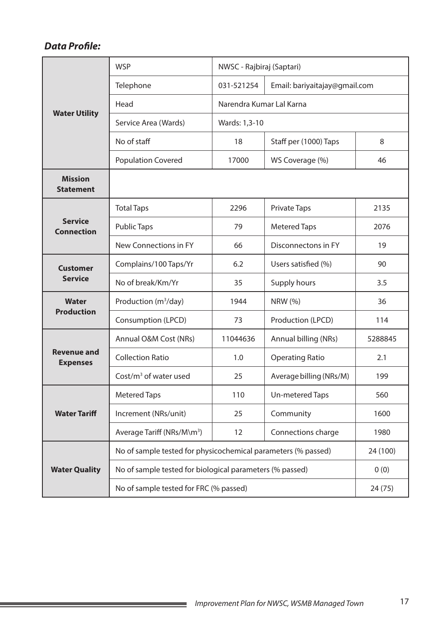|                                       | <b>WSP</b>                                                    | NWSC - Rajbiraj (Saptari) |                               |          |  |  |
|---------------------------------------|---------------------------------------------------------------|---------------------------|-------------------------------|----------|--|--|
|                                       | Telephone                                                     | 031-521254                | Email: bariyaitajay@gmail.com |          |  |  |
|                                       | Head                                                          | Narendra Kumar Lal Karna  |                               |          |  |  |
| <b>Water Utility</b>                  | Service Area (Wards)                                          |                           |                               |          |  |  |
|                                       | No of staff                                                   | 18                        | Staff per (1000) Taps         | 8        |  |  |
|                                       | <b>Population Covered</b>                                     | 17000                     | WS Coverage (%)               | 46       |  |  |
| <b>Mission</b><br><b>Statement</b>    |                                                               |                           |                               |          |  |  |
|                                       | <b>Total Taps</b>                                             | 2296                      | <b>Private Taps</b>           | 2135     |  |  |
| <b>Service</b><br><b>Connection</b>   | <b>Public Taps</b>                                            | 79                        | <b>Metered Taps</b>           | 2076     |  |  |
|                                       | New Connections in FY                                         | 66                        | Disconnectons in FY           | 19       |  |  |
| <b>Customer</b>                       | Complains/100 Taps/Yr                                         | 6.2                       | Users satisfied (%)           | 90       |  |  |
| <b>Service</b>                        | No of break/Km/Yr                                             | 35                        | Supply hours                  | 3.5      |  |  |
| <b>Water</b>                          | Production (m <sup>3</sup> /day)                              | 1944                      | <b>NRW</b> (%)                | 36       |  |  |
| <b>Production</b>                     | Consumption (LPCD)                                            | 73                        | Production (LPCD)             | 114      |  |  |
|                                       | Annual O&M Cost (NRs)                                         | 11044636                  | Annual billing (NRs)          | 5288845  |  |  |
| <b>Revenue and</b><br><b>Expenses</b> | <b>Collection Ratio</b>                                       | 1.0                       | <b>Operating Ratio</b>        | 2.1      |  |  |
|                                       | Cost/ $m3$ of water used                                      | 25                        | Average billing (NRs/M)       | 199      |  |  |
|                                       | <b>Metered Taps</b>                                           | 110                       | <b>Un-metered Taps</b>        | 560      |  |  |
| <b>Water Tariff</b>                   | Increment (NRs/unit)                                          | 25                        | Community                     | 1600     |  |  |
|                                       | Average Tariff (NRs/M\m <sup>3</sup> )                        | 12                        | Connections charge            | 1980     |  |  |
|                                       | No of sample tested for physicochemical parameters (% passed) |                           |                               | 24 (100) |  |  |
| <b>Water Quality</b>                  | No of sample tested for biological parameters (% passed)      |                           |                               | 0(0)     |  |  |
|                                       | No of sample tested for FRC (% passed)                        |                           |                               | 24 (75)  |  |  |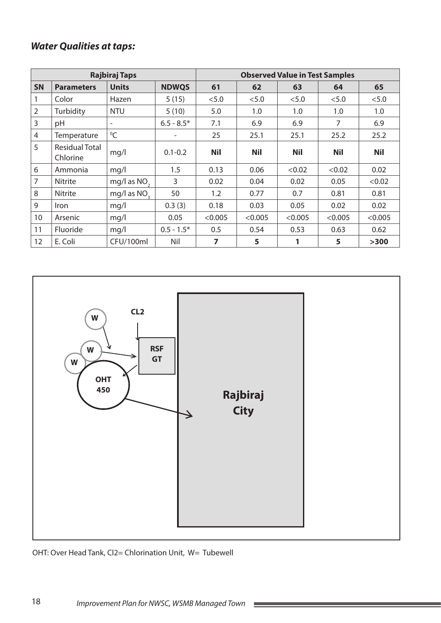|                |                            | <b>Rajbiraj Taps</b>     |              | <b>Observed Value in Test Samples</b> |            |            |            |            |  |
|----------------|----------------------------|--------------------------|--------------|---------------------------------------|------------|------------|------------|------------|--|
| <b>SN</b>      | <b>Parameters</b>          | <b>Units</b>             | <b>NDWQS</b> | 61                                    | 62         | 63         | 64         | 65         |  |
|                | Color                      | Hazen                    | 5(15)        | < 5.0                                 | < 5.0      | < 5.0      | < 5.0      | < 5.0      |  |
| $\overline{2}$ | Turbidity                  | <b>NTU</b>               | 5(10)        | 5.0                                   | 1.0        | 1.0        | 1.0        | 1.0        |  |
| 3              | pH                         | $\overline{\phantom{a}}$ | $6.5 - 8.5*$ | 7.1                                   | 6.9        | 6.9        | 7          | 6.9        |  |
| $\overline{4}$ | Temperature                | $\mathrm{O}C$            | -            | 25                                    | 25.1       | 25.1       | 25.2       | 25.2       |  |
| 5              | Residual Total<br>Chlorine | mg/l                     | $0.1 - 0.2$  | <b>Nil</b>                            | <b>Nil</b> | <b>Nil</b> | <b>Nil</b> | <b>Nil</b> |  |
| 6              | Ammonia                    | mq/l                     | 1.5          | 0.13                                  | 0.06       | < 0.02     | < 0.02     | 0.02       |  |
| $\overline{7}$ | <b>Nitrite</b>             | mg/l as $NO2$            | 3            | 0.02                                  | 0.04       | 0.02       | 0.05       | < 0.02     |  |
| 8              | <b>Nitrite</b>             | mg/l as NO <sub>2</sub>  | 50           | 1.2                                   | 0.77       | 0.7        | 0.81       | 0.81       |  |
| 9              | <i>Iron</i>                | mq/l                     | 0.3(3)       | 0.18                                  | 0.03       | 0.05       | 0.02       | 0.02       |  |
| 10             | Arsenic                    | mq/l                     | 0.05         | < 0.005                               | < 0.005    | < 0.005    | < 0.005    | < 0.005    |  |
| 11             | Fluoride                   | mq/l                     | $0.5 - 1.5*$ | 0.5                                   | 0.54       | 0.53       | 0.63       | 0.62       |  |
| 12             | E. Coli                    | CFU/100ml                | Nil          | 7                                     | 5          | 1          | 5          | >300       |  |



#### OHT: Over Head Tank, Cl2= Chlorination Unit, W= Tubewell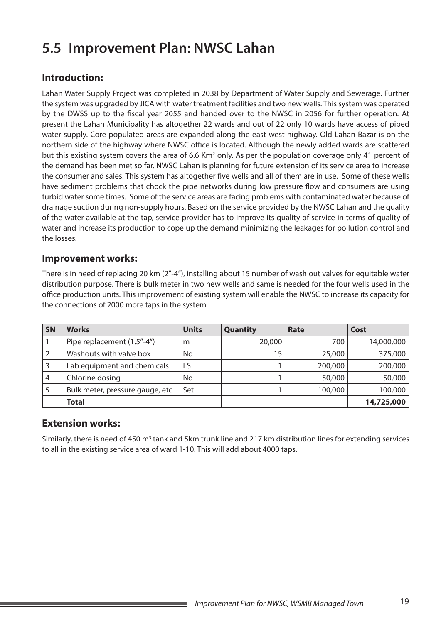# **5.5 Improvement Plan: NWSC Lahan**

## **Introduction:**

Lahan Water Supply Project was completed in 2038 by Department of Water Supply and Sewerage. Further the system was upgraded by JICA with water treatment facilities and two new wells. This system was operated by the DWSS up to the fiscal year 2055 and handed over to the NWSC in 2056 for further operation. At present the Lahan Municipality has altogether 22 wards and out of 22 only 10 wards have access of piped water supply. Core populated areas are expanded along the east west highway. Old Lahan Bazar is on the northern side of the highway where NWSC office is located. Although the newly added wards are scattered but this existing system covers the area of 6.6 Km<sup>2</sup> only. As per the population coverage only 41 percent of the demand has been met so far. NWSC Lahan is planning for future extension of its service area to increase the consumer and sales. This system has altogether five wells and all of them are in use. Some of these wells have sediment problems that chock the pipe networks during low pressure flow and consumers are using turbid water some times. Some of the service areas are facing problems with contaminated water because of drainage suction during non-supply hours. Based on the service provided by the NWSC Lahan and the quality of the water available at the tap, service provider has to improve its quality of service in terms of quality of water and increase its production to cope up the demand minimizing the leakages for pollution control and the losses.

#### **Improvement works:**

There is in need of replacing 20 km (2"-4"), installing about 15 number of wash out valves for equitable water distribution purpose. There is bulk meter in two new wells and same is needed for the four wells used in the office production units. This improvement of existing system will enable the NWSC to increase its capacity for the connections of 2000 more taps in the system.

| <b>SN</b> | <b>Works</b>                     | <b>Units</b> | <b>Quantity</b> | Rate    | Cost       |
|-----------|----------------------------------|--------------|-----------------|---------|------------|
|           | Pipe replacement (1.5"-4")       | m            | 20,000          | 700     | 14,000,000 |
|           | Washouts with valve box          | No.          | 15              | 25,000  | 375,000    |
|           | Lab equipment and chemicals      | LS           |                 | 200,000 | 200,000    |
|           | Chlorine dosing                  | No           |                 | 50,000  | 50,000     |
|           | Bulk meter, pressure gauge, etc. | Set          |                 | 100,000 | 100,000    |
|           | <b>Total</b>                     |              |                 |         | 14,725,000 |

#### **Extension works:**

Similarly, there is need of 450  $m^3$  tank and 5km trunk line and 217 km distribution lines for extending services to all in the existing service area of ward 1-10. This will add about 4000 taps.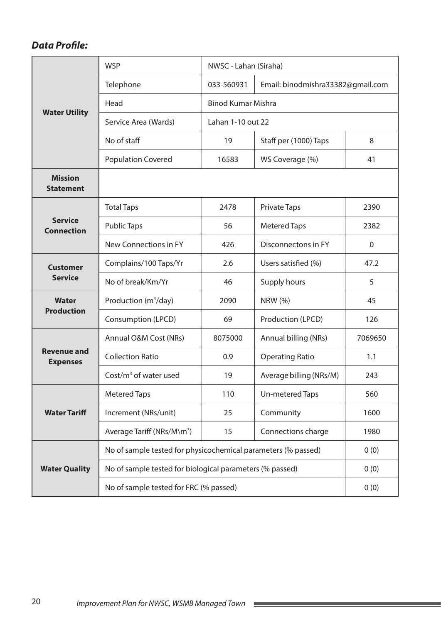|                                       | <b>WSP</b>                                                    | NWSC - Lahan (Siraha)     |                                   |         |  |  |
|---------------------------------------|---------------------------------------------------------------|---------------------------|-----------------------------------|---------|--|--|
|                                       | Telephone                                                     | 033-560931                | Email: binodmishra33382@gmail.com |         |  |  |
|                                       | Head                                                          | <b>Binod Kumar Mishra</b> |                                   |         |  |  |
| <b>Water Utility</b>                  | Service Area (Wards)                                          | Lahan 1-10 out 22         |                                   |         |  |  |
|                                       | No of staff                                                   | 19                        | Staff per (1000) Taps             | 8       |  |  |
|                                       | <b>Population Covered</b>                                     | 16583                     | WS Coverage (%)                   | 41      |  |  |
| <b>Mission</b><br><b>Statement</b>    |                                                               |                           |                                   |         |  |  |
|                                       | <b>Total Taps</b>                                             | 2478                      | <b>Private Taps</b>               | 2390    |  |  |
| <b>Service</b><br><b>Connection</b>   | <b>Public Taps</b>                                            | 56                        | <b>Metered Taps</b>               | 2382    |  |  |
|                                       | New Connections in FY                                         | 426                       | Disconnectons in FY               | 0       |  |  |
| <b>Customer</b>                       | Complains/100 Taps/Yr                                         | 2.6                       | Users satisfied (%)               | 47.2    |  |  |
| <b>Service</b>                        | No of break/Km/Yr                                             | 46                        | Supply hours                      | 5       |  |  |
| Water                                 | Production (m <sup>3</sup> /day)                              | 2090                      | <b>NRW</b> (%)                    | 45      |  |  |
| <b>Production</b>                     | Consumption (LPCD)                                            | 69                        | Production (LPCD)                 | 126     |  |  |
|                                       | Annual O&M Cost (NRs)                                         | 8075000                   | Annual billing (NRs)              | 7069650 |  |  |
| <b>Revenue and</b><br><b>Expenses</b> | <b>Collection Ratio</b>                                       | 0.9                       | <b>Operating Ratio</b>            | 1.1     |  |  |
|                                       | Cost/ $m3$ of water used                                      | 19                        | Average billing (NRs/M)           | 243     |  |  |
|                                       | <b>Metered Taps</b>                                           | 110                       | Un-metered Taps                   | 560     |  |  |
| <b>Water Tariff</b>                   | Increment (NRs/unit)                                          | 25                        | Community                         | 1600    |  |  |
|                                       | Average Tariff (NRs/M\m <sup>3</sup> )                        | 15                        | Connections charge                | 1980    |  |  |
|                                       | No of sample tested for physicochemical parameters (% passed) |                           |                                   | 0(0)    |  |  |
| <b>Water Quality</b>                  | No of sample tested for biological parameters (% passed)      |                           |                                   | 0(0)    |  |  |
|                                       | No of sample tested for FRC (% passed)                        |                           |                                   | 0(0)    |  |  |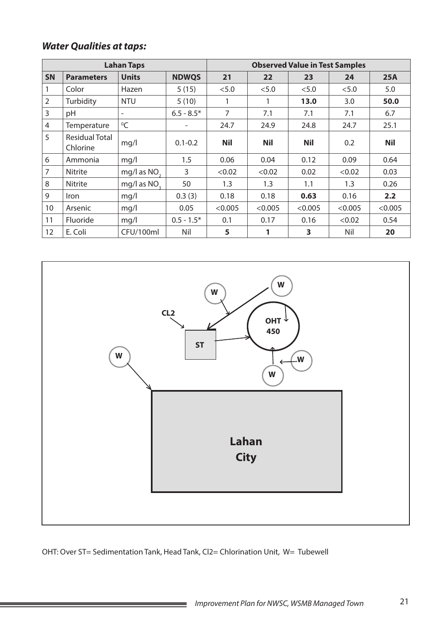| <b>Lahan Taps</b> |                            |                          |              | <b>Observed Value in Test Samples</b> |            |            |         |            |  |
|-------------------|----------------------------|--------------------------|--------------|---------------------------------------|------------|------------|---------|------------|--|
| <b>SN</b>         | <b>Parameters</b>          | <b>Units</b>             | <b>NDWQS</b> | 21                                    | 22         | 23         | 24      | 25A        |  |
|                   | Color                      | Hazen                    | 5(15)        | < 5.0                                 | < 5.0      | < 5.0      | < 5.0   | 5.0        |  |
| $\overline{2}$    | Turbidity                  | <b>NTU</b>               | 5(10)        | 1                                     | 1          | 13.0       | 3.0     | 50.0       |  |
| 3                 | pH                         | $\overline{\phantom{a}}$ | $6.5 - 8.5*$ | 7                                     | 7.1        | 7.1        | 7.1     | 6.7        |  |
| $\overline{4}$    | Temperature                | ${}^{0}C$                |              | 24.7                                  | 24.9       | 24.8       | 24.7    | 25.1       |  |
| 5                 | Residual Total<br>Chlorine | mg/l                     | $0.1 - 0.2$  | <b>Nil</b>                            | <b>Nil</b> | <b>Nil</b> | 0.2     | <b>Nil</b> |  |
| 6                 | Ammonia                    | mq/l                     | 1.5          | 0.06                                  | 0.04       | 0.12       | 0.09    | 0.64       |  |
| 7                 | <b>Nitrite</b>             | mg/l as NO <sub>2</sub>  | 3            | < 0.02                                | < 0.02     | 0.02       | < 0.02  | 0.03       |  |
| 8                 | Nitrite                    | mg/l as NO <sub>2</sub>  | 50           | 1.3                                   | 1.3        | 1.1        | 1.3     | 0.26       |  |
| 9                 | <i>Iron</i>                | mq/l                     | 0.3(3)       | 0.18                                  | 0.18       | 0.63       | 0.16    | 2.2        |  |
| 10                | Arsenic                    | mq/l                     | 0.05         | < 0.005                               | < 0.005    | < 0.005    | < 0.005 | < 0.005    |  |
| 11                | Fluoride                   | mq/l                     | $0.5 - 1.5*$ | 0.1                                   | 0.17       | 0.16       | < 0.02  | 0.54       |  |
| 12                | E. Coli                    | CFU/100ml                | Nil          | 5                                     | 1          | 3          | Nil     | 20         |  |



OHT: Over ST= Sedimentation Tank, Head Tank, Cl2= Chlorination Unit, W= Tubewell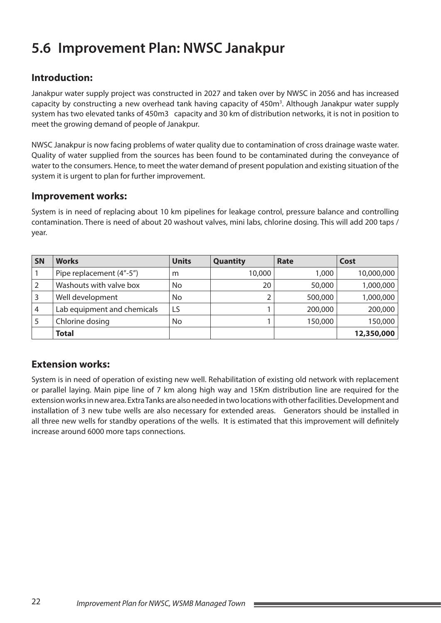# **5.6 Improvement Plan: NWSC Janakpur**

## **Introduction:**

Janakpur water supply project was constructed in 2027 and taken over by NWSC in 2056 and has increased capacity by constructing a new overhead tank having capacity of 450m<sup>3</sup>. Although Janakpur water supply system has two elevated tanks of 450m3 capacity and 30 km of distribution networks, it is not in position to meet the growing demand of people of Janakpur.

NWSC Janakpur is now facing problems of water quality due to contamination of cross drainage waste water. Quality of water supplied from the sources has been found to be contaminated during the conveyance of water to the consumers. Hence, to meet the water demand of present population and existing situation of the system it is urgent to plan for further improvement.

#### **Improvement works:**

System is in need of replacing about 10 km pipelines for leakage control, pressure balance and controlling contamination. There is need of about 20 washout valves, mini labs, chlorine dosing. This will add 200 taps / year.

| SN | <b>Works</b>                | <b>Units</b> | <b>Quantity</b> | Rate    | Cost       |
|----|-----------------------------|--------------|-----------------|---------|------------|
|    | Pipe replacement (4"-5")    | m            | 10,000          | 1,000   | 10,000,000 |
|    | Washouts with valve box     | No.          | 20              | 50,000  | 1,000,000  |
|    | Well development            | No           | ว               | 500,000 | 1,000,000  |
| 4  | Lab equipment and chemicals | LS           |                 | 200,000 | 200,000    |
|    | Chlorine dosing             | No           |                 | 150,000 | 150,000    |
|    | <b>Total</b>                |              |                 |         | 12,350,000 |

#### **Extension works:**

System is in need of operation of existing new well. Rehabilitation of existing old network with replacement or parallel laying. Main pipe line of 7 km along high way and 15Km distribution line are required for the extension works in new area. Extra Tanks are also needed in two locations with other facilities. Development and installation of 3 new tube wells are also necessary for extended areas. Generators should be installed in all three new wells for standby operations of the wells. It is estimated that this improvement will definitely increase around 6000 more taps connections.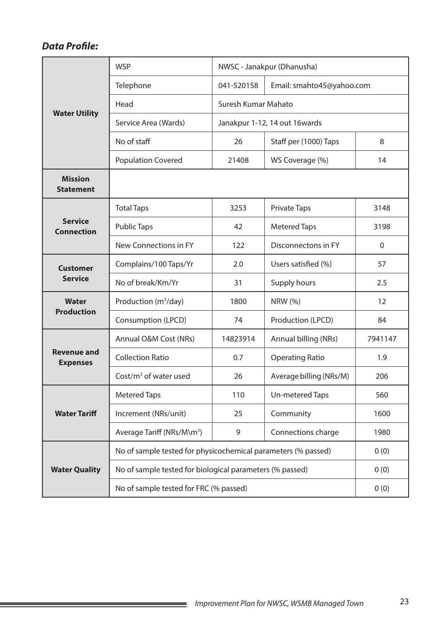|                                       | <b>WSP</b>                                                    |            | NWSC - Janakpur (Dhanusha) |                |
|---------------------------------------|---------------------------------------------------------------|------------|----------------------------|----------------|
|                                       | Telephone                                                     | 041-520158 | Email: smahto45@yahoo.com  |                |
|                                       | Head                                                          |            |                            |                |
| <b>Water Utility</b>                  | Service Area (Wards)                                          |            |                            |                |
|                                       | No of staff                                                   | 26         | Staff per (1000) Taps      | 8              |
|                                       | <b>Population Covered</b>                                     | 21408      | WS Coverage (%)            | 14             |
| <b>Mission</b><br><b>Statement</b>    |                                                               |            |                            |                |
|                                       | <b>Total Taps</b>                                             | 3253       | <b>Private Taps</b>        | 3148           |
| <b>Service</b><br><b>Connection</b>   | <b>Public Taps</b>                                            | 42         | <b>Metered Taps</b>        | 3198           |
|                                       | New Connections in FY                                         | 122        | Disconnectons in FY        | $\overline{0}$ |
| <b>Customer</b>                       | Complains/100 Taps/Yr                                         | 2.0        | Users satisfied (%)        | 57             |
| <b>Service</b>                        | No of break/Km/Yr                                             | 31         | Supply hours               | 2.5            |
| <b>Water</b>                          | Production (m <sup>3</sup> /day)                              | 1800       | <b>NRW</b> (%)             | 12             |
| <b>Production</b>                     | Consumption (LPCD)                                            | 74         | Production (LPCD)          | 84             |
|                                       | Annual O&M Cost (NRs)                                         | 14823914   | Annual billing (NRs)       | 7941147        |
| <b>Revenue and</b><br><b>Expenses</b> | <b>Collection Ratio</b>                                       | 0.7        | <b>Operating Ratio</b>     | 1.9            |
|                                       | Cost/ $m3$ of water used                                      | 26         | Average billing (NRs/M)    | 206            |
|                                       | <b>Metered Taps</b>                                           | 110        | Un-metered Taps            | 560            |
| <b>Water Tariff</b>                   | Increment (NRs/unit)                                          | 25         | Community                  | 1600           |
|                                       | Average Tariff (NRs/M\m <sup>3</sup> )                        | 9          | Connections charge         | 1980           |
|                                       | No of sample tested for physicochemical parameters (% passed) |            |                            | 0(0)           |
| <b>Water Quality</b>                  | No of sample tested for biological parameters (% passed)      |            |                            | 0(0)           |
|                                       | No of sample tested for FRC (% passed)                        |            |                            | 0(0)           |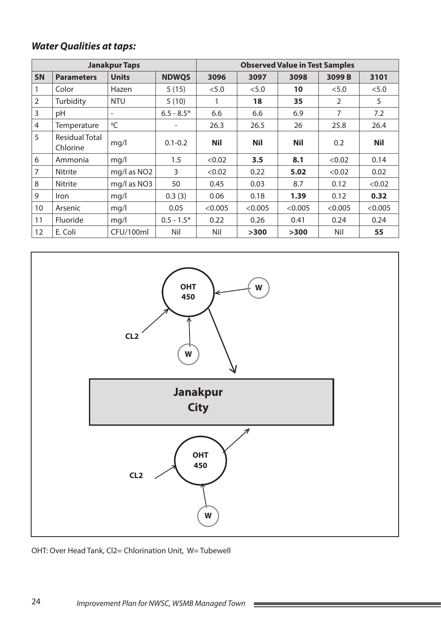| <b>Janakpur Taps</b> |                                   |                          |              | <b>Observed Value in Test Samples</b> |            |            |         |            |
|----------------------|-----------------------------------|--------------------------|--------------|---------------------------------------|------------|------------|---------|------------|
| <b>SN</b>            | <b>Parameters</b>                 | <b>Units</b>             | <b>NDWQS</b> | 3096                                  | 3097       | 3098       | 3099B   | 3101       |
| 1                    | Color                             | Hazen                    | 5(15)        | < 5.0                                 | < 5.0      | 10         | < 5.0   | < 5.0      |
| $\overline{2}$       | Turbidity                         | <b>NTU</b>               | 5(10)        |                                       | 18         | 35         | 2       | 5          |
| 3                    | pH                                | $\overline{\phantom{a}}$ | $6.5 - 8.5*$ | 6.6                                   | 6.6        | 6.9        | 7       | 7.2        |
| 4                    | Temperature                       | ${}^{0}C$                |              | 26.3                                  | 26.5       | 26         | 25.8    | 26.4       |
| 5                    | <b>Residual Total</b><br>Chlorine | mg/l                     | $0.1 - 0.2$  | <b>Nil</b>                            | <b>Nil</b> | <b>Nil</b> | 0.2     | <b>Nil</b> |
| 6                    | Ammonia                           | mq/l                     | 1.5          | < 0.02                                | 3.5        | 8.1        | < 0.02  | 0.14       |
| $\overline{7}$       | <b>Nitrite</b>                    | mg/l as NO <sub>2</sub>  | 3            | < 0.02                                | 0.22       | 5.02       | < 0.02  | 0.02       |
| 8                    | <b>Nitrite</b>                    | mg/l as NO3              | 50           | 0.45                                  | 0.03       | 8.7        | 0.12    | < 0.02     |
| 9                    | <i>Iron</i>                       | mq/1                     | 0.3(3)       | 0.06                                  | 0.18       | 1.39       | 0.12    | 0.32       |
| 10                   | Arsenic                           | mq/l                     | 0.05         | < 0.005                               | < 0.005    | < 0.005    | < 0.005 | < 0.005    |
| 11                   | Fluoride                          | mq/1                     | $0.5 - 1.5*$ | 0.22                                  | 0.26       | 0.41       | 0.24    | 0.24       |
| 12                   | E. Coli                           | CFU/100ml                | Nil          | Nil                                   | >300       | >300       | Nil     | 55         |



 $\mathcal{L}^{\text{max}}$ 

OHT: Over Head Tank, Cl2= Chlorination Unit, W= Tubewell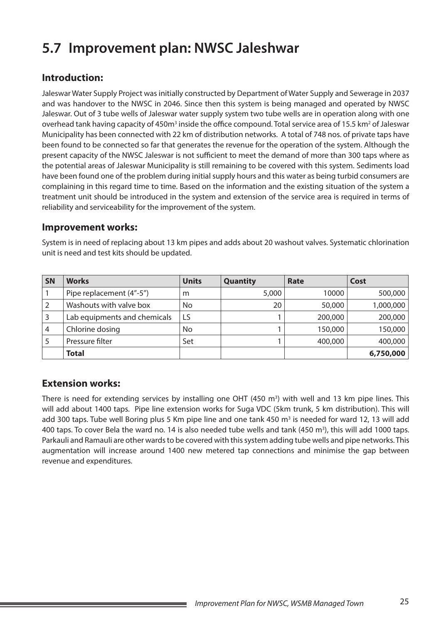# **5.7 Improvement plan: NWSC Jaleshwar**

## **Introduction:**

Jaleswar Water Supply Project was initially constructed by Department of Water Supply and Sewerage in 2037 and was handover to the NWSC in 2046. Since then this system is being managed and operated by NWSC Jaleswar. Out of 3 tube wells of Jaleswar water supply system two tube wells are in operation along with one overhead tank having capacity of 450m<sup>3</sup> inside the office compound. Total service area of 15.5 km<sup>2</sup> of Jaleswar Municipality has been connected with 22 km of distribution networks. A total of 748 nos. of private taps have been found to be connected so far that generates the revenue for the operation of the system. Although the present capacity of the NWSC Jaleswar is not sufficient to meet the demand of more than 300 taps where as the potential areas of Jaleswar Municipality is still remaining to be covered with this system. Sediments load have been found one of the problem during initial supply hours and this water as being turbid consumers are complaining in this regard time to time. Based on the information and the existing situation of the system a treatment unit should be introduced in the system and extension of the service area is required in terms of reliability and serviceability for the improvement of the system.

#### **Improvement works:**

| <b>SN</b> | <b>Works</b>                 | <b>Units</b> | Quantity | Rate    | Cost      |
|-----------|------------------------------|--------------|----------|---------|-----------|
|           | Pipe replacement (4"-5")     | m            | 5,000    | 10000   | 500,000   |
|           | Washouts with valve box      | No           | 20       | 50,000  | 1,000,000 |
|           | Lab equipments and chemicals | LS           |          | 200,000 | 200,000   |
| 4         | Chlorine dosing              | No           |          | 150,000 | 150,000   |
|           | Pressure filter              | Set          |          | 400,000 | 400,000   |
|           | <b>Total</b>                 |              |          |         | 6,750,000 |

System is in need of replacing about 13 km pipes and adds about 20 washout valves. Systematic chlorination unit is need and test kits should be updated.

#### **Extension works:**

There is need for extending services by installing one OHT  $(450 \text{ m}^3)$  with well and 13 km pipe lines. This will add about 1400 taps. Pipe line extension works for Suga VDC (5km trunk, 5 km distribution). This will add 300 taps. Tube well Boring plus 5 Km pipe line and one tank 450 m<sup>3</sup> is needed for ward 12, 13 will add 400 taps. To cover Bela the ward no. 14 is also needed tube wells and tank (450 m<sup>3</sup>), this will add 1000 taps. Parkauli and Ramauli are other wards to be covered with this system adding tube wells and pipe networks. This augmentation will increase around 1400 new metered tap connections and minimise the gap between revenue and expenditures.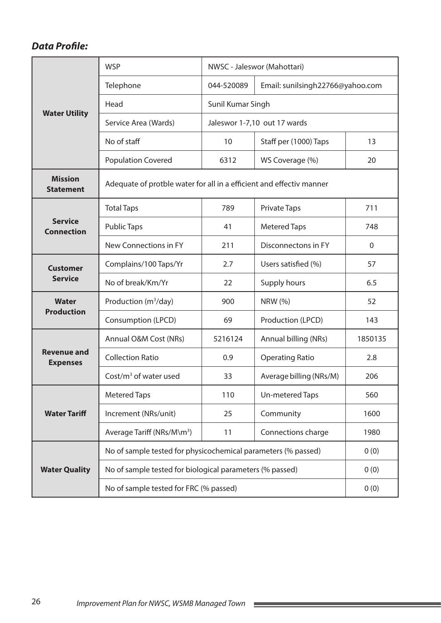|                                       | <b>WSP</b>                                           |                                                                                                                                                                                                                                                                                                                                                                                                                                                                     | NWSC - Jaleswor (Mahottari) |         |  |  |  |
|---------------------------------------|------------------------------------------------------|---------------------------------------------------------------------------------------------------------------------------------------------------------------------------------------------------------------------------------------------------------------------------------------------------------------------------------------------------------------------------------------------------------------------------------------------------------------------|-----------------------------|---------|--|--|--|
|                                       | Telephone                                            | 044-520089                                                                                                                                                                                                                                                                                                                                                                                                                                                          |                             |         |  |  |  |
|                                       | Head                                                 |                                                                                                                                                                                                                                                                                                                                                                                                                                                                     |                             |         |  |  |  |
| <b>Water Utility</b>                  | Service Area (Wards)<br>Jaleswor 1-7,10 out 17 wards |                                                                                                                                                                                                                                                                                                                                                                                                                                                                     |                             |         |  |  |  |
|                                       | No of staff                                          | 10                                                                                                                                                                                                                                                                                                                                                                                                                                                                  | Staff per (1000) Taps       | 13      |  |  |  |
|                                       | <b>Population Covered</b>                            | 6312                                                                                                                                                                                                                                                                                                                                                                                                                                                                | WS Coverage (%)             | 20      |  |  |  |
| <b>Mission</b><br><b>Statement</b>    |                                                      |                                                                                                                                                                                                                                                                                                                                                                                                                                                                     |                             |         |  |  |  |
|                                       | <b>Total Taps</b>                                    | 789                                                                                                                                                                                                                                                                                                                                                                                                                                                                 | <b>Private Taps</b>         | 711     |  |  |  |
| <b>Service</b><br><b>Connection</b>   | <b>Public Taps</b>                                   | 41                                                                                                                                                                                                                                                                                                                                                                                                                                                                  | <b>Metered Taps</b>         | 748     |  |  |  |
|                                       | New Connections in FY                                | 211                                                                                                                                                                                                                                                                                                                                                                                                                                                                 | Disconnectons in FY         | 0       |  |  |  |
| <b>Customer</b>                       | Complains/100 Taps/Yr                                | 2.7                                                                                                                                                                                                                                                                                                                                                                                                                                                                 | Users satisfied (%)         | 57      |  |  |  |
| <b>Service</b>                        | No of break/Km/Yr                                    | 22                                                                                                                                                                                                                                                                                                                                                                                                                                                                  | Supply hours                | 6.5     |  |  |  |
| Water                                 | Production (m <sup>3</sup> /day)                     | 900                                                                                                                                                                                                                                                                                                                                                                                                                                                                 | <b>NRW</b> (%)              | 52      |  |  |  |
| <b>Production</b>                     | Consumption (LPCD)                                   | Email: sunilsingh22766@yahoo.com<br>Sunil Kumar Singh<br>Adequate of protble water for all in a efficient and effectiv manner<br>69<br>Production (LPCD)<br>Annual billing (NRs)<br>5216124<br><b>Operating Ratio</b><br>0.9<br>Average billing (NRs/M)<br>33<br>110<br>Un-metered Taps<br>Community<br>25<br>Connections charge<br>11<br>No of sample tested for physicochemical parameters (% passed)<br>No of sample tested for biological parameters (% passed) | 143                         |         |  |  |  |
|                                       | Annual O&M Cost (NRs)                                |                                                                                                                                                                                                                                                                                                                                                                                                                                                                     |                             | 1850135 |  |  |  |
| <b>Revenue and</b><br><b>Expenses</b> | <b>Collection Ratio</b>                              |                                                                                                                                                                                                                                                                                                                                                                                                                                                                     |                             | 2.8     |  |  |  |
|                                       | Cost/ $m3$ of water used                             |                                                                                                                                                                                                                                                                                                                                                                                                                                                                     |                             | 206     |  |  |  |
|                                       | <b>Metered Taps</b>                                  |                                                                                                                                                                                                                                                                                                                                                                                                                                                                     |                             | 560     |  |  |  |
| <b>Water Tariff</b>                   | Increment (NRs/unit)                                 |                                                                                                                                                                                                                                                                                                                                                                                                                                                                     |                             | 1600    |  |  |  |
|                                       | Average Tariff (NRs/M\m <sup>3</sup> )               |                                                                                                                                                                                                                                                                                                                                                                                                                                                                     |                             | 1980    |  |  |  |
|                                       |                                                      | 0(0)                                                                                                                                                                                                                                                                                                                                                                                                                                                                |                             |         |  |  |  |
| <b>Water Quality</b>                  |                                                      |                                                                                                                                                                                                                                                                                                                                                                                                                                                                     |                             | 0(0)    |  |  |  |
|                                       | No of sample tested for FRC (% passed)               | 0(0)                                                                                                                                                                                                                                                                                                                                                                                                                                                                |                             |         |  |  |  |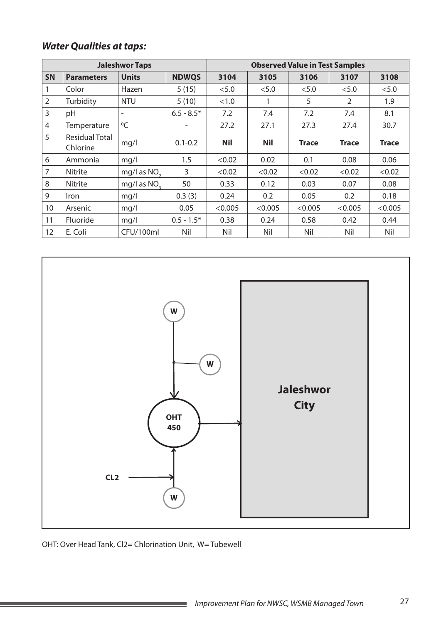| <b>Jaleshwor Taps</b> |                            |                          |              | <b>Observed Value in Test Samples</b> |            |              |                |              |  |
|-----------------------|----------------------------|--------------------------|--------------|---------------------------------------|------------|--------------|----------------|--------------|--|
| <b>SN</b>             | <b>Parameters</b>          | <b>Units</b>             | <b>NDWQS</b> | 3104                                  | 3105       | 3106         | 3107           | 3108         |  |
|                       | Color                      | Hazen                    | 5(15)        | < 5.0                                 | < 5.0      | < 5.0        | < 5.0          | < 5.0        |  |
| $\overline{2}$        | Turbidity                  | <b>NTU</b>               | 5(10)        | <1.0                                  | 1          | 5            | $\mathfrak{D}$ | 1.9          |  |
| 3                     | pH                         | $\overline{\phantom{a}}$ | $6.5 - 8.5*$ | 7.2                                   | 7.4        | 7.2          | 7.4            | 8.1          |  |
| $\overline{4}$        | Temperature                | $^0C$                    |              | 27.2                                  | 27.1       | 27.3         | 27.4           | 30.7         |  |
| 5                     | Residual Total<br>Chlorine | mq/l                     | $0.1 - 0.2$  | <b>Nil</b>                            | <b>Nil</b> | <b>Trace</b> | <b>Trace</b>   | <b>Trace</b> |  |
| 6                     | Ammonia                    | mq/l                     | 1.5          | < 0.02                                | 0.02       | 0.1          | 0.08           | 0.06         |  |
| 7                     | <b>Nitrite</b>             | mg/l as $NO2$            | 3            | < 0.02                                | < 0.02     | < 0.02       | < 0.02         | < 0.02       |  |
| 8                     | <b>Nitrite</b>             | mg/l as NO <sub>2</sub>  | 50           | 0.33                                  | 0.12       | 0.03         | 0.07           | 0.08         |  |
| 9                     | Iron                       | mq/1                     | 0.3(3)       | 0.24                                  | 0.2        | 0.05         | 0.2            | 0.18         |  |
| 10                    | Arsenic                    | mq/1                     | 0.05         | < 0.005                               | < 0.005    | < 0.005      | < 0.005        | < 0.005      |  |
| 11                    | Fluoride                   | mq/1                     | $0.5 - 1.5*$ | 0.38                                  | 0.24       | 0.58         | 0.42           | 0.44         |  |
| 12                    | E. Coli                    | CFU/100ml                | Nil          | Nil                                   | Nil        | Nil          | Nil            | Nil          |  |



OHT: Over Head Tank, Cl2= Chlorination Unit, W= Tubewell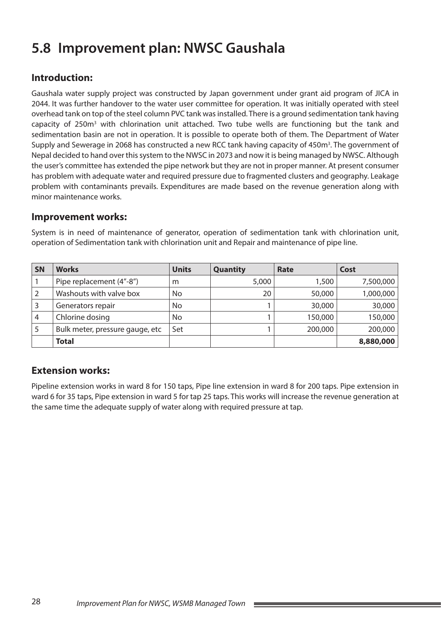# **5.8 Improvement plan: NWSC Gaushala**

## **Introduction:**

Gaushala water supply project was constructed by Japan government under grant aid program of JICA in 2044. It was further handover to the water user committee for operation. It was initially operated with steel overhead tank on top of the steel column PVC tank was installed. There is a ground sedimentation tank having capacity of 250m<sup>3</sup> with chlorination unit attached. Two tube wells are functioning but the tank and sedimentation basin are not in operation. It is possible to operate both of them. The Department of Water Supply and Sewerage in 2068 has constructed a new RCC tank having capacity of 450m<sup>3</sup>. The government of Nepal decided to hand over this system to the NWSC in 2073 and now it is being managed by NWSC. Although the user's committee has extended the pipe network but they are not in proper manner. At present consumer has problem with adequate water and required pressure due to fragmented clusters and geography. Leakage problem with contaminants prevails. Expenditures are made based on the revenue generation along with minor maintenance works.

#### **Improvement works:**

| <b>SN</b> | <b>Works</b>                    | <b>Units</b> | <b>Quantity</b> | Rate    | Cost      |
|-----------|---------------------------------|--------------|-----------------|---------|-----------|
|           | Pipe replacement (4"-8")        | m            | 5,000           | 1,500   | 7,500,000 |
| 2         | Washouts with valve box         | No           | 20              | 50,000  | 1,000,000 |
|           | Generators repair               | No           |                 | 30,000  | 30,000    |
| 4         | Chlorine dosing                 | No           |                 | 150,000 | 150,000   |
| 5         | Bulk meter, pressure gauge, etc | Set          |                 | 200,000 | 200,000   |
|           | <b>Total</b>                    |              |                 |         | 8,880,000 |

System is in need of maintenance of generator, operation of sedimentation tank with chlorination unit, operation of Sedimentation tank with chlorination unit and Repair and maintenance of pipe line.

#### **Extension works:**

Pipeline extension works in ward 8 for 150 taps, Pipe line extension in ward 8 for 200 taps. Pipe extension in ward 6 for 35 taps, Pipe extension in ward 5 for tap 25 taps. This works will increase the revenue generation at the same time the adequate supply of water along with required pressure at tap.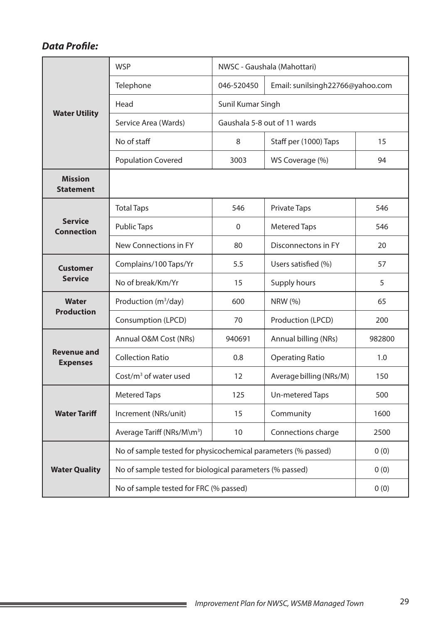|                                       | <b>WSP</b>                             |                                                                                                                                                                                                                                                                                                                                                                                                       | NWSC - Gaushala (Mahottari) |        |  |  |  |
|---------------------------------------|----------------------------------------|-------------------------------------------------------------------------------------------------------------------------------------------------------------------------------------------------------------------------------------------------------------------------------------------------------------------------------------------------------------------------------------------------------|-----------------------------|--------|--|--|--|
|                                       | Telephone                              | 046-520450                                                                                                                                                                                                                                                                                                                                                                                            |                             |        |  |  |  |
|                                       | Head                                   | Sunil Kumar Singh                                                                                                                                                                                                                                                                                                                                                                                     |                             |        |  |  |  |
| <b>Water Utility</b>                  | Service Area (Wards)                   |                                                                                                                                                                                                                                                                                                                                                                                                       |                             |        |  |  |  |
|                                       | No of staff                            | 8                                                                                                                                                                                                                                                                                                                                                                                                     | Staff per (1000) Taps       | 15     |  |  |  |
|                                       | <b>Population Covered</b>              | 3003                                                                                                                                                                                                                                                                                                                                                                                                  | WS Coverage (%)             | 94     |  |  |  |
| <b>Mission</b><br><b>Statement</b>    |                                        |                                                                                                                                                                                                                                                                                                                                                                                                       |                             |        |  |  |  |
|                                       | <b>Total Taps</b>                      | 546                                                                                                                                                                                                                                                                                                                                                                                                   | <b>Private Taps</b>         | 546    |  |  |  |
| <b>Service</b><br><b>Connection</b>   | <b>Public Taps</b>                     | $\mathbf 0$                                                                                                                                                                                                                                                                                                                                                                                           | <b>Metered Taps</b>         | 546    |  |  |  |
|                                       | New Connections in FY                  | 80                                                                                                                                                                                                                                                                                                                                                                                                    | Disconnectons in FY         | 20     |  |  |  |
| <b>Customer</b>                       | Complains/100 Taps/Yr                  | 5.5                                                                                                                                                                                                                                                                                                                                                                                                   | Users satisfied (%)         | 57     |  |  |  |
| <b>Service</b>                        | No of break/Km/Yr                      | 15                                                                                                                                                                                                                                                                                                                                                                                                    | Supply hours                | 5      |  |  |  |
| Water                                 | Production (m <sup>3</sup> /day)       | 600                                                                                                                                                                                                                                                                                                                                                                                                   | <b>NRW</b> (%)              | 65     |  |  |  |
| <b>Production</b>                     | Consumption (LPCD)                     | Email: sunilsingh22766@yahoo.com<br>Gaushala 5-8 out of 11 wards<br>Production (LPCD)<br>70<br>940691<br>Annual billing (NRs)<br>0.8<br><b>Operating Ratio</b><br>12<br>Average billing (NRs/M)<br>125<br>Un-metered Taps<br>Community<br>15<br>Connections charge<br>10<br>No of sample tested for physicochemical parameters (% passed)<br>No of sample tested for biological parameters (% passed) | 200                         |        |  |  |  |
|                                       | Annual O&M Cost (NRs)                  |                                                                                                                                                                                                                                                                                                                                                                                                       |                             | 982800 |  |  |  |
| <b>Revenue and</b><br><b>Expenses</b> | <b>Collection Ratio</b>                |                                                                                                                                                                                                                                                                                                                                                                                                       |                             | 1.0    |  |  |  |
|                                       | Cost/ $m3$ of water used               |                                                                                                                                                                                                                                                                                                                                                                                                       |                             | 150    |  |  |  |
|                                       | <b>Metered Taps</b>                    |                                                                                                                                                                                                                                                                                                                                                                                                       |                             | 500    |  |  |  |
| <b>Water Tariff</b>                   | Increment (NRs/unit)                   |                                                                                                                                                                                                                                                                                                                                                                                                       |                             | 1600   |  |  |  |
|                                       | Average Tariff (NRs/M\m <sup>3</sup> ) |                                                                                                                                                                                                                                                                                                                                                                                                       |                             | 2500   |  |  |  |
|                                       |                                        | 0(0)                                                                                                                                                                                                                                                                                                                                                                                                  |                             |        |  |  |  |
| <b>Water Quality</b>                  |                                        |                                                                                                                                                                                                                                                                                                                                                                                                       |                             | 0(0)   |  |  |  |
|                                       | No of sample tested for FRC (% passed) | 0(0)                                                                                                                                                                                                                                                                                                                                                                                                  |                             |        |  |  |  |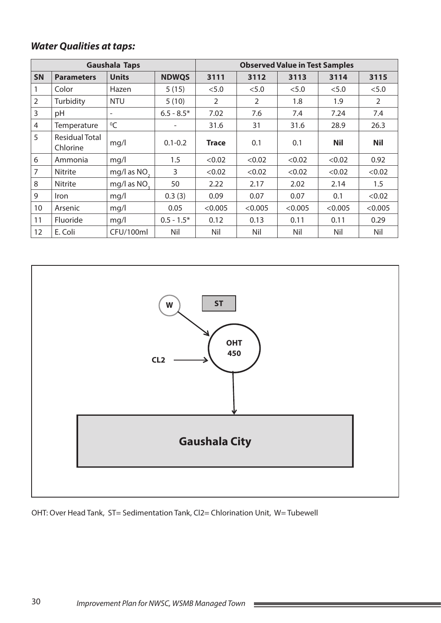| <b>Gaushala Taps</b> |                                   |                          |              | <b>Observed Value in Test Samples</b> |                |         |            |            |  |
|----------------------|-----------------------------------|--------------------------|--------------|---------------------------------------|----------------|---------|------------|------------|--|
| <b>SN</b>            | <b>Parameters</b>                 | <b>Units</b>             | <b>NDWQS</b> | 3111                                  | 3112           | 3113    | 3114       | 3115       |  |
|                      | Color                             | Hazen                    | 5(15)        | < 5.0                                 | < 5.0          | < 5.0   | < 5.0      | < 5.0      |  |
| $\overline{2}$       | Turbidity                         | <b>NTU</b>               | 5(10)        | $\overline{2}$                        | $\overline{2}$ | 1.8     | 1.9        | 2          |  |
| 3                    | pH                                | $\overline{\phantom{a}}$ | $6.5 - 8.5*$ | 7.02                                  | 7.6            | 7.4     | 7.24       | 7.4        |  |
| $\overline{4}$       | Temperature                       | $\mathrm{O}C$            | -            | 31.6                                  | 31             | 31.6    | 28.9       | 26.3       |  |
| 5                    | <b>Residual Total</b><br>Chlorine | mq/l                     | $0.1 - 0.2$  | <b>Trace</b>                          | 0.1            | 0.1     | <b>Nil</b> | <b>Nil</b> |  |
| 6                    | Ammonia                           | mq/l                     | 1.5          | < 0.02                                | < 0.02         | < 0.02  | < 0.02     | 0.92       |  |
| $\overline{7}$       | <b>Nitrite</b>                    | mg/l as NO <sub>2</sub>  | 3            | < 0.02                                | < 0.02         | < 0.02  | < 0.02     | < 0.02     |  |
| 8                    | Nitrite                           | mg/l as NO <sub>2</sub>  | 50           | 2.22                                  | 2.17           | 2.02    | 2.14       | 1.5        |  |
| 9                    | <b>Iron</b>                       | mq/l                     | 0.3(3)       | 0.09                                  | 0.07           | 0.07    | 0.1        | < 0.02     |  |
| 10                   | Arsenic                           | mq/l                     | 0.05         | < 0.005                               | < 0.005        | < 0.005 | < 0.005    | < 0.005    |  |
| 11                   | Fluoride                          | mq/l                     | $0.5 - 1.5*$ | 0.12                                  | 0.13           | 0.11    | 0.11       | 0.29       |  |
| 12                   | E. Coli                           | CFU/100ml                | Nil          | Nil                                   | Nil            | Nil     | Nil        | Nil        |  |



OHT: Over Head Tank, ST= Sedimentation Tank, Cl2= Chlorination Unit, W= Tubewell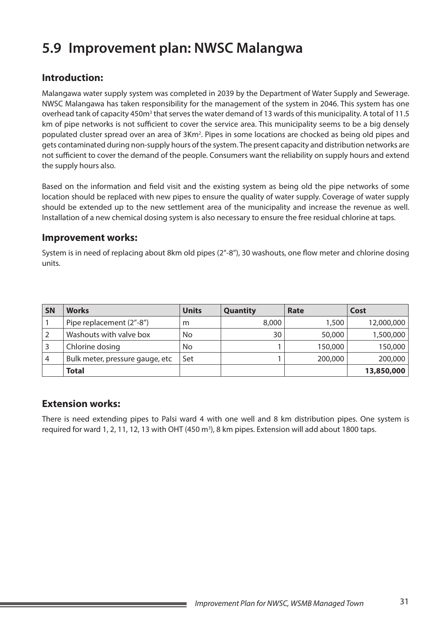# **5.9 Improvement plan: NWSC Malangwa**

### **Introduction:**

Malangawa water supply system was completed in 2039 by the Department of Water Supply and Sewerage. NWSC Malangawa has taken responsibility for the management of the system in 2046. This system has one overhead tank of capacity 450m<sup>3</sup> that serves the water demand of 13 wards of this municipality. A total of 11.5 km of pipe networks is not sufficient to cover the service area. This municipality seems to be a big densely populated cluster spread over an area of 3Km<sup>2</sup>. Pipes in some locations are chocked as being old pipes and gets contaminated during non-supply hours of the system. The present capacity and distribution networks are not sufficient to cover the demand of the people. Consumers want the reliability on supply hours and extend the supply hours also.

Based on the information and field visit and the existing system as being old the pipe networks of some location should be replaced with new pipes to ensure the quality of water supply. Coverage of water supply should be extended up to the new settlement area of the municipality and increase the revenue as well. Installation of a new chemical dosing system is also necessary to ensure the free residual chlorine at taps.

#### **Improvement works:**

System is in need of replacing about 8km old pipes (2"-8"), 30 washouts, one flow meter and chlorine dosing units.

| <b>SN</b> | <b>Works</b>                    | <b>Units</b>   | <b>Quantity</b> | Rate    | Cost       |
|-----------|---------------------------------|----------------|-----------------|---------|------------|
|           | Pipe replacement (2"-8")        | m              | 8,000           | 1,500   | 12,000,000 |
|           | Washouts with valve box         | N <sub>o</sub> | 30              | 50,000  | 1,500,000  |
|           | Chlorine dosing                 | No             |                 | 150,000 | 150,000    |
| 4         | Bulk meter, pressure gauge, etc | Set            |                 | 200,000 | 200,000    |
|           | <b>Total</b>                    |                |                 |         | 13,850,000 |

### **Extension works:**

There is need extending pipes to Palsi ward 4 with one well and 8 km distribution pipes. One system is required for ward 1, 2, 11, 12, 13 with OHT (450 m<sup>3</sup>), 8 km pipes. Extension will add about 1800 taps.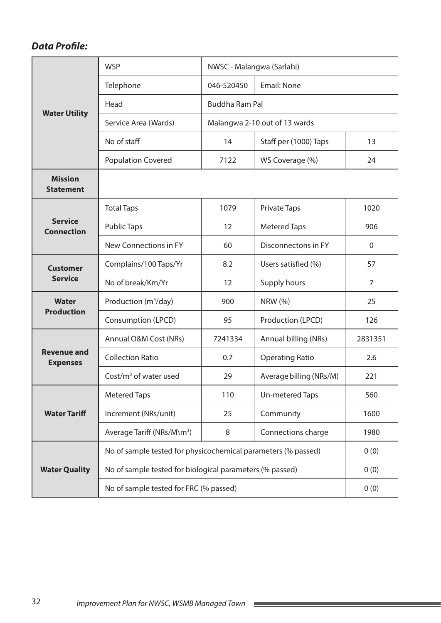|                                       | <b>WSP</b>                                                    | NWSC - Malangwa (Sarlahi)     |                         |                |  |  |  |
|---------------------------------------|---------------------------------------------------------------|-------------------------------|-------------------------|----------------|--|--|--|
|                                       | Telephone                                                     | 046-520450                    | <b>Email: None</b>      |                |  |  |  |
|                                       | Head                                                          | <b>Buddha Ram Pal</b>         |                         |                |  |  |  |
| <b>Water Utility</b>                  | Service Area (Wards)                                          | Malangwa 2-10 out of 13 wards |                         |                |  |  |  |
|                                       | No of staff                                                   | 14                            | Staff per (1000) Taps   | 13             |  |  |  |
|                                       | <b>Population Covered</b>                                     | 7122                          | WS Coverage (%)         | 24             |  |  |  |
| <b>Mission</b><br><b>Statement</b>    |                                                               |                               |                         |                |  |  |  |
|                                       | <b>Total Taps</b>                                             | 1079                          | <b>Private Taps</b>     | 1020           |  |  |  |
| <b>Service</b><br><b>Connection</b>   | <b>Public Taps</b>                                            | 12                            | <b>Metered Taps</b>     | 906            |  |  |  |
|                                       | New Connections in FY                                         | 60<br>Disconnectons in FY     |                         | $\mathbf 0$    |  |  |  |
| <b>Customer</b>                       | Complains/100 Taps/Yr                                         | 8.2<br>Users satisfied (%)    |                         | 57             |  |  |  |
| <b>Service</b>                        | No of break/Km/Yr                                             | 12                            | Supply hours            | $\overline{7}$ |  |  |  |
| <b>Water</b><br><b>Production</b>     | Production $(m^3/day)$<br>900                                 |                               | <b>NRW (%)</b>          | 25             |  |  |  |
|                                       | Consumption (LPCD)                                            | 95                            | Production (LPCD)       | 126            |  |  |  |
|                                       | Annual O&M Cost (NRs)                                         | 7241334                       | Annual billing (NRs)    | 2831351        |  |  |  |
| <b>Revenue and</b><br><b>Expenses</b> | <b>Collection Ratio</b>                                       | 0.7                           | <b>Operating Ratio</b>  | 2.6            |  |  |  |
|                                       | Cost/ $m3$ of water used                                      | 29                            | Average billing (NRs/M) | 221            |  |  |  |
|                                       | <b>Metered Taps</b>                                           | 110                           | Un-metered Taps         | 560            |  |  |  |
| <b>Water Tariff</b>                   | Increment (NRs/unit)                                          | 25                            | Community               | 1600           |  |  |  |
|                                       | Average Tariff (NRs/M\m <sup>3</sup> )                        | 8                             | Connections charge      | 1980           |  |  |  |
|                                       | No of sample tested for physicochemical parameters (% passed) |                               |                         | 0(0)           |  |  |  |
| <b>Water Quality</b>                  | No of sample tested for biological parameters (% passed)      |                               |                         | 0(0)           |  |  |  |
|                                       | No of sample tested for FRC (% passed)                        |                               | 0(0)                    |                |  |  |  |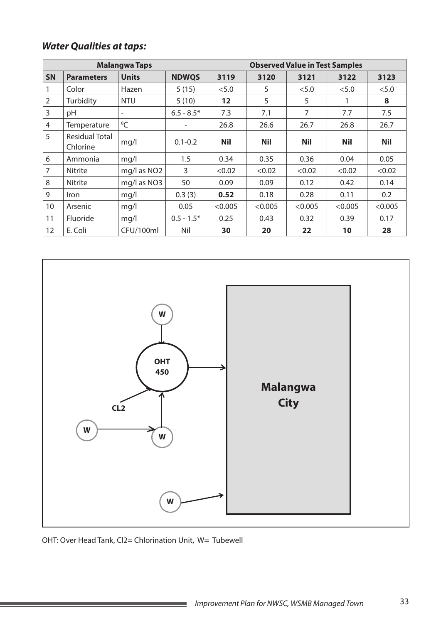|                |                                   | <b>Malangwa Taps</b>     |              |                 | <b>Observed Value in Test Samples</b> |            |            |            |
|----------------|-----------------------------------|--------------------------|--------------|-----------------|---------------------------------------|------------|------------|------------|
| <b>SN</b>      | <b>Parameters</b>                 | <b>Units</b>             | <b>NDWQS</b> | 3119            | 3120                                  | 3121       | 3122       | 3123       |
|                | Color                             | Hazen                    | 5(15)        | < 5.0           | 5                                     | < 5.0      | < 5.0      | < 5.0      |
| $\overline{2}$ | Turbidity                         | <b>NTU</b>               | 5(10)        | $12 \ \mathrm{$ | 5                                     | 5          | 1          | 8          |
| 3              | рH                                | $\overline{\phantom{a}}$ | $6.5 - 8.5*$ | 7.3             | 7.1                                   | 7          | 7.7        | 7.5        |
| 4              | Temperature                       | $\rm ^{0}C$              | -            | 26.8            | 26.6                                  | 26.7       | 26.8       | 26.7       |
| 5              | <b>Residual Total</b><br>Chlorine | mq/l                     | $0.1 - 0.2$  | <b>Nil</b>      | <b>Nil</b>                            | <b>Nil</b> | <b>Nil</b> | <b>Nil</b> |
| 6              | Ammonia                           | mq/l                     | 1.5          | 0.34            | 0.35                                  | 0.36       | 0.04       | 0.05       |
| 7              | <b>Nitrite</b>                    | mg/l as NO <sub>2</sub>  | 3            | < 0.02          | < 0.02                                | < 0.02     | < 0.02     | < 0.02     |
| 8              | Nitrite                           | mg/l as NO3              | 50           | 0.09            | 0.09                                  | 0.12       | 0.42       | 0.14       |
| 9              | <i><u><b>Iron</b></u></i>         | mq/1                     | 0.3(3)       | 0.52            | 0.18                                  | 0.28       | 0.11       | 0.2        |
| 10             | Arsenic                           | mq/1                     | 0.05         | < 0.005         | < 0.005                               | < 0.005    | < 0.005    | < 0.005    |
| 11             | Fluoride                          | mq/l                     | $0.5 - 1.5*$ | 0.25            | 0.43                                  | 0.32       | 0.39       | 0.17       |
| 12             | E. Coli                           | CFU/100ml                | Nil          | 30              | 20                                    | 22         | 10         | 28         |



OHT: Over Head Tank, Cl2= Chlorination Unit, W= Tubewell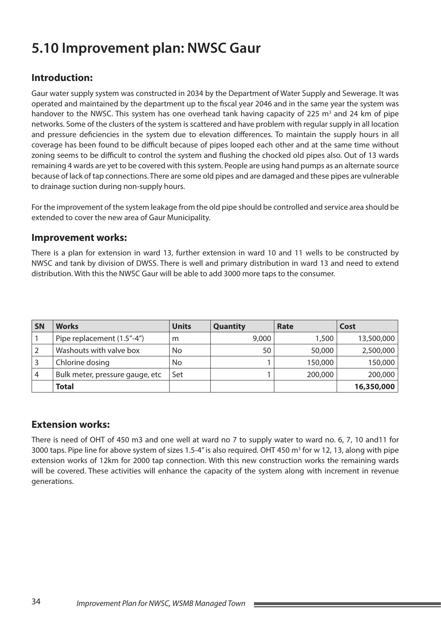# **5.10 Improvement plan: NWSC Gaur**

## **Introduction:**

Gaur water supply system was constructed in 2034 by the Department of Water Supply and Sewerage. It was operated and maintained by the department up to the fiscal year 2046 and in the same year the system was handover to the NWSC. This system has one overhead tank having capacity of 225 m<sup>3</sup> and 24 km of pipe networks. Some of the clusters of the system is scattered and have problem with regular supply in all location and pressure deficiencies in the system due to elevation differences. To maintain the supply hours in all coverage has been found to be difficult because of pipes looped each other and at the same time without zoning seems to be difficult to control the system and flushing the chocked old pipes also. Out of 13 wards remaining 4 wards are yet to be covered with this system. People are using hand pumps as an alternate source because of lack of tap connections. There are some old pipes and are damaged and these pipes are vulnerable to drainage suction during non-supply hours.

For the improvement of the system leakage from the old pipe should be controlled and service area should be extended to cover the new area of Gaur Municipality.

#### **Improvement works:**

There is a plan for extension in ward 13, further extension in ward 10 and 11 wells to be constructed by NWSC and tank by division of DWSS. There is well and primary distribution in ward 13 and need to extend distribution. With this the NWSC Gaur will be able to add 3000 more taps to the consumer.

| <b>SN</b> | <b>Works</b>                    | <b>Units</b> | <b>Quantity</b> | Rate    | Cost       |
|-----------|---------------------------------|--------------|-----------------|---------|------------|
|           | Pipe replacement (1.5"-4")      | m            | 9,000           | 1,500   | 13,500,000 |
|           | Washouts with valve box         | No           | 50              | 50,000  | 2,500,000  |
|           | Chlorine dosing                 | No           |                 | 150,000 | 150,000    |
| 4         | Bulk meter, pressure gauge, etc | Set          |                 | 200,000 | 200,000    |
|           | <b>Total</b>                    |              |                 |         | 16,350,000 |

### **Extension works:**

There is need of OHT of 450 m3 and one well at ward no 7 to supply water to ward no. 6, 7, 10 and11 for 3000 taps. Pipe line for above system of sizes 1.5-4" is also required. OHT 450 m<sup>3</sup> for w 12, 13, along with pipe extension works of 12km for 2000 tap connection. With this new construction works the remaining wards will be covered. These activities will enhance the capacity of the system along with increment in revenue generations.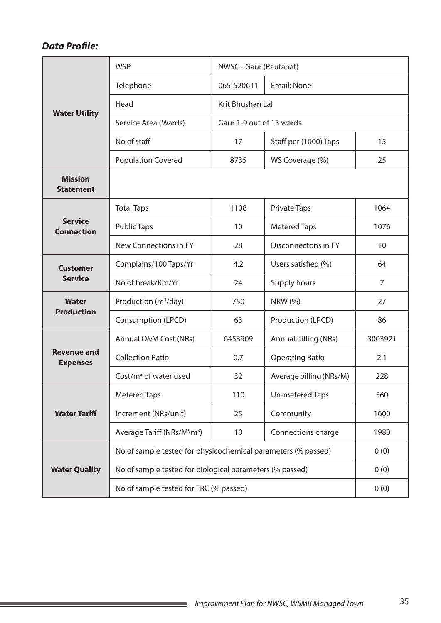|                                       | <b>WSP</b>                                                    | NWSC - Gaur (Rautahat)     |                         |                |  |  |  |
|---------------------------------------|---------------------------------------------------------------|----------------------------|-------------------------|----------------|--|--|--|
|                                       | Telephone                                                     | 065-520611                 | <b>Email: None</b>      |                |  |  |  |
|                                       | Head                                                          | Krit Bhushan Lal           |                         |                |  |  |  |
| <b>Water Utility</b>                  | Service Area (Wards)                                          | Gaur 1-9 out of 13 wards   |                         |                |  |  |  |
|                                       | No of staff                                                   | 17                         | Staff per (1000) Taps   | 15             |  |  |  |
|                                       | <b>Population Covered</b>                                     | 8735                       | WS Coverage (%)         | 25             |  |  |  |
| <b>Mission</b><br><b>Statement</b>    |                                                               |                            |                         |                |  |  |  |
|                                       | <b>Total Taps</b>                                             | 1108                       | <b>Private Taps</b>     | 1064           |  |  |  |
| <b>Service</b><br><b>Connection</b>   | <b>Public Taps</b>                                            | 10                         | <b>Metered Taps</b>     | 1076           |  |  |  |
|                                       | New Connections in FY                                         | 28                         | Disconnectons in FY     | 10             |  |  |  |
| <b>Customer</b>                       | Complains/100 Taps/Yr                                         | 4.2<br>Users satisfied (%) |                         | 64             |  |  |  |
| <b>Service</b>                        | No of break/Km/Yr                                             | 24                         | Supply hours            | $\overline{7}$ |  |  |  |
| <b>Water</b>                          | Production (m <sup>3</sup> /day)                              | 750                        | <b>NRW</b> (%)          | 27             |  |  |  |
| <b>Production</b>                     | Consumption (LPCD)                                            | 63                         | Production (LPCD)       | 86             |  |  |  |
|                                       | Annual O&M Cost (NRs)                                         | 6453909                    | Annual billing (NRs)    | 3003921        |  |  |  |
| <b>Revenue and</b><br><b>Expenses</b> | <b>Collection Ratio</b>                                       | 0.7                        | <b>Operating Ratio</b>  | 2.1            |  |  |  |
|                                       | Cost/ $m3$ of water used                                      | 32                         | Average billing (NRs/M) | 228            |  |  |  |
|                                       | <b>Metered Taps</b>                                           | 110                        | Un-metered Taps         | 560            |  |  |  |
| <b>Water Tariff</b>                   | Increment (NRs/unit)                                          | 25                         | Community               | 1600           |  |  |  |
|                                       | Average Tariff (NRs/M\m <sup>3</sup> )                        | 10                         | Connections charge      | 1980           |  |  |  |
|                                       | No of sample tested for physicochemical parameters (% passed) |                            |                         | 0(0)           |  |  |  |
| <b>Water Quality</b>                  | No of sample tested for biological parameters (% passed)      |                            |                         | 0(0)           |  |  |  |
|                                       | No of sample tested for FRC (% passed)                        | 0(0)                       |                         |                |  |  |  |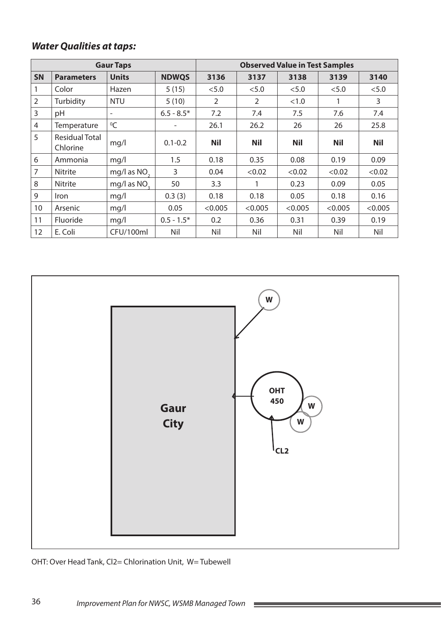|                |                                   | <b>Gaur Taps</b>         |              |                | <b>Observed Value in Test Samples</b> |            |            |            |
|----------------|-----------------------------------|--------------------------|--------------|----------------|---------------------------------------|------------|------------|------------|
| <b>SN</b>      | <b>Parameters</b>                 | <b>Units</b>             | <b>NDWQS</b> | 3136           | 3137                                  | 3138       | 3139       | 3140       |
| 1              | Color                             | Hazen                    | 5(15)        | < 5.0          | < 5.0                                 | < 5.0      | < 5.0      | < 5.0      |
| $\overline{2}$ | Turbidity                         | <b>NTU</b>               | 5(10)        | $\overline{2}$ | 2                                     | <1.0       |            | 3          |
| 3              | pH                                | $\overline{\phantom{a}}$ | $6.5 - 8.5*$ | 7.2            | 7.4                                   | 7.5        | 7.6        | 7.4        |
| 4              | Temperature                       | ${}^{0}C$                |              | 26.1           | 26.2                                  | 26         | 26         | 25.8       |
| 5              | <b>Residual Total</b><br>Chlorine | mg/l                     | $0.1 - 0.2$  | <b>Nil</b>     | <b>Nil</b>                            | <b>Nil</b> | <b>Nil</b> | <b>Nil</b> |
| 6              | Ammonia                           | mq/l                     | 1.5          | 0.18           | 0.35                                  | 0.08       | 0.19       | 0.09       |
| $\overline{7}$ | <b>Nitrite</b>                    | mg/l as NO <sub>2</sub>  | 3            | 0.04           | < 0.02                                | < 0.02     | < 0.02     | < 0.02     |
| 8              | Nitrite                           | mg/l as NO <sub>2</sub>  | 50           | 3.3            |                                       | 0.23       | 0.09       | 0.05       |
| 9              | <i>Iron</i>                       | mq/l                     | 0.3(3)       | 0.18           | 0.18                                  | 0.05       | 0.18       | 0.16       |
| 10             | Arsenic                           | mq/l                     | 0.05         | < 0.005        | < 0.005                               | < 0.005    | < 0.005    | < 0.005    |
| 11             | <b>Fluoride</b>                   | mq/l                     | $0.5 - 1.5*$ | 0.2            | 0.36                                  | 0.31       | 0.39       | 0.19       |
| 12             | E. Coli                           | CFU/100ml                | Nil          | Nil            | Nil                                   | Nil        | Nil        | Nil        |



OHT: Over Head Tank, Cl2= Chlorination Unit, W= Tubewell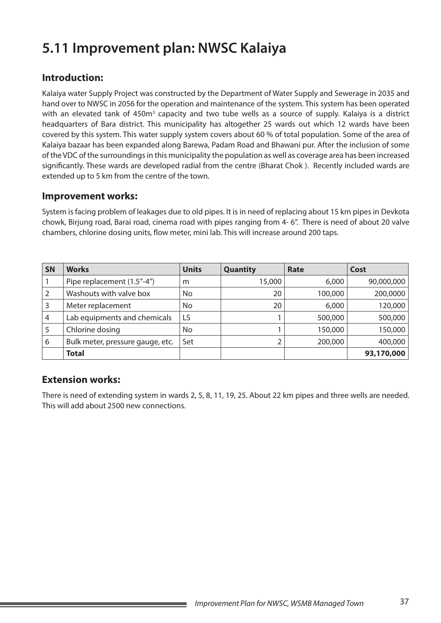# **5.11 Improvement plan: NWSC Kalaiya**

### **Introduction:**

Kalaiya water Supply Project was constructed by the Department of Water Supply and Sewerage in 2035 and hand over to NWSC in 2056 for the operation and maintenance of the system. This system has been operated with an elevated tank of 450m<sup>3</sup> capacity and two tube wells as a source of supply. Kalaiya is a district headquarters of Bara district. This municipality has altogether 25 wards out which 12 wards have been covered by this system. This water supply system covers about 60 % of total population. Some of the area of Kalaiya bazaar has been expanded along Barewa, Padam Road and Bhawani pur. After the inclusion of some of the VDC of the surroundings in this municipality the population as well as coverage area has been increased significantly. These wards are developed radial from the centre (Bharat Chok ). Recently included wards are extended up to 5 km from the centre of the town.

#### **Improvement works:**

System is facing problem of leakages due to old pipes. It is in need of replacing about 15 km pipes in Devkota chowk, Birjung road, Barai road, cinema road with pipes ranging from 4- 6". There is need of about 20 valve chambers, chlorine dosing units, flow meter, mini lab. This will increase around 200 taps.

| <b>SN</b> | <b>Works</b>                     | <b>Units</b> | <b>Quantity</b> | Rate    | Cost       |
|-----------|----------------------------------|--------------|-----------------|---------|------------|
|           | Pipe replacement (1.5"-4")       | m            | 15,000          | 6,000   | 90,000,000 |
|           | Washouts with valve box          | No           | 20              | 100,000 | 200,0000   |
| 3         | Meter replacement                | No           | 20              | 6,000   | 120,000    |
| 4         | Lab equipments and chemicals     | LS           |                 | 500,000 | 500,000    |
|           | Chlorine dosing                  | No           |                 | 150,000 | 150,000    |
| 6         | Bulk meter, pressure gauge, etc. | Set          |                 | 200,000 | 400,000    |
|           | <b>Total</b>                     |              |                 |         | 93,170,000 |

### **Extension works:**

There is need of extending system in wards 2, 5, 8, 11, 19, 25. About 22 km pipes and three wells are needed. This will add about 2500 new connections.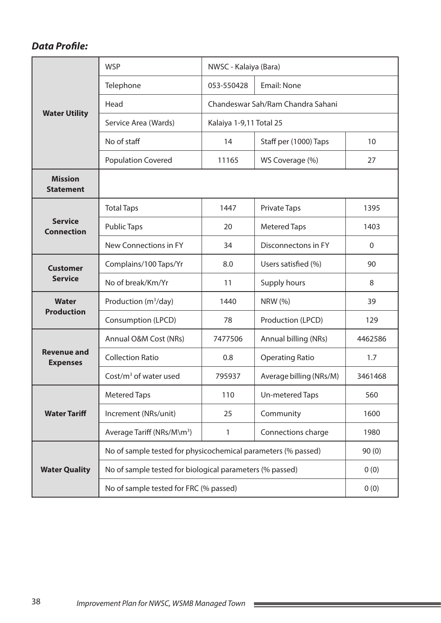|                                       | <b>WSP</b>                                                    | NWSC - Kalaiya (Bara)      |                                   |             |  |  |  |
|---------------------------------------|---------------------------------------------------------------|----------------------------|-----------------------------------|-------------|--|--|--|
|                                       | Telephone                                                     | 053-550428                 | <b>Email: None</b>                |             |  |  |  |
|                                       | Head                                                          |                            | Chandeswar Sah/Ram Chandra Sahani |             |  |  |  |
| <b>Water Utility</b>                  | Service Area (Wards)                                          | Kalaiya 1-9,11 Total 25    |                                   |             |  |  |  |
|                                       | No of staff                                                   | 14                         | Staff per (1000) Taps             | 10          |  |  |  |
|                                       | <b>Population Covered</b>                                     | 11165                      | WS Coverage (%)                   | 27          |  |  |  |
| <b>Mission</b><br><b>Statement</b>    |                                                               |                            |                                   |             |  |  |  |
|                                       | <b>Total Taps</b>                                             | 1447                       | <b>Private Taps</b>               | 1395        |  |  |  |
| <b>Service</b><br><b>Connection</b>   | <b>Public Taps</b>                                            | 20                         | <b>Metered Taps</b>               | 1403        |  |  |  |
|                                       | New Connections in FY                                         | 34                         | Disconnectons in FY               | $\mathbf 0$ |  |  |  |
| <b>Customer</b>                       | Complains/100 Taps/Yr                                         | 8.0<br>Users satisfied (%) |                                   | 90          |  |  |  |
| <b>Service</b>                        | No of break/Km/Yr                                             | 11                         | Supply hours                      | 8           |  |  |  |
| <b>Water</b><br><b>Production</b>     | Production (m <sup>3</sup> /day)                              | 1440                       | <b>NRW</b> (%)                    | 39          |  |  |  |
|                                       | Consumption (LPCD)                                            | 78                         | Production (LPCD)                 | 129         |  |  |  |
|                                       | Annual O&M Cost (NRs)                                         | 7477506                    | Annual billing (NRs)              | 4462586     |  |  |  |
| <b>Revenue and</b><br><b>Expenses</b> | <b>Collection Ratio</b>                                       | 0.8                        | <b>Operating Ratio</b>            | 1.7         |  |  |  |
|                                       | Cost/ $m3$ of water used                                      | 795937                     | Average billing (NRs/M)           | 3461468     |  |  |  |
|                                       | <b>Metered Taps</b>                                           | 110                        | Un-metered Taps                   | 560         |  |  |  |
| <b>Water Tariff</b>                   | Increment (NRs/unit)                                          | 25                         | Community                         | 1600        |  |  |  |
|                                       | Average Tariff (NRs/M\m <sup>3</sup> )                        | 1                          | Connections charge                | 1980        |  |  |  |
|                                       | No of sample tested for physicochemical parameters (% passed) |                            |                                   | 90(0)       |  |  |  |
| <b>Water Quality</b>                  | No of sample tested for biological parameters (% passed)      |                            |                                   | 0(0)        |  |  |  |
|                                       | No of sample tested for FRC (% passed)                        | 0(0)                       |                                   |             |  |  |  |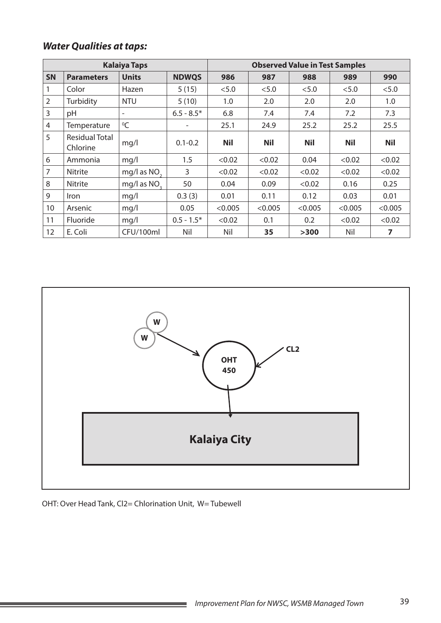|                |                            | <b>Kalaiya Taps</b>      |              |            | <b>Observed Value in Test Samples</b> |            |            |            |  |
|----------------|----------------------------|--------------------------|--------------|------------|---------------------------------------|------------|------------|------------|--|
| <b>SN</b>      | <b>Parameters</b>          | <b>Units</b>             | <b>NDWQS</b> | 986        | 987                                   | 988        | 989        | 990        |  |
|                | Color                      | Hazen                    | 5(15)        | < 5.0      | < 5.0                                 | < 5.0      | < 5.0      | < 5.0      |  |
| $\overline{2}$ | Turbidity                  | <b>NTU</b>               | 5(10)        | 1.0        | 2.0                                   | 2.0        | 2.0        | 1.0        |  |
| 3              | pH                         | $\overline{\phantom{a}}$ | $6.5 - 8.5*$ | 6.8        | 7.4                                   | 7.4        | 7.2        | 7.3        |  |
| $\overline{4}$ | Temperature                | $\mathrm{O}C$            |              | 25.1       | 24.9                                  | 25.2       | 25.2       | 25.5       |  |
| 5              | Residual Total<br>Chlorine | mq/l                     | $0.1 - 0.2$  | <b>Nil</b> | <b>Nil</b>                            | <b>Nil</b> | <b>Nil</b> | <b>Nil</b> |  |
| 6              | Ammonia                    | mq/l                     | 1.5          | < 0.02     | < 0.02                                | 0.04       | < 0.02     | < 0.02     |  |
| 7              | <b>Nitrite</b>             | mg/l as $NO2$            | 3            | <0.02      | < 0.02                                | < 0.02     | < 0.02     | < 0.02     |  |
| 8              | Nitrite                    | mg/l as NO <sub>2</sub>  | 50           | 0.04       | 0.09                                  | < 0.02     | 0.16       | 0.25       |  |
| 9              | Iron                       | mq/l                     | 0.3(3)       | 0.01       | 0.11                                  | 0.12       | 0.03       | 0.01       |  |
| 10             | Arsenic                    | mq/l                     | 0.05         | < 0.005    | < 0.005                               | < 0.005    | < 0.005    | < 0.005    |  |
| 11             | Fluoride                   | mq/1                     | $0.5 - 1.5*$ | < 0.02     | 0.1                                   | 0.2        | < 0.02     | < 0.02     |  |
| 12             | E. Coli                    | CFU/100ml                | Nil          | Nil        | 35                                    | >300       | Nil        | 7          |  |



OHT: Over Head Tank, Cl2= Chlorination Unit, W= Tubewell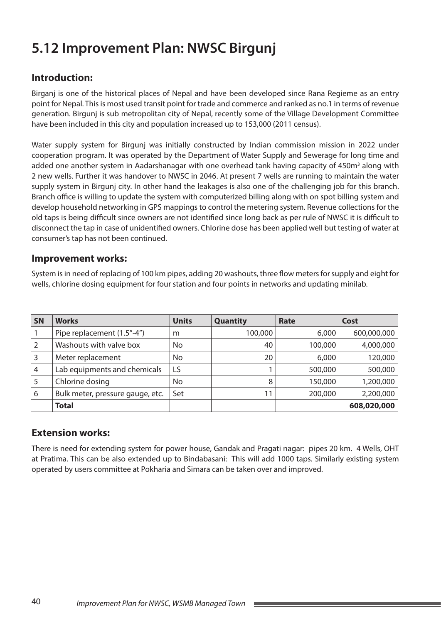# **5.12 Improvement Plan: NWSC Birgunj**

## **Introduction:**

Birganj is one of the historical places of Nepal and have been developed since Rana Regieme as an entry point for Nepal. This is most used transit point for trade and commerce and ranked as no.1 in terms of revenue generation. Birgunj is sub metropolitan city of Nepal, recently some of the Village Development Committee have been included in this city and population increased up to 153,000 (2011 census).

Water supply system for Birgunj was initially constructed by Indian commission mission in 2022 under cooperation program. It was operated by the Department of Water Supply and Sewerage for long time and added one another system in Aadarshanagar with one overhead tank having capacity of 450m<sup>3</sup> along with 2 new wells. Further it was handover to NWSC in 2046. At present 7 wells are running to maintain the water supply system in Birgunj city. In other hand the leakages is also one of the challenging job for this branch. Branch office is willing to update the system with computerized billing along with on spot billing system and develop household networking in GPS mappings to control the metering system. Revenue collections for the old taps is being difficult since owners are not identified since long back as per rule of NWSC it is difficult to disconnect the tap in case of unidentified owners. Chlorine dose has been applied well but testing of water at consumer's tap has not been continued.

#### **Improvement works:**

System is in need of replacing of 100 km pipes, adding 20 washouts, three flow meters for supply and eight for wells, chlorine dosing equipment for four station and four points in networks and updating minilab.

| <b>SN</b>      | <b>Works</b>                     | <b>Units</b> | <b>Quantity</b> | Rate    | Cost        |
|----------------|----------------------------------|--------------|-----------------|---------|-------------|
|                | Pipe replacement (1.5"-4")       | m            | 100,000         | 6,000   | 600,000,000 |
| $\overline{2}$ | Washouts with valve box          | No           | 40              | 100,000 | 4,000,000   |
| 3              | Meter replacement                | No           | 20              | 6,000   | 120,000     |
| 4              | Lab equipments and chemicals     | LS           |                 | 500,000 | 500,000     |
| 5              | Chlorine dosing                  | No           | 8               | 150,000 | 1,200,000   |
| 6              | Bulk meter, pressure gauge, etc. | Set          | 11              | 200,000 | 2,200,000   |
|                | <b>Total</b>                     |              |                 |         | 608,020,000 |

### **Extension works:**

There is need for extending system for power house, Gandak and Pragati nagar: pipes 20 km. 4 Wells, OHT at Pratima. This can be also extended up to Bindabasani: This will add 1000 taps. Similarly existing system operated by users committee at Pokharia and Simara can be taken over and improved.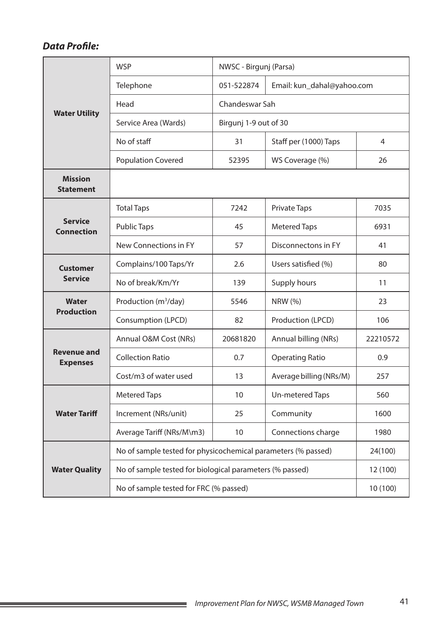|                                       | <b>WSP</b>                                                    | NWSC - Birgunj (Parsa) |                            |          |  |  |
|---------------------------------------|---------------------------------------------------------------|------------------------|----------------------------|----------|--|--|
|                                       | Telephone                                                     | 051-522874             | Email: kun_dahal@yahoo.com |          |  |  |
|                                       | Head                                                          | Chandeswar Sah         |                            |          |  |  |
| <b>Water Utility</b>                  | Service Area (Wards)                                          | Birgunj 1-9 out of 30  |                            |          |  |  |
|                                       | No of staff                                                   | 31                     | Staff per (1000) Taps      | 4        |  |  |
|                                       | <b>Population Covered</b>                                     | 52395                  | WS Coverage (%)            | 26       |  |  |
| <b>Mission</b><br><b>Statement</b>    |                                                               |                        |                            |          |  |  |
|                                       | <b>Total Taps</b>                                             | 7242                   | <b>Private Taps</b>        | 7035     |  |  |
| <b>Service</b><br><b>Connection</b>   | <b>Public Taps</b>                                            | 45                     | <b>Metered Taps</b>        | 6931     |  |  |
|                                       | New Connections in FY                                         | 57                     | Disconnectons in FY        | 41       |  |  |
| <b>Customer</b>                       | Complains/100 Taps/Yr                                         | 2.6                    | Users satisfied (%)        | 80       |  |  |
| <b>Service</b>                        | No of break/Km/Yr                                             | 139                    | Supply hours               | 11       |  |  |
| <b>Water</b>                          | Production (m <sup>3</sup> /day)                              | 5546                   | NRW (%)                    | 23       |  |  |
| <b>Production</b>                     | Consumption (LPCD)                                            | 82                     | Production (LPCD)          | 106      |  |  |
|                                       | Annual O&M Cost (NRs)                                         | 20681820               | Annual billing (NRs)       | 22210572 |  |  |
| <b>Revenue and</b><br><b>Expenses</b> | <b>Collection Ratio</b>                                       | 0.7                    | <b>Operating Ratio</b>     | 0.9      |  |  |
|                                       | Cost/m3 of water used                                         | 13                     | Average billing (NRs/M)    | 257      |  |  |
|                                       | <b>Metered Taps</b>                                           | 10                     | Un-metered Taps            | 560      |  |  |
| <b>Water Tariff</b>                   | Increment (NRs/unit)                                          | 25                     | Community                  | 1600     |  |  |
|                                       | Average Tariff (NRs/M\m3)                                     | 10                     | Connections charge         | 1980     |  |  |
|                                       | No of sample tested for physicochemical parameters (% passed) |                        |                            | 24(100)  |  |  |
| <b>Water Quality</b>                  | No of sample tested for biological parameters (% passed)      |                        |                            | 12 (100) |  |  |
|                                       | No of sample tested for FRC (% passed)                        | 10 (100)               |                            |          |  |  |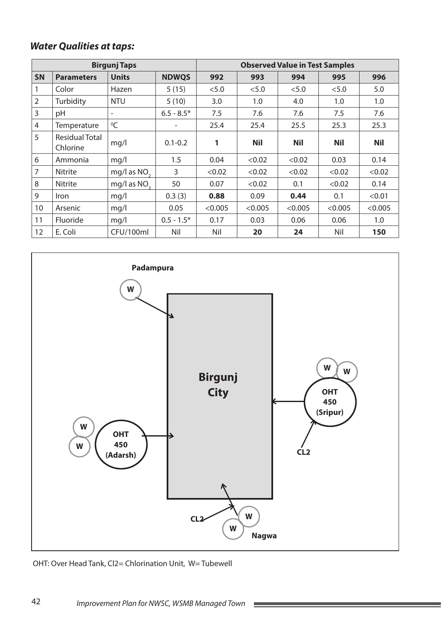|                |                                   | <b>Birgunj Taps</b>      |              |         | <b>Observed Value in Test Samples</b> |            |            |            |  |
|----------------|-----------------------------------|--------------------------|--------------|---------|---------------------------------------|------------|------------|------------|--|
| <b>SN</b>      | <b>Parameters</b>                 | <b>Units</b>             | <b>NDWQS</b> | 992     | 993                                   | 994        | 995        | 996        |  |
|                | Color                             | Hazen                    | 5(15)        | < 5.0   | < 5.0                                 | < 5.0      | < 5.0      | 5.0        |  |
| $\overline{2}$ | Turbidity                         | <b>NTU</b>               | 5(10)        | 3.0     | 1.0                                   | 4.0        | 1.0        | 1.0        |  |
| 3              | pH                                | $\overline{\phantom{0}}$ | $6.5 - 8.5*$ | 7.5     | 7.6                                   | 7.6        | 7.5        | 7.6        |  |
| $\overline{4}$ | Temperature                       | $^0C$                    |              | 25.4    | 25.4                                  | 25.5       | 25.3       | 25.3       |  |
| 5              | <b>Residual Total</b><br>Chlorine | mg/l                     | $0.1 - 0.2$  | 1       | <b>Nil</b>                            | <b>Nil</b> | <b>Nil</b> | <b>Nil</b> |  |
| 6              | Ammonia                           | mq/l                     | 1.5          | 0.04    | < 0.02                                | < 0.02     | 0.03       | 0.14       |  |
| $\overline{7}$ | Nitrite                           | mg/l as NO <sub>2</sub>  | 3            | < 0.02  | < 0.02                                | < 0.02     | < 0.02     | < 0.02     |  |
| 8              | Nitrite                           | mg/l as NO <sub>2</sub>  | 50           | 0.07    | < 0.02                                | 0.1        | < 0.02     | 0.14       |  |
| 9              | <i>Iron</i>                       | mq/l                     | 0.3(3)       | 0.88    | 0.09                                  | 0.44       | 0.1        | < 0.01     |  |
| 10             | Arsenic                           | mq/l                     | 0.05         | < 0.005 | < 0.005                               | < 0.005    | < 0.005    | < 0.005    |  |
| 11             | <b>Fluoride</b>                   | mq/l                     | $0.5 - 1.5*$ | 0.17    | 0.03                                  | 0.06       | 0.06       | 1.0        |  |
| 12             | E. Coli                           | CFU/100ml                | Nil          | Nil     | 20                                    | 24         | Nil        | 150        |  |



**Contract** 

OHT: Over Head Tank, Cl2= Chlorination Unit, W= Tubewell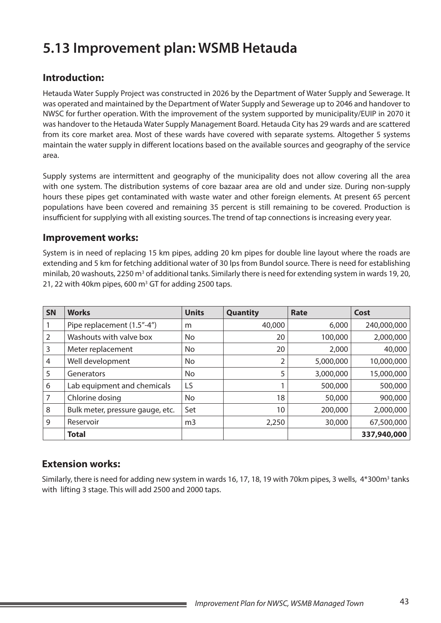# **5.13 Improvement plan: WSMB Hetauda**

### **Introduction:**

Hetauda Water Supply Project was constructed in 2026 by the Department of Water Supply and Sewerage. It was operated and maintained by the Department of Water Supply and Sewerage up to 2046 and handover to NWSC for further operation. With the improvement of the system supported by municipality/EUIP in 2070 it was handover to the Hetauda Water Supply Management Board. Hetauda City has 29 wards and are scattered from its core market area. Most of these wards have covered with separate systems. Altogether 5 systems maintain the water supply in different locations based on the available sources and geography of the service area.

Supply systems are intermittent and geography of the municipality does not allow covering all the area with one system. The distribution systems of core bazaar area are old and under size. During non-supply hours these pipes get contaminated with waste water and other foreign elements. At present 65 percent populations have been covered and remaining 35 percent is still remaining to be covered. Production is insufficient for supplying with all existing sources. The trend of tap connections is increasing every year.

#### **Improvement works:**

System is in need of replacing 15 km pipes, adding 20 km pipes for double line layout where the roads are extending and 5 km for fetching additional water of 30 lps from Bundol source. There is need for establishing minilab, 20 washouts, 2250 m<sup>3</sup> of additional tanks. Similarly there is need for extending system in wards 19, 20, 21, 22 with 40km pipes, 600  $m<sup>3</sup>$  GT for adding 2500 taps.

| <b>SN</b> | <b>Works</b>                     | <b>Units</b>   | Quantity | Rate      | Cost        |
|-----------|----------------------------------|----------------|----------|-----------|-------------|
|           | Pipe replacement (1.5"-4")       | m              | 40,000   | 6,000     | 240,000,000 |
| 2         | Washouts with valve box          | No.            | 20       | 100,000   | 2,000,000   |
| 3         | Meter replacement                | No.            | 20       | 2,000     | 40,000      |
| 4         | Well development                 | No.            |          | 5,000,000 | 10,000,000  |
| 5         | Generators                       | No             | 5        | 3,000,000 | 15,000,000  |
| 6         | Lab equipment and chemicals      | LS             |          | 500,000   | 500,000     |
| 7         | Chlorine dosing                  | No.            | 18       | 50,000    | 900,000     |
| 8         | Bulk meter, pressure gauge, etc. | Set            | 10       | 200,000   | 2,000,000   |
| 9         | Reservoir                        | m <sub>3</sub> | 2,250    | 30,000    | 67,500,000  |
|           | <b>Total</b>                     |                |          |           | 337,940,000 |

### **Extension works:**

Similarly, there is need for adding new system in wards 16, 17, 18, 19 with 70km pipes, 3 wells, 4\*300m<sup>3</sup> tanks with lifting 3 stage. This will add 2500 and 2000 taps.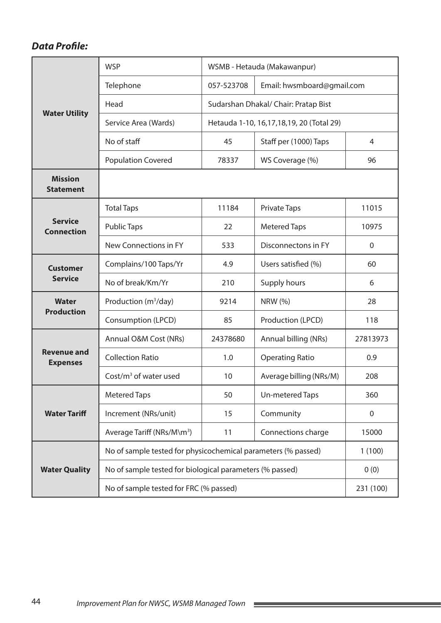|                                       | <b>WSP</b>                                                    |            | WSMB - Hetauda (Makawanpur)                 |                |  |  |  |
|---------------------------------------|---------------------------------------------------------------|------------|---------------------------------------------|----------------|--|--|--|
|                                       | Telephone                                                     | 057-523708 | Email: hwsmboard@gmail.com                  |                |  |  |  |
|                                       | Head                                                          |            | Sudarshan Dhakal/ Chair: Pratap Bist        |                |  |  |  |
| <b>Water Utility</b>                  | Service Area (Wards)                                          |            | Hetauda 1-10, 16, 17, 18, 19, 20 (Total 29) |                |  |  |  |
|                                       | No of staff                                                   | 45         | Staff per (1000) Taps                       | $\overline{4}$ |  |  |  |
|                                       | <b>Population Covered</b>                                     | 78337      | WS Coverage (%)                             | 96             |  |  |  |
| <b>Mission</b><br><b>Statement</b>    |                                                               |            |                                             |                |  |  |  |
|                                       | <b>Total Taps</b>                                             | 11184      | <b>Private Taps</b>                         | 11015          |  |  |  |
| <b>Service</b><br><b>Connection</b>   | <b>Public Taps</b>                                            | 22         | <b>Metered Taps</b>                         | 10975          |  |  |  |
|                                       | New Connections in FY                                         | 533        | Disconnectons in FY                         | $\mathbf 0$    |  |  |  |
| <b>Customer</b>                       | Complains/100 Taps/Yr                                         | 4.9        | Users satisfied (%)                         | 60             |  |  |  |
| <b>Service</b>                        | No of break/Km/Yr                                             | 210        | Supply hours                                | 6              |  |  |  |
| <b>Water</b><br><b>Production</b>     | Production (m <sup>3</sup> /day)                              | 9214       | <b>NRW</b> (%)                              | 28             |  |  |  |
|                                       | Consumption (LPCD)                                            | 85         | Production (LPCD)                           | 118            |  |  |  |
|                                       | Annual O&M Cost (NRs)                                         | 24378680   | Annual billing (NRs)                        | 27813973       |  |  |  |
| <b>Revenue and</b><br><b>Expenses</b> | <b>Collection Ratio</b>                                       | 1.0        | <b>Operating Ratio</b>                      | 0.9            |  |  |  |
|                                       | Cost/ $m3$ of water used                                      | 10         | Average billing (NRs/M)                     | 208            |  |  |  |
|                                       | <b>Metered Taps</b>                                           | 50         | Un-metered Taps                             | 360            |  |  |  |
| <b>Water Tariff</b>                   | Increment (NRs/unit)                                          | 15         | Community                                   | $\mathbf 0$    |  |  |  |
|                                       | Average Tariff (NRs/M\m <sup>3</sup> )                        | 11         | Connections charge                          | 15000          |  |  |  |
|                                       | No of sample tested for physicochemical parameters (% passed) |            |                                             | 1(100)         |  |  |  |
| <b>Water Quality</b>                  | No of sample tested for biological parameters (% passed)      |            |                                             | 0(0)           |  |  |  |
|                                       | No of sample tested for FRC (% passed)                        | 231 (100)  |                                             |                |  |  |  |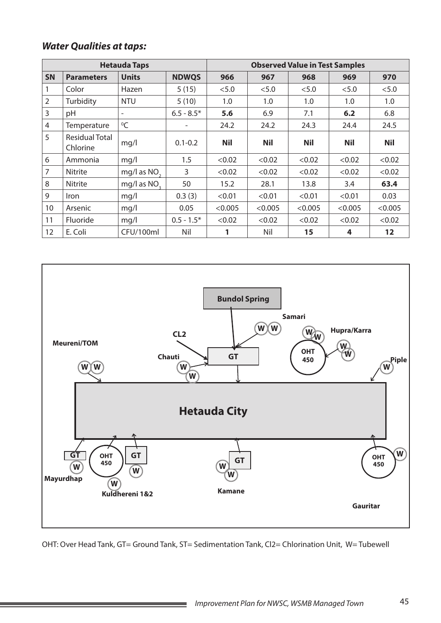|                | <b>Hetauda Taps</b>               |                          |              | <b>Observed Value in Test Samples</b> |            |            |            |            |
|----------------|-----------------------------------|--------------------------|--------------|---------------------------------------|------------|------------|------------|------------|
| <b>SN</b>      | <b>Parameters</b>                 | <b>Units</b>             | <b>NDWQS</b> | 966                                   | 967        | 968        | 969        | 970        |
|                | Color                             | Hazen                    | 5(15)        | < 5.0                                 | < 5.0      | < 5.0      | < 5.0      | < 5.0      |
| $\overline{2}$ | Turbidity                         | <b>NTU</b>               | 5(10)        | 1.0                                   | 1.0        | 1.0        | 1.0        | 1.0        |
| 3              | pH                                | $\overline{\phantom{a}}$ | $6.5 - 8.5*$ | 5.6                                   | 6.9        | 7.1        | 6.2        | 6.8        |
| 4              | Temperature                       | $^0C$                    |              | 24.2                                  | 24.2       | 24.3       | 24.4       | 24.5       |
| 5              | <b>Residual Total</b><br>Chlorine | mg/l                     | $0.1 - 0.2$  | <b>Nil</b>                            | <b>Nil</b> | <b>Nil</b> | <b>Nil</b> | <b>Nil</b> |
| 6              | Ammonia                           | mq/l                     | 1.5          | < 0.02                                | < 0.02     | < 0.02     | < 0.02     | < 0.02     |
| 7              | <b>Nitrite</b>                    | mg/l as $NO2$            | 3            | < 0.02                                | < 0.02     | < 0.02     | < 0.02     | < 0.02     |
| 8              | Nitrite                           | mg/l as NO <sub>2</sub>  | 50           | 15.2                                  | 28.1       | 13.8       | 3.4        | 63.4       |
| 9              | <i>Iron</i>                       | mq/1                     | 0.3(3)       | < 0.01                                | < 0.01     | < 0.01     | < 0.01     | 0.03       |
| 10             | Arsenic                           | mq/l                     | 0.05         | < 0.005                               | < 0.005    | < 0.005    | < 0.005    | < 0.005    |
| 11             | Fluoride                          | mq/1                     | $0.5 - 1.5*$ | < 0.02                                | < 0.02     | < 0.02     | < 0.02     | < 0.02     |
| 12             | E. Coli                           | CFU/100ml                | Nil          | 1                                     | Nil        | 15         | 4          | 12         |



OHT: Over Head Tank, GT= Ground Tank, ST= Sedimentation Tank, Cl2= Chlorination Unit, W= Tubewell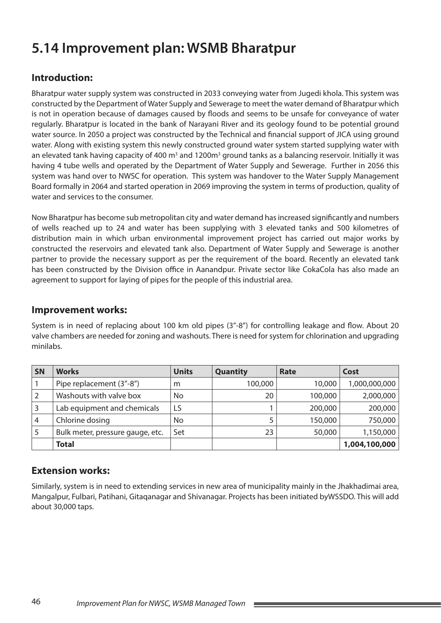# **5.14 Improvement plan: WSMB Bharatpur**

## **Introduction:**

Bharatpur water supply system was constructed in 2033 conveying water from Jugedi khola. This system was constructed by the Department of Water Supply and Sewerage to meet the water demand of Bharatpur which is not in operation because of damages caused by floods and seems to be unsafe for conveyance of water regularly. Bharatpur is located in the bank of Narayani River and its geology found to be potential ground water source. In 2050 a project was constructed by the Technical and financial support of JICA using ground water. Along with existing system this newly constructed ground water system started supplying water with an elevated tank having capacity of 400 m<sup>3</sup> and 1200m<sup>3</sup> ground tanks as a balancing reservoir. Initially it was having 4 tube wells and operated by the Department of Water Supply and Sewerage. Further in 2056 this system was hand over to NWSC for operation. This system was handover to the Water Supply Management Board formally in 2064 and started operation in 2069 improving the system in terms of production, quality of water and services to the consumer.

Now Bharatpur has become sub metropolitan city and water demand has increased significantly and numbers of wells reached up to 24 and water has been supplying with 3 elevated tanks and 500 kilometres of distribution main in which urban environmental improvement project has carried out major works by constructed the reservoirs and elevated tank also. Department of Water Supply and Sewerage is another partner to provide the necessary support as per the requirement of the board. Recently an elevated tank has been constructed by the Division office in Aanandpur. Private sector like CokaCola has also made an agreement to support for laying of pipes for the people of this industrial area.

#### **Improvement works:**

System is in need of replacing about 100 km old pipes (3"-8") for controlling leakage and flow. About 20 valve chambers are needed for zoning and washouts. There is need for system for chlorination and upgrading minilabs.

| <b>SN</b>      | <b>Works</b>                     | <b>Units</b>   | Quantity | Rate    | Cost          |
|----------------|----------------------------------|----------------|----------|---------|---------------|
|                | Pipe replacement (3"-8")         | m              | 100,000  | 10,000  | 1,000,000,000 |
| $\sqrt{2}$     | Washouts with valve box          | N <sub>o</sub> | 20       | 100,000 | 2,000,000     |
| $\overline{3}$ | Lab equipment and chemicals      | LS             |          | 200,000 | 200,000       |
| $\overline{4}$ | Chlorine dosing                  | No             |          | 150,000 | 750,000       |
| -5             | Bulk meter, pressure gauge, etc. | Set            | 23       | 50,000  | 1,150,000     |
|                | <b>Total</b>                     |                |          |         | 1,004,100,000 |

### **Extension works:**

Similarly, system is in need to extending services in new area of municipality mainly in the Jhakhadimai area, Mangalpur, Fulbari, Patihani, Gitaqanagar and Shivanagar. Projects has been initiated byWSSDO. This will add about 30,000 taps.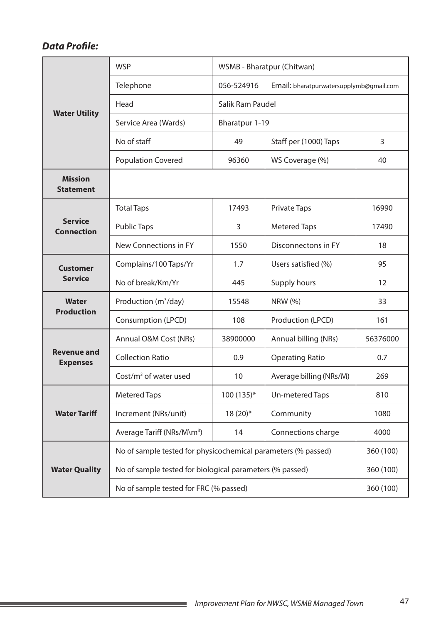|                                       | <b>WSP</b>                                                    |                  | WSMB - Bharatpur (Chitwan)              |                   |  |  |  |
|---------------------------------------|---------------------------------------------------------------|------------------|-----------------------------------------|-------------------|--|--|--|
|                                       | Telephone                                                     | 056-524916       | Email: bharatpurwatersupplymb@gmail.com |                   |  |  |  |
|                                       | Head                                                          | Salik Ram Paudel |                                         |                   |  |  |  |
| <b>Water Utility</b>                  | Service Area (Wards)                                          | Bharatpur 1-19   |                                         |                   |  |  |  |
|                                       | No of staff                                                   | 49               | Staff per (1000) Taps                   | 3                 |  |  |  |
|                                       | <b>Population Covered</b>                                     | 96360            | WS Coverage (%)                         | 40                |  |  |  |
| <b>Mission</b><br><b>Statement</b>    |                                                               |                  |                                         |                   |  |  |  |
|                                       | <b>Total Taps</b>                                             | 17493            | <b>Private Taps</b>                     | 16990             |  |  |  |
| <b>Service</b><br><b>Connection</b>   | <b>Public Taps</b>                                            | 3                | <b>Metered Taps</b>                     | 17490             |  |  |  |
|                                       | New Connections in FY                                         | 1550             | Disconnectons in FY                     | 18                |  |  |  |
| <b>Customer</b>                       | Complains/100 Taps/Yr                                         | 1.7              | Users satisfied (%)                     | 95                |  |  |  |
| <b>Service</b>                        | No of break/Km/Yr                                             | 445              | Supply hours                            | $12 \overline{ }$ |  |  |  |
| <b>Water</b>                          | Production (m <sup>3</sup> /day)                              | 15548            | <b>NRW (%)</b>                          | 33                |  |  |  |
| <b>Production</b>                     | Consumption (LPCD)                                            | 108              | Production (LPCD)                       | 161               |  |  |  |
|                                       | Annual O&M Cost (NRs)                                         | 38900000         | Annual billing (NRs)                    | 56376000          |  |  |  |
| <b>Revenue and</b><br><b>Expenses</b> | <b>Collection Ratio</b>                                       | 0.9              | <b>Operating Ratio</b>                  | 0.7               |  |  |  |
|                                       | $Cost/m3$ of water used                                       | 10               | Average billing (NRs/M)                 | 269               |  |  |  |
|                                       | <b>Metered Taps</b>                                           | 100 (135)*       | Un-metered Taps                         | 810               |  |  |  |
| <b>Water Tariff</b>                   | Increment (NRs/unit)                                          | $18(20)*$        | Community                               | 1080              |  |  |  |
|                                       | Average Tariff (NRs/M\m <sup>3</sup> )                        | 14               | Connections charge                      | 4000              |  |  |  |
|                                       | No of sample tested for physicochemical parameters (% passed) |                  |                                         | 360 (100)         |  |  |  |
| <b>Water Quality</b>                  | No of sample tested for biological parameters (% passed)      |                  |                                         | 360 (100)         |  |  |  |
|                                       | No of sample tested for FRC (% passed)                        | 360 (100)        |                                         |                   |  |  |  |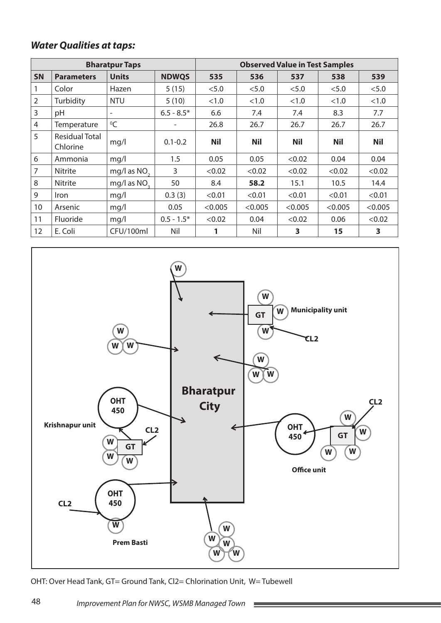|                |                                   | <b>Bharatpur Taps</b>    |              |            | <b>Observed Value in Test Samples</b> |            |            |            |
|----------------|-----------------------------------|--------------------------|--------------|------------|---------------------------------------|------------|------------|------------|
| <b>SN</b>      | <b>Parameters</b>                 | <b>Units</b>             | <b>NDWQS</b> | 535        | 536                                   | 537        | 538        | 539        |
|                | Color                             | Hazen                    | 5(15)        | < 5.0      | < 5.0                                 | < 5.0      | < 5.0      | < 5.0      |
| $\overline{2}$ | Turbidity                         | <b>NTU</b>               | 5(10)        | <1.0       | <1.0                                  | <1.0       | <1.0       | <1.0       |
| 3              | pH                                | $\overline{\phantom{a}}$ | $6.5 - 8.5*$ | 6.6        | 7.4                                   | 7.4        | 8.3        | 7.7        |
| 4              | Temperature                       | ${}^{0}C$                |              | 26.8       | 26.7                                  | 26.7       | 26.7       | 26.7       |
| 5              | <b>Residual Total</b><br>Chlorine | mq/l                     | $0.1 - 0.2$  | <b>Nil</b> | <b>Nil</b>                            | <b>Nil</b> | <b>Nil</b> | <b>Nil</b> |
| 6              | Ammonia                           | mq/1                     | 1.5          | 0.05       | 0.05                                  | < 0.02     | 0.04       | 0.04       |
| $\overline{7}$ | <b>Nitrite</b>                    | mg/l as $NO2$            | 3            | < 0.02     | < 0.02                                | < 0.02     | < 0.02     | < 0.02     |
| 8              | <b>Nitrite</b>                    | mg/l as $NO2$            | 50           | 8.4        | 58.2                                  | 15.1       | 10.5       | 14.4       |
| 9              | <i>Iron</i>                       | mq/l                     | 0.3(3)       | < 0.01     | < 0.01                                | < 0.01     | < 0.01     | < 0.01     |
| 10             | Arsenic                           | mq/l                     | 0.05         | < 0.005    | < 0.005                               | < 0.005    | < 0.005    | < 0.005    |
| 11             | <b>Fluoride</b>                   | mq/l                     | $0.5 - 1.5*$ | < 0.02     | 0.04                                  | < 0.02     | 0.06       | < 0.02     |
| 12             | E. Coli                           | CFU/100ml                | Nil          | 1          | Nil                                   | 3          | 15         | 3          |



OHT: Over Head Tank, GT= Ground Tank, Cl2= Chlorination Unit, W= Tubewell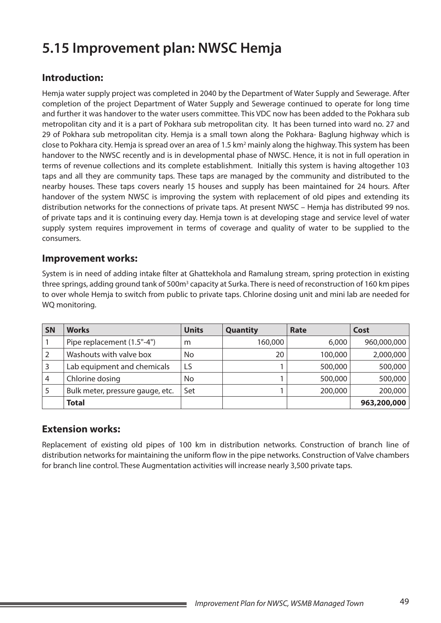# **5.15 Improvement plan: NWSC Hemja**

### **Introduction:**

Hemja water supply project was completed in 2040 by the Department of Water Supply and Sewerage. After completion of the project Department of Water Supply and Sewerage continued to operate for long time and further it was handover to the water users committee. This VDC now has been added to the Pokhara sub metropolitan city and it is a part of Pokhara sub metropolitan city. It has been turned into ward no. 27 and 29 of Pokhara sub metropolitan city. Hemja is a small town along the Pokhara- Baglung highway which is close to Pokhara city. Hemja is spread over an area of 1.5 km<sup>2</sup> mainly along the highway. This system has been handover to the NWSC recently and is in developmental phase of NWSC. Hence, it is not in full operation in terms of revenue collections and its complete establishment. Initially this system is having altogether 103 taps and all they are community taps. These taps are managed by the community and distributed to the nearby houses. These taps covers nearly 15 houses and supply has been maintained for 24 hours. After handover of the system NWSC is improving the system with replacement of old pipes and extending its distribution networks for the connections of private taps. At present NWSC – Hemja has distributed 99 nos. of private taps and it is continuing every day. Hemja town is at developing stage and service level of water supply system requires improvement in terms of coverage and quality of water to be supplied to the consumers.

#### **Improvement works:**

System is in need of adding intake filter at Ghattekhola and Ramalung stream, spring protection in existing three springs, adding ground tank of 500m<sup>3</sup> capacity at Surka. There is need of reconstruction of 160 km pipes to over whole Hemja to switch from public to private taps. Chlorine dosing unit and mini lab are needed for WQ monitoring.

| <b>SN</b> | <b>Works</b>                     | <b>Units</b> | <b>Quantity</b> | Rate    | Cost        |
|-----------|----------------------------------|--------------|-----------------|---------|-------------|
|           | Pipe replacement (1.5"-4")       | m            | 160,000         | 6,000   | 960,000,000 |
|           | Washouts with valve box          | No           | 20              | 100,000 | 2,000,000   |
|           | Lab equipment and chemicals      | LS           |                 | 500,000 | 500,000     |
| 4         | Chlorine dosing                  | No           |                 | 500,000 | 500,000     |
|           | Bulk meter, pressure gauge, etc. | Set          |                 | 200,000 | 200,000     |
|           | <b>Total</b>                     |              |                 |         | 963,200,000 |

### **Extension works:**

Replacement of existing old pipes of 100 km in distribution networks. Construction of branch line of distribution networks for maintaining the uniform flow in the pipe networks. Construction of Valve chambers for branch line control. These Augmentation activities will increase nearly 3,500 private taps.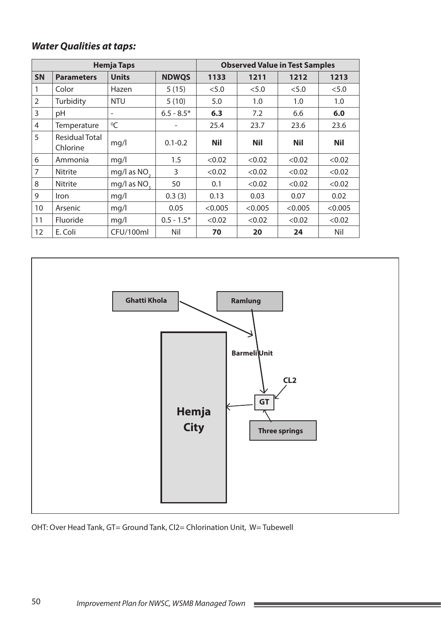|           |                            | <b>Hemja Taps</b>       |              |            |            | <b>Observed Value in Test Samples</b> |            |  |
|-----------|----------------------------|-------------------------|--------------|------------|------------|---------------------------------------|------------|--|
| <b>SN</b> | <b>Parameters</b>          | <b>Units</b>            | <b>NDWQS</b> | 1133       | 1211       | 1212                                  | 1213       |  |
| 1         | Color                      | Hazen                   | 5(15)        | < 5.0      | < 5.0      | < 5.0                                 | < 5.0      |  |
| 2         | Turbidity                  | <b>NTU</b>              | 5(10)        | 5.0        | 1.0        | 1.0                                   | 1.0        |  |
| 3         | pH                         | $\qquad \qquad -$       | $6.5 - 8.5*$ | 6.3        | 7.2        | 6.6                                   | 6.0        |  |
| 4         | Temperature                | ${}^{0}C$               |              | 25.4       | 23.7       | 23.6                                  | 23.6       |  |
| 5         | Residual Total<br>Chlorine | mq/l                    | $0.1 - 0.2$  | <b>Nil</b> | <b>Nil</b> | <b>Nil</b>                            | <b>Nil</b> |  |
| 6         | Ammonia                    | mq/l                    | 1.5          | < 0.02     | < 0.02     | < 0.02                                | < 0.02     |  |
| 7         | <b>Nitrite</b>             | mg/l as NO <sub>2</sub> | 3            | < 0.02     | < 0.02     | < 0.02                                | < 0.02     |  |
| 8         | <b>Nitrite</b>             | mg/l as NO <sub>2</sub> | 50           | 0.1        | < 0.02     | < 0.02                                | < 0.02     |  |
| 9         | <b>Iron</b>                | mg/l                    | 0.3(3)       | 0.13       | 0.03       | 0.07                                  | 0.02       |  |
| 10        | Arsenic                    | mq/l                    | 0.05         | < 0.005    | < 0.005    | < 0.005                               | < 0.005    |  |
| 11        | Fluoride                   | mq/l                    | $0.5 - 1.5*$ | < 0.02     | < 0.02     | < 0.02                                | < 0.02     |  |
| 12        | E. Coli                    | CFU/100ml               | Nil          | 70         | 20         | 24                                    | Nil        |  |



**Contract** 

OHT: Over Head Tank, GT= Ground Tank, Cl2= Chlorination Unit, W= Tubewell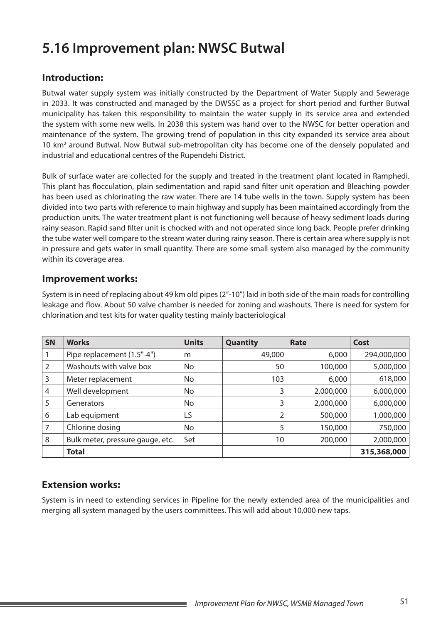# **5.16 Improvement plan: NWSC Butwal**

### **Introduction:**

Butwal water supply system was initially constructed by the Department of Water Supply and Sewerage in 2033. It was constructed and managed by the DWSSC as a project for short period and further Butwal municipality has taken this responsibility to maintain the water supply in its service area and extended the system with some new wells. In 2038 this system was hand over to the NWSC for better operation and maintenance of the system. The growing trend of population in this city expanded its service area about 10 km<sup>2</sup> around Butwal. Now Butwal sub-metropolitan city has become one of the densely populated and industrial and educational centres of the Rupendehi District.

Bulk of surface water are collected for the supply and treated in the treatment plant located in Ramphedi. This plant has flocculation, plain sedimentation and rapid sand filter unit operation and Bleaching powder has been used as chlorinating the raw water. There are 14 tube wells in the town. Supply system has been divided into two parts with reference to main highway and supply has been maintained accordingly from the production units. The water treatment plant is not functioning well because of heavy sediment loads during rainy season. Rapid sand filter unit is chocked with and not operated since long back. People prefer drinking the tube water well compare to the stream water during rainy season. There is certain area where supply is not in pressure and gets water in small quantity. There are some small system also managed by the community within its coverage area.

#### **Improvement works:**

System is in need of replacing about 49 km old pipes (2"-10") laid in both side of the main roads for controlling leakage and flow. About 50 valve chamber is needed for zoning and washouts. There is need for system for chlorination and test kits for water quality testing mainly bacteriological

| <b>SN</b> | <b>Works</b>                     | <b>Units</b> | <b>Quantity</b> | Rate      | Cost        |
|-----------|----------------------------------|--------------|-----------------|-----------|-------------|
|           | Pipe replacement (1.5"-4")       | m            | 49,000          | 6,000     | 294,000,000 |
| 2         | Washouts with valve box          | No           | 50              | 100,000   | 5,000,000   |
| 3         | Meter replacement                | No           | 103             | 6,000     | 618,000     |
| 4         | Well development                 | No           | 3               | 2,000,000 | 6,000,000   |
| 5         | Generators                       | No           | 3               | 2,000,000 | 6,000,000   |
| 6         | Lab equipment                    | LS           |                 | 500,000   | 1,000,000   |
|           | Chlorine dosing                  | No           | 5               | 150,000   | 750,000     |
| 8         | Bulk meter, pressure gauge, etc. | Set          | 10              | 200,000   | 2,000,000   |
|           | <b>Total</b>                     |              |                 |           | 315,368,000 |

### **Extension works:**

System is in need to extending services in Pipeline for the newly extended area of the municipalities and merging all system managed by the users committees. This will add about 10,000 new taps.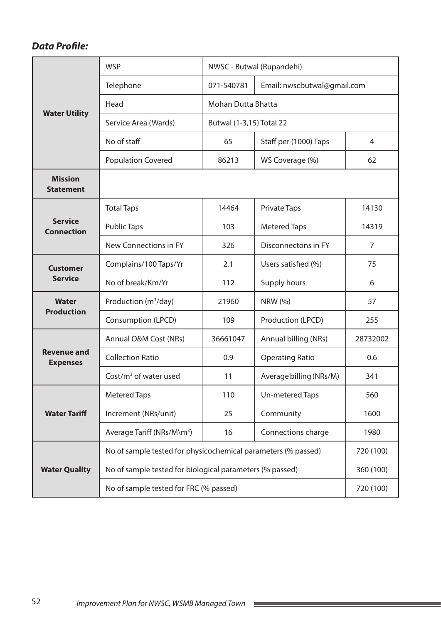|                                       | <b>WSP</b>                                                    |                          | NWSC - Butwal (Rupandehi)   |                |  |  |  |
|---------------------------------------|---------------------------------------------------------------|--------------------------|-----------------------------|----------------|--|--|--|
|                                       | Telephone                                                     | 071-540781               | Email: nwscbutwal@gmail.com |                |  |  |  |
|                                       | Head                                                          | Mohan Dutta Bhatta       |                             |                |  |  |  |
| <b>Water Utility</b>                  | Service Area (Wards)                                          | Butwal (1-3,15) Total 22 |                             |                |  |  |  |
|                                       | No of staff                                                   | 65                       | Staff per (1000) Taps       | $\overline{4}$ |  |  |  |
|                                       | <b>Population Covered</b>                                     | 86213                    | WS Coverage (%)             | 62             |  |  |  |
| <b>Mission</b><br><b>Statement</b>    |                                                               |                          |                             |                |  |  |  |
|                                       | <b>Total Taps</b>                                             | 14464                    | <b>Private Taps</b>         | 14130          |  |  |  |
| <b>Service</b><br><b>Connection</b>   | <b>Public Taps</b>                                            | 103                      | <b>Metered Taps</b>         | 14319          |  |  |  |
|                                       | New Connections in FY                                         | 326                      | Disconnectons in FY         | 7              |  |  |  |
| <b>Customer</b>                       | Complains/100 Taps/Yr                                         | 2.1                      | Users satisfied (%)         | 75             |  |  |  |
| <b>Service</b>                        | No of break/Km/Yr                                             | 112                      | Supply hours                | 6              |  |  |  |
| Water                                 | Production (m <sup>3</sup> /day)                              | 21960                    | <b>NRW (%)</b>              | 57             |  |  |  |
| <b>Production</b>                     | Consumption (LPCD)                                            | 109                      | Production (LPCD)           | 255            |  |  |  |
|                                       | Annual O&M Cost (NRs)                                         | 36661047                 | Annual billing (NRs)        | 28732002       |  |  |  |
| <b>Revenue and</b><br><b>Expenses</b> | <b>Collection Ratio</b>                                       | 0.9                      | <b>Operating Ratio</b>      | 0.6            |  |  |  |
|                                       | $Cost/m3$ of water used                                       | 11                       | Average billing (NRs/M)     | 341            |  |  |  |
|                                       | <b>Metered Taps</b>                                           | 110                      | Un-metered Taps             | 560            |  |  |  |
| <b>Water Tariff</b>                   | Increment (NRs/unit)                                          | 25                       | Community                   | 1600           |  |  |  |
|                                       | Average Tariff (NRs/M\m <sup>3</sup> )                        | 16                       | Connections charge          | 1980           |  |  |  |
|                                       | No of sample tested for physicochemical parameters (% passed) |                          |                             | 720 (100)      |  |  |  |
| <b>Water Quality</b>                  | No of sample tested for biological parameters (% passed)      |                          |                             | 360 (100)      |  |  |  |
|                                       | No of sample tested for FRC (% passed)                        |                          |                             | 720 (100)      |  |  |  |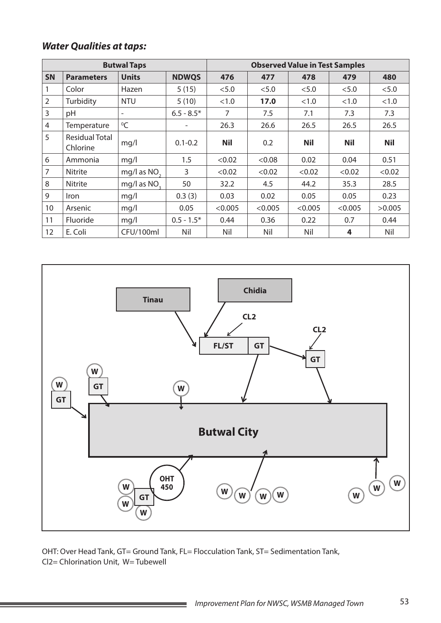|                |                                   | <b>Butwal Taps</b>       |              |                | <b>Observed Value in Test Samples</b> |            |            |            |
|----------------|-----------------------------------|--------------------------|--------------|----------------|---------------------------------------|------------|------------|------------|
| <b>SN</b>      | <b>Parameters</b>                 | <b>Units</b>             | <b>NDWQS</b> | 476            | 477                                   | 478        | 479        | 480        |
|                | Color                             | Hazen                    | 5(15)        | < 5.0          | < 5.0                                 | < 5.0      | < 5.0      | < 5.0      |
| $\overline{2}$ | Turbidity                         | <b>NTU</b>               | 5(10)        | <1.0           | 17.0                                  | < 1.0      | <1.0       | <1.0       |
| 3              | pH                                | $\overline{\phantom{a}}$ | $6.5 - 8.5*$ | $\overline{7}$ | 7.5                                   | 7.1        | 7.3        | 7.3        |
| $\overline{4}$ | Temperature                       | $^0C$                    |              | 26.3           | 26.6                                  | 26.5       | 26.5       | 26.5       |
| 5              | <b>Residual Total</b><br>Chlorine | mq/l                     | $0.1 - 0.2$  | <b>Nil</b>     | 0.2                                   | <b>Nil</b> | <b>Nil</b> | <b>Nil</b> |
| 6              | Ammonia                           | mq/l                     | 1.5          | < 0.02         | < 0.08                                | 0.02       | 0.04       | 0.51       |
| 7              | <b>Nitrite</b>                    | mg/l as $NO2$            | 3            | < 0.02         | < 0.02                                | < 0.02     | < 0.02     | < 0.02     |
| 8              | <b>Nitrite</b>                    | mg/l as NO <sub>2</sub>  | 50           | 32.2           | 4.5                                   | 44.2       | 35.3       | 28.5       |
| 9              | Iron                              | mq/l                     | 0.3(3)       | 0.03           | 0.02                                  | 0.05       | 0.05       | 0.23       |
| 10             | Arsenic                           | mq/1                     | 0.05         | < 0.005        | < 0.005                               | < 0.005    | < 0.005    | >0.005     |
| 11             | Fluoride                          | mq/1                     | $0.5 - 1.5*$ | 0.44           | 0.36                                  | 0.22       | 0.7        | 0.44       |
| 12             | E. Coli                           | CFU/100ml                | Nil          | Nil            | Nil                                   | Nil        | 4          | Nil        |



OHT: Over Head Tank, GT= Ground Tank, FL= Flocculation Tank, ST= Sedimentation Tank, Cl2= Chlorination Unit, W= Tubewell

**Service Control**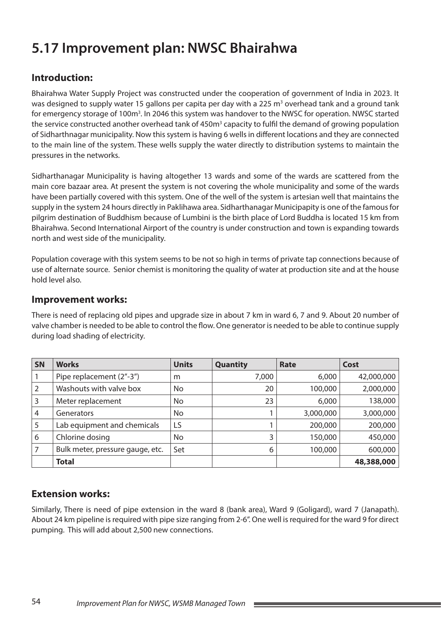# **5.17 Improvement plan: NWSC Bhairahwa**

## **Introduction:**

Bhairahwa Water Supply Project was constructed under the cooperation of government of India in 2023. It was designed to supply water 15 gallons per capita per day with a 225 m<sup>3</sup> overhead tank and a ground tank for emergency storage of 100m<sup>3</sup>. In 2046 this system was handover to the NWSC for operation. NWSC started the service constructed another overhead tank of 450m<sup>3</sup> capacity to fulfil the demand of growing population of Sidharthnagar municipality. Now this system is having 6 wells in different locations and they are connected to the main line of the system. These wells supply the water directly to distribution systems to maintain the pressures in the networks.

Sidharthanagar Municipality is having altogether 13 wards and some of the wards are scattered from the main core bazaar area. At present the system is not covering the whole municipality and some of the wards have been partially covered with this system. One of the well of the system is artesian well that maintains the supply in the system 24 hours directly in Paklihawa area. Sidharthanagar Municipapity is one of the famous for pilgrim destination of Buddhism because of Lumbini is the birth place of Lord Buddha is located 15 km from Bhairahwa. Second International Airport of the country is under construction and town is expanding towards north and west side of the municipality.

Population coverage with this system seems to be not so high in terms of private tap connections because of use of alternate source. Senior chemist is monitoring the quality of water at production site and at the house hold level also.

#### **Improvement works:**

There is need of replacing old pipes and upgrade size in about 7 km in ward 6, 7 and 9. About 20 number of valve chamber is needed to be able to control the flow. One generator is needed to be able to continue supply during load shading of electricity.

| $\overline{\mathsf{S}}$ N | <b>Works</b>                     | <b>Units</b>   | <b>Quantity</b> | Rate      | Cost       |
|---------------------------|----------------------------------|----------------|-----------------|-----------|------------|
|                           | Pipe replacement (2"-3")         | m              | 7,000           | 6,000     | 42,000,000 |
| $\overline{2}$            | Washouts with valve box          | N <sub>o</sub> | 20              | 100,000   | 2,000,000  |
| 3                         | Meter replacement                | No.            | 23              | 6,000     | 138,000    |
| $\overline{4}$            | Generators                       | No             |                 | 3,000,000 | 3,000,000  |
| 5                         | Lab equipment and chemicals      | LS.            |                 | 200,000   | 200,000    |
| 6                         | Chlorine dosing                  | No             | 3               | 150,000   | 450,000    |
| $\overline{7}$            | Bulk meter, pressure gauge, etc. | Set            | 6               | 100,000   | 600,000    |
|                           | <b>Total</b>                     |                |                 |           | 48,388,000 |

### **Extension works:**

Similarly, There is need of pipe extension in the ward 8 (bank area), Ward 9 (Goligard), ward 7 (Janapath). About 24 km pipeline is required with pipe size ranging from 2-6". One well is required for the ward 9 for direct pumping. This will add about 2,500 new connections.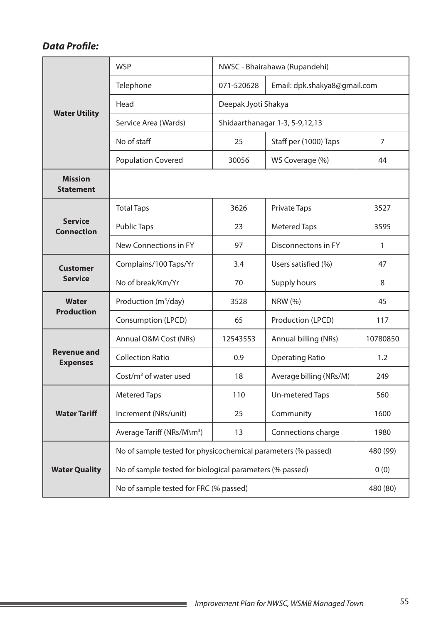|                                       | <b>WSP</b>                                                    | NWSC - Bhairahawa (Rupandehi)    |                              |                |  |  |
|---------------------------------------|---------------------------------------------------------------|----------------------------------|------------------------------|----------------|--|--|
|                                       | Telephone                                                     | 071-520628                       | Email: dpk.shakya8@gmail.com |                |  |  |
|                                       | Head                                                          | Deepak Jyoti Shakya              |                              |                |  |  |
| <b>Water Utility</b>                  | Service Area (Wards)                                          | Shidaarthanagar 1-3, 5-9, 12, 13 |                              |                |  |  |
|                                       | No of staff                                                   | 25                               | Staff per (1000) Taps        | $\overline{7}$ |  |  |
|                                       | <b>Population Covered</b>                                     | 30056                            | WS Coverage (%)              | 44             |  |  |
| <b>Mission</b><br><b>Statement</b>    |                                                               |                                  |                              |                |  |  |
|                                       | <b>Total Taps</b>                                             | 3626                             | <b>Private Taps</b>          | 3527           |  |  |
| <b>Service</b><br><b>Connection</b>   | <b>Public Taps</b>                                            | 23                               | <b>Metered Taps</b>          | 3595           |  |  |
|                                       | New Connections in FY                                         | 97                               | Disconnectons in FY          | 1              |  |  |
| <b>Customer</b>                       | Complains/100 Taps/Yr                                         | 3.4                              | Users satisfied (%)          | 47             |  |  |
| <b>Service</b>                        | No of break/Km/Yr                                             | 70                               | Supply hours                 | 8              |  |  |
| <b>Water</b>                          | Production (m <sup>3</sup> /day)                              | 3528                             | NRW (%)                      | 45             |  |  |
| <b>Production</b>                     | Consumption (LPCD)                                            | 65                               | Production (LPCD)            | 117            |  |  |
|                                       | Annual O&M Cost (NRs)                                         | 12543553                         | Annual billing (NRs)         | 10780850       |  |  |
| <b>Revenue and</b><br><b>Expenses</b> | <b>Collection Ratio</b>                                       | 0.9                              | <b>Operating Ratio</b>       | 1.2            |  |  |
|                                       | Cost/ $m3$ of water used                                      | 18                               | Average billing (NRs/M)      | 249            |  |  |
|                                       | <b>Metered Taps</b>                                           | 110                              | Un-metered Taps              | 560            |  |  |
| <b>Water Tariff</b>                   | Increment (NRs/unit)                                          | 25                               | Community                    | 1600           |  |  |
|                                       | Average Tariff (NRs/M\m <sup>3</sup> )                        | 13                               | Connections charge           | 1980           |  |  |
|                                       | No of sample tested for physicochemical parameters (% passed) |                                  |                              | 480 (99)       |  |  |
| <b>Water Quality</b>                  | No of sample tested for biological parameters (% passed)      |                                  |                              | 0(0)           |  |  |
|                                       | No of sample tested for FRC (% passed)                        | 480 (80)                         |                              |                |  |  |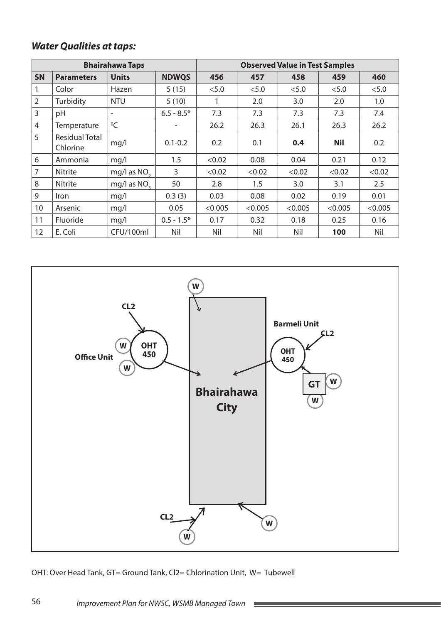|                |                                   | <b>Bhairahawa Taps</b>   |              | <b>Observed Value in Test Samples</b> |         |         |            |         |
|----------------|-----------------------------------|--------------------------|--------------|---------------------------------------|---------|---------|------------|---------|
| <b>SN</b>      | <b>Parameters</b>                 | <b>Units</b>             | <b>NDWQS</b> | 456                                   | 457     | 458     | 459        | 460     |
| 1              | Color                             | Hazen                    | 5(15)        | < 5.0                                 | < 5.0   | < 5.0   | < 5.0      | < 5.0   |
| $\overline{2}$ | Turbidity                         | <b>NTU</b>               | 5(10)        | 1                                     | 2.0     | 3.0     | 2.0        | 1.0     |
| 3              | pH                                | $\overline{\phantom{0}}$ | $6.5 - 8.5*$ | 7.3                                   | 7.3     | 7.3     | 7.3        | 7.4     |
| $\overline{4}$ | Temperature                       | $^0C$                    | -            | 26.2                                  | 26.3    | 26.1    | 26.3       | 26.2    |
| 5              | <b>Residual Total</b><br>Chlorine | mq/l                     | $0.1 - 0.2$  | 0.2                                   | 0.1     | 0.4     | <b>Nil</b> | 0.2     |
| 6              | Ammonia                           | mq/l                     | 1.5          | < 0.02                                | 0.08    | 0.04    | 0.21       | 0.12    |
| $\overline{7}$ | <b>Nitrite</b>                    | mg/l as NO <sub>2</sub>  | 3            | < 0.02                                | < 0.02  | < 0.02  | < 0.02     | < 0.02  |
| 8              | <b>Nitrite</b>                    | mg/l as NO <sub>2</sub>  | 50           | 2.8                                   | 1.5     | 3.0     | 3.1        | 2.5     |
| 9              | Iron                              | mq/1                     | 0.3(3)       | 0.03                                  | 0.08    | 0.02    | 0.19       | 0.01    |
| 10             | Arsenic                           | mq/l                     | 0.05         | < 0.005                               | < 0.005 | < 0.005 | < 0.005    | < 0.005 |
| 11             | Fluoride                          | mq/1                     | $0.5 - 1.5*$ | 0.17                                  | 0.32    | 0.18    | 0.25       | 0.16    |
| 12             | E. Coli                           | CFU/100ml                | Nil          | Nil                                   | Nil     | Nil     | 100        | Nil     |



OHT: Over Head Tank, GT= Ground Tank, Cl2= Chlorination Unit, W= Tubewell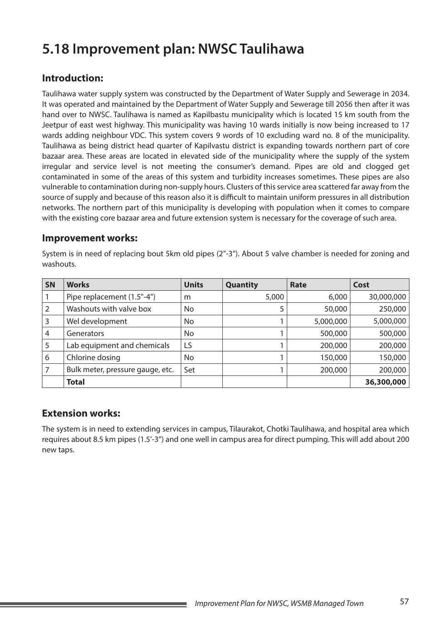# **5.18 Improvement plan: NWSC Taulihawa**

## **Introduction:**

Taulihawa water supply system was constructed by the Department of Water Supply and Sewerage in 2034. It was operated and maintained by the Department of Water Supply and Sewerage till 2056 then after it was hand over to NWSC. Taulihawa is named as Kapilbastu municipality which is located 15 km south from the Jeetpur of east west highway. This municipality was having 10 wards initially is now being increased to 17 wards adding neighbour VDC. This system covers 9 words of 10 excluding ward no. 8 of the municipality. Taulihawa as being district head quarter of Kapilvastu district is expanding towards northern part of core bazaar area. These areas are located in elevated side of the municipality where the supply of the system irregular and service level is not meeting the consumer's demand. Pipes are old and clogged get contaminated in some of the areas of this system and turbidity increases sometimes. These pipes are also vulnerable to contamination during non-supply hours. Clusters of this service area scattered far away from the source of supply and because of this reason also it is difficult to maintain uniform pressures in all distribution networks. The northern part of this municipality is developing with population when it comes to compare with the existing core bazaar area and future extension system is necessary for the coverage of such area.

#### **Improvement works:**

System is in need of replacing bout 5km old pipes (2"-3"). About 5 valve chamber is needed for zoning and washouts.

| <b>SN</b> | <b>Works</b>                     | <b>Units</b> | Quantity | Rate      | Cost       |
|-----------|----------------------------------|--------------|----------|-----------|------------|
|           | Pipe replacement (1.5"-4")       | m            | 5,000    | 6,000     | 30,000,000 |
| 2         | Washouts with valve box          | No           |          | 50,000    | 250,000    |
| 3         | Wel development                  | No           |          | 5,000,000 | 5,000,000  |
| 4         | Generators                       | No           |          | 500,000   | 500,000    |
| 5         | Lab equipment and chemicals      | LS           |          | 200,000   | 200,000    |
| 6         | Chlorine dosing                  | No           |          | 150,000   | 150,000    |
|           | Bulk meter, pressure gauge, etc. | Set          |          | 200,000   | 200,000    |
|           | <b>Total</b>                     |              |          |           | 36,300,000 |

### **Extension works:**

The system is in need to extending services in campus, Tilaurakot, Chotki Taulihawa, and hospital area which requires about 8.5 km pipes (1.5'-3") and one well in campus area for direct pumping. This will add about 200 new taps.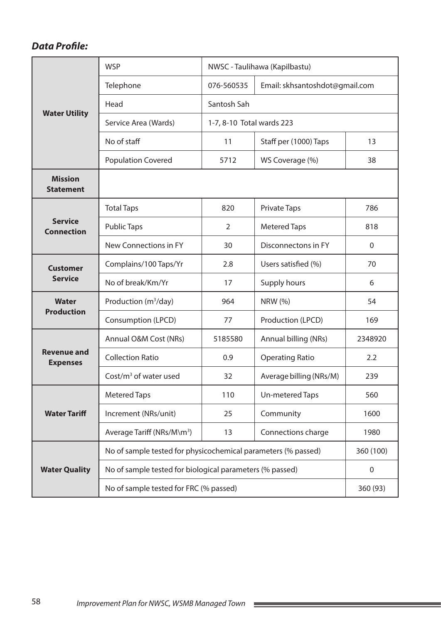|                                       | <b>WSP</b>                                                    | NWSC - Taulihawa (Kapilbastu) |                                |             |  |  |
|---------------------------------------|---------------------------------------------------------------|-------------------------------|--------------------------------|-------------|--|--|
|                                       | Telephone                                                     | 076-560535                    | Email: skhsantoshdot@gmail.com |             |  |  |
|                                       | Head                                                          | Santosh Sah                   |                                |             |  |  |
| <b>Water Utility</b>                  | Service Area (Wards)                                          | 1-7, 8-10 Total wards 223     |                                |             |  |  |
|                                       | No of staff                                                   | 11                            | Staff per (1000) Taps          | 13          |  |  |
|                                       | <b>Population Covered</b>                                     | 5712                          | WS Coverage (%)                | 38          |  |  |
| <b>Mission</b><br><b>Statement</b>    |                                                               |                               |                                |             |  |  |
|                                       | <b>Total Taps</b>                                             | 820                           | <b>Private Taps</b>            | 786         |  |  |
| <b>Service</b><br><b>Connection</b>   | <b>Public Taps</b>                                            | 2                             | <b>Metered Taps</b>            | 818         |  |  |
|                                       | New Connections in FY                                         | 30                            | Disconnectons in FY            | $\mathbf 0$ |  |  |
| <b>Customer</b>                       | Complains/100 Taps/Yr                                         | 2.8                           | Users satisfied (%)            | 70          |  |  |
| <b>Service</b>                        | No of break/Km/Yr                                             | 17                            | Supply hours                   | 6           |  |  |
| Water                                 | Production (m <sup>3</sup> /day)                              | 964                           | NRW (%)                        | 54          |  |  |
| <b>Production</b>                     | Consumption (LPCD)                                            | 77                            | Production (LPCD)              | 169         |  |  |
|                                       | Annual O&M Cost (NRs)                                         | 5185580                       | Annual billing (NRs)           | 2348920     |  |  |
| <b>Revenue and</b><br><b>Expenses</b> | <b>Collection Ratio</b>                                       | 0.9                           | <b>Operating Ratio</b>         | 2.2         |  |  |
|                                       | Cost/ $m3$ of water used                                      | 32                            | Average billing (NRs/M)        | 239         |  |  |
|                                       | <b>Metered Taps</b>                                           | 110                           | Un-metered Taps                | 560         |  |  |
| <b>Water Tariff</b>                   | Increment (NRs/unit)                                          | 25                            | Community                      | 1600        |  |  |
|                                       | Average Tariff (NRs/M\m <sup>3</sup> )                        | 13                            | Connections charge             | 1980        |  |  |
|                                       | No of sample tested for physicochemical parameters (% passed) |                               |                                | 360 (100)   |  |  |
| <b>Water Quality</b>                  | No of sample tested for biological parameters (% passed)      |                               |                                | $\mathbf 0$ |  |  |
|                                       | No of sample tested for FRC (% passed)                        | 360 (93)                      |                                |             |  |  |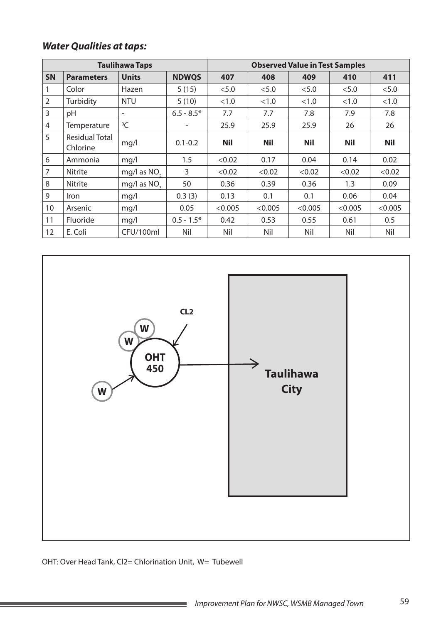|                |                                   | <b>Taulihawa Taps</b>    |              |            | <b>Observed Value in Test Samples</b> |            |            |            |
|----------------|-----------------------------------|--------------------------|--------------|------------|---------------------------------------|------------|------------|------------|
| <b>SN</b>      | <b>Parameters</b>                 | <b>Units</b>             | <b>NDWQS</b> | 407        | 408                                   | 409        | 410        | 411        |
| 1              | Color                             | Hazen                    | 5(15)        | < 5.0      | < 5.0                                 | < 5.0      | < 5.0      | < 5.0      |
| $\overline{2}$ | Turbidity                         | <b>NTU</b>               | 5(10)        | <1.0       | <1.0                                  | <1.0       | <1.0       | <1.0       |
| 3              | pH                                | $\overline{\phantom{a}}$ | $6.5 - 8.5*$ | 7.7        | 7.7                                   | 7.8        | 7.9        | 7.8        |
| 4              | Temperature                       | $^0C$                    |              | 25.9       | 25.9                                  | 25.9       | 26         | 26         |
| 5              | <b>Residual Total</b><br>Chlorine | mq/l                     | $0.1 - 0.2$  | <b>Nil</b> | <b>Nil</b>                            | <b>Nil</b> | <b>Nil</b> | <b>Nil</b> |
| 6              | Ammonia                           | mq/1                     | 1.5          | < 0.02     | 0.17                                  | 0.04       | 0.14       | 0.02       |
| 7              | <b>Nitrite</b>                    | mg/l as NO <sub>2</sub>  | 3            | < 0.02     | < 0.02                                | < 0.02     | < 0.02     | < 0.02     |
| 8              | <b>Nitrite</b>                    | mg/l as NO <sub>2</sub>  | 50           | 0.36       | 0.39                                  | 0.36       | 1.3        | 0.09       |
| 9              | Iron                              | mq/1                     | 0.3(3)       | 0.13       | 0.1                                   | 0.1        | 0.06       | 0.04       |
| 10             | Arsenic                           | mq/l                     | 0.05         | < 0.005    | < 0.005                               | < 0.005    | < 0.005    | < 0.005    |
| 11             | Fluoride                          | mq/l                     | $0.5 - 1.5*$ | 0.42       | 0.53                                  | 0.55       | 0.61       | 0.5        |
| 12             | E. Coli                           | CFU/100ml                | Nil          | Nil        | Nil                                   | Nil        | Nil        | Nil        |



OHT: Over Head Tank, Cl2= Chlorination Unit, W= Tubewell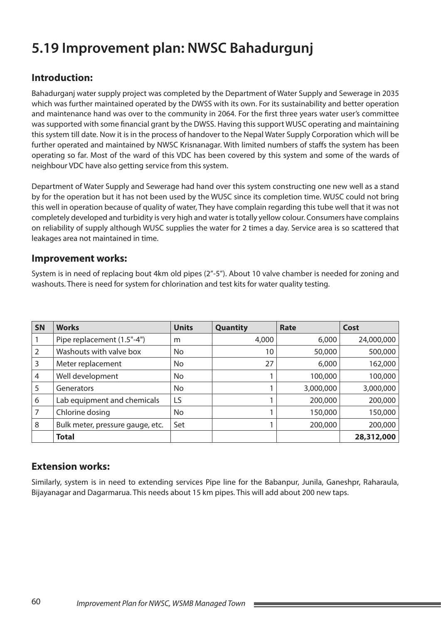# **5.19 Improvement plan: NWSC Bahadurgunj**

## **Introduction:**

Bahadurganj water supply project was completed by the Department of Water Supply and Sewerage in 2035 which was further maintained operated by the DWSS with its own. For its sustainability and better operation and maintenance hand was over to the community in 2064. For the first three years water user's committee was supported with some financial grant by the DWSS. Having this support WUSC operating and maintaining this system till date. Now it is in the process of handover to the Nepal Water Supply Corporation which will be further operated and maintained by NWSC Krisnanagar. With limited numbers of staffs the system has been operating so far. Most of the ward of this VDC has been covered by this system and some of the wards of neighbour VDC have also getting service from this system.

Department of Water Supply and Sewerage had hand over this system constructing one new well as a stand by for the operation but it has not been used by the WUSC since its completion time. WUSC could not bring this well in operation because of quality of water, They have complain regarding this tube well that it was not completely developed and turbidity is very high and water is totally yellow colour. Consumers have complains on reliability of supply although WUSC supplies the water for 2 times a day. Service area is so scattered that leakages area not maintained in time.

#### **Improvement works:**

System is in need of replacing bout 4km old pipes (2"-5"). About 10 valve chamber is needed for zoning and washouts. There is need for system for chlorination and test kits for water quality testing.

| <b>SN</b>      | <b>Works</b>                     | <b>Units</b> | Quantity | Rate      | Cost       |
|----------------|----------------------------------|--------------|----------|-----------|------------|
|                | Pipe replacement (1.5"-4")       | m            | 4,000    | 6,000     | 24,000,000 |
| 2              | Washouts with valve box          | No           | 10       | 50,000    | 500,000    |
| 3              | Meter replacement                | No           | 27       | 6,000     | 162,000    |
| $\overline{4}$ | Well development                 | No           |          | 100,000   | 100,000    |
| 5              | Generators                       | No           |          | 3,000,000 | 3,000,000  |
| 6              | Lab equipment and chemicals      | LS           |          | 200,000   | 200,000    |
| 7              | Chlorine dosing                  | No           |          | 150,000   | 150,000    |
| 8              | Bulk meter, pressure gauge, etc. | Set          |          | 200,000   | 200,000    |
|                | <b>Total</b>                     |              |          |           | 28,312,000 |

### **Extension works:**

Similarly, system is in need to extending services Pipe line for the Babanpur, Junila, Ganeshpr, Raharaula, Bijayanagar and Dagarmarua. This needs about 15 km pipes. This will add about 200 new taps.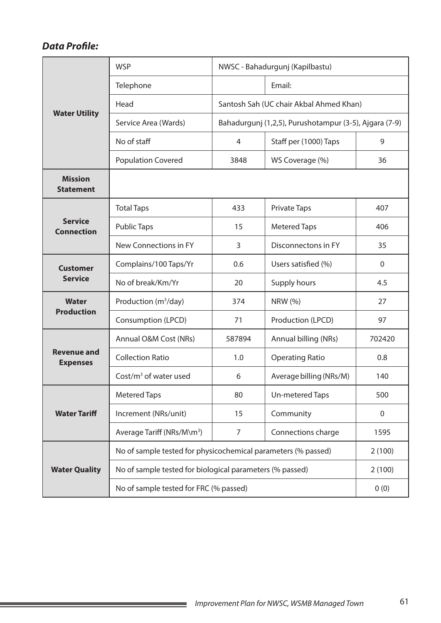|                                       | <b>WSP</b>                                                    | NWSC - Bahadurgunj (Kapilbastu)                        |                                         |              |  |  |
|---------------------------------------|---------------------------------------------------------------|--------------------------------------------------------|-----------------------------------------|--------------|--|--|
|                                       | Telephone                                                     |                                                        | Email:                                  |              |  |  |
|                                       | Head                                                          |                                                        | Santosh Sah (UC chair Akbal Ahmed Khan) |              |  |  |
| <b>Water Utility</b>                  | Service Area (Wards)                                          | Bahadurgunj (1,2,5), Purushotampur (3-5), Ajgara (7-9) |                                         |              |  |  |
|                                       | No of staff                                                   | 4                                                      | Staff per (1000) Taps                   | 9            |  |  |
|                                       | <b>Population Covered</b>                                     | 3848                                                   | WS Coverage (%)                         | 36           |  |  |
| <b>Mission</b><br><b>Statement</b>    |                                                               |                                                        |                                         |              |  |  |
|                                       | <b>Total Taps</b>                                             | 433                                                    | <b>Private Taps</b>                     | 407          |  |  |
| <b>Service</b><br><b>Connection</b>   | <b>Public Taps</b>                                            | 15                                                     | <b>Metered Taps</b>                     | 406          |  |  |
|                                       | New Connections in FY                                         | 3                                                      | Disconnectons in FY                     | 35           |  |  |
| <b>Customer</b>                       | Complains/100 Taps/Yr                                         | 0.6                                                    | Users satisfied (%)                     | $\mathbf{0}$ |  |  |
| <b>Service</b>                        | No of break/Km/Yr                                             | 20                                                     | Supply hours                            | 4.5          |  |  |
| <b>Water</b>                          | Production (m <sup>3</sup> /day)                              | 374                                                    | <b>NRW (%)</b>                          | 27           |  |  |
| <b>Production</b>                     | Consumption (LPCD)                                            | 71                                                     | Production (LPCD)                       | 97           |  |  |
|                                       | Annual O&M Cost (NRs)                                         | 587894                                                 | Annual billing (NRs)                    | 702420       |  |  |
| <b>Revenue and</b><br><b>Expenses</b> | <b>Collection Ratio</b>                                       | 1.0                                                    | <b>Operating Ratio</b>                  | 0.8          |  |  |
|                                       | Cost/ $m3$ of water used                                      | 6                                                      | Average billing (NRs/M)                 | 140          |  |  |
|                                       | <b>Metered Taps</b>                                           | 80                                                     | <b>Un-metered Taps</b>                  | 500          |  |  |
| <b>Water Tariff</b>                   | Increment (NRs/unit)                                          | 15                                                     | Community                               | $\mathbf 0$  |  |  |
|                                       | Average Tariff (NRs/M\m <sup>3</sup> )                        | 7                                                      | Connections charge                      | 1595         |  |  |
|                                       | No of sample tested for physicochemical parameters (% passed) |                                                        |                                         | 2(100)       |  |  |
| <b>Water Quality</b>                  | No of sample tested for biological parameters (% passed)      |                                                        |                                         | 2(100)       |  |  |
|                                       | No of sample tested for FRC (% passed)                        | 0(0)                                                   |                                         |              |  |  |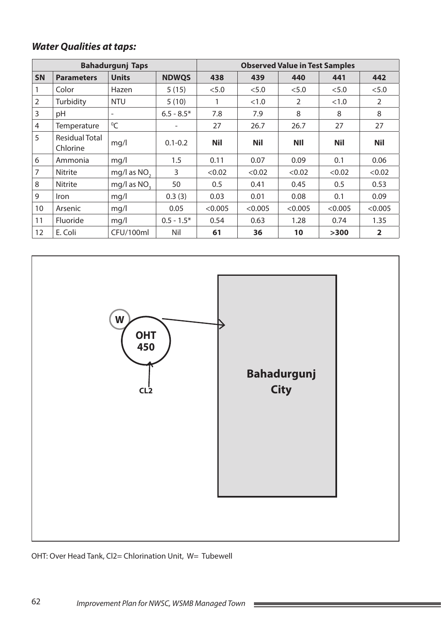|                |                                   | <b>Bahadurgunj Taps</b>  |                          |            | <b>Observed Value in Test Samples</b> |                |            |                |
|----------------|-----------------------------------|--------------------------|--------------------------|------------|---------------------------------------|----------------|------------|----------------|
| <b>SN</b>      | <b>Parameters</b>                 | <b>Units</b>             | <b>NDWQS</b>             | 438        | 439                                   | 440            | 441        | 442            |
|                | Color                             | Hazen                    | 5(15)                    | < 5.0      | < 5.0                                 | < 5.0          | < 5.0      | $<5.0$         |
| $\overline{2}$ | Turbidity                         | <b>NTU</b>               | 5(10)                    |            | <1.0                                  | $\overline{2}$ | <1.0       | $\overline{2}$ |
| $\overline{3}$ | pH                                | $\overline{\phantom{0}}$ | $6.5 - 8.5*$             | 7.8        | 7.9                                   | 8              | 8          | 8              |
| $\overline{4}$ | Temperature                       | ${}^{0}C$                | $\overline{\phantom{0}}$ | 27         | 26.7                                  | 26.7           | 27         | 27             |
| 5              | <b>Residual Total</b><br>Chlorine | mq/l                     | $0.1 - 0.2$              | <b>Nil</b> | <b>Nil</b>                            | <b>NII</b>     | <b>Nil</b> | <b>Nil</b>     |
| 6              | Ammonia                           | mq/l                     | 1.5                      | 0.11       | 0.07                                  | 0.09           | 0.1        | 0.06           |
| $\overline{7}$ | <b>Nitrite</b>                    | mg/l as NO <sub>2</sub>  | 3                        | < 0.02     | < 0.02                                | < 0.02         | < 0.02     | < 0.02         |
| 8              | Nitrite                           | mg/l as NO <sub>2</sub>  | 50                       | 0.5        | 0.41                                  | 0.45           | 0.5        | 0.53           |
| 9              | <i>Iron</i>                       | mq/l                     | 0.3(3)                   | 0.03       | 0.01                                  | 0.08           | 0.1        | 0.09           |
| 10             | Arsenic                           | mq/l                     | 0.05                     | < 0.005    | < 0.005                               | < 0.005        | < 0.005    | < 0.005        |
| 11             | Fluoride                          | mq/l                     | $0.5 - 1.5*$             | 0.54       | 0.63                                  | 1.28           | 0.74       | 1.35           |
| 12             | E. Coli                           | CFU/100ml                | Nil                      | 61         | 36                                    | 10             | >300       | $\overline{2}$ |



 $\sim$ 

OHT: Over Head Tank, Cl2= Chlorination Unit, W= Tubewell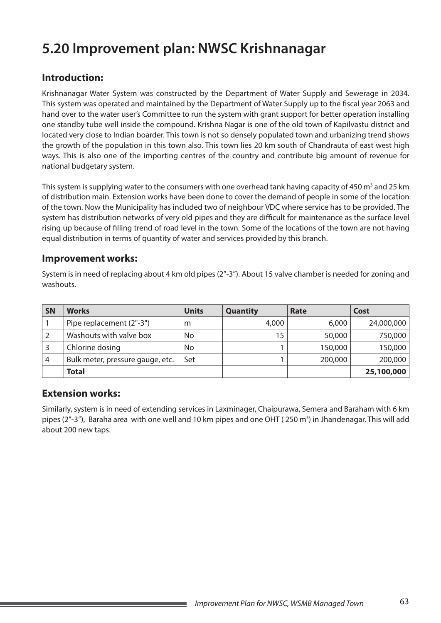# **5.20 Improvement plan: NWSC Krishnanagar**

## **Introduction:**

Krishnanagar Water System was constructed by the Department of Water Supply and Sewerage in 2034. This system was operated and maintained by the Department of Water Supply up to the fiscal year 2063 and hand over to the water user's Committee to run the system with grant support for better operation installing one standby tube well inside the compound. Krishna Nagar is one of the old town of Kapilvastu district and located very close to Indian boarder. This town is not so densely populated town and urbanizing trend shows the growth of the population in this town also. This town lies 20 km south of Chandrauta of east west high ways. This is also one of the importing centres of the country and contribute big amount of revenue for national budgetary system.

This system is supplying water to the consumers with one overhead tank having capacity of 450  $m^3$  and 25 km of distribution main. Extension works have been done to cover the demand of people in some of the location of the town. Now the Municipality has included two of neighbour VDC where service has to be provided. The system has distribution networks of very old pipes and they are difficult for maintenance as the surface level rising up because of filling trend of road level in the town. Some of the locations of the town are not having equal distribution in terms of quantity of water and services provided by this branch.

#### **Improvement works:**

System is in need of replacing about 4 km old pipes (2"-3"). About 15 valve chamber is needed for zoning and washouts.

| <b>SN</b> | <b>Works</b>                     | <b>Units</b> | <b>Quantity</b> | Rate    | Cost       |
|-----------|----------------------------------|--------------|-----------------|---------|------------|
|           | Pipe replacement (2"-3")         | m            | 4,000           | 6,000   | 24,000,000 |
|           | Washouts with valve box          | No           | 15              | 50,000  | 750,000    |
|           | Chlorine dosing                  | No           |                 | 150,000 | 150,000    |
| 4         | Bulk meter, pressure gauge, etc. | Set          |                 | 200,000 | 200,000    |
|           | <b>Total</b>                     |              |                 |         | 25,100,000 |

### **Extension works:**

Similarly, system is in need of extending services in Laxminager, Chaipurawa, Semera and Baraham with 6 km pipes (2"-3"), Baraha area with one well and 10 km pipes and one OHT (250 m<sup>3</sup>) in Jhandenagar. This will add about 200 new taps.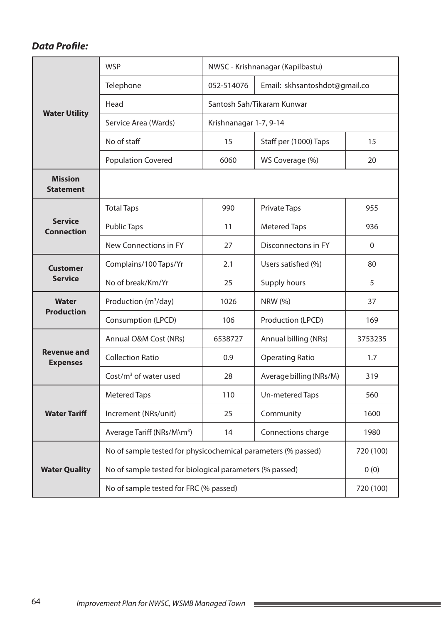|                                       | <b>WSP</b>                                                    | NWSC - Krishnanagar (Kapilbastu) |                               |           |  |  |
|---------------------------------------|---------------------------------------------------------------|----------------------------------|-------------------------------|-----------|--|--|
|                                       | Telephone                                                     | 052-514076                       | Email: skhsantoshdot@gmail.co |           |  |  |
|                                       | Head                                                          |                                  | Santosh Sah/Tikaram Kunwar    |           |  |  |
| <b>Water Utility</b>                  | Service Area (Wards)                                          | Krishnanagar 1-7, 9-14           |                               |           |  |  |
|                                       | No of staff                                                   | 15                               | Staff per (1000) Taps         | 15        |  |  |
|                                       | <b>Population Covered</b>                                     | 6060                             | WS Coverage (%)               | 20        |  |  |
| <b>Mission</b><br><b>Statement</b>    |                                                               |                                  |                               |           |  |  |
|                                       | <b>Total Taps</b>                                             | 990                              | <b>Private Taps</b>           | 955       |  |  |
| <b>Service</b><br><b>Connection</b>   | <b>Public Taps</b>                                            | 11                               | <b>Metered Taps</b>           | 936       |  |  |
|                                       | New Connections in FY                                         | 27                               | Disconnectons in FY           | $\Omega$  |  |  |
| <b>Customer</b>                       | Complains/100 Taps/Yr                                         | 2.1                              | Users satisfied (%)           | 80        |  |  |
| <b>Service</b>                        | No of break/Km/Yr                                             | 25                               | Supply hours                  | 5         |  |  |
| <b>Water</b>                          | Production (m <sup>3</sup> /day)                              | 1026                             | <b>NRW (%)</b>                | 37        |  |  |
| <b>Production</b>                     | Consumption (LPCD)                                            | 106                              | Production (LPCD)             | 169       |  |  |
|                                       | Annual O&M Cost (NRs)                                         | 6538727                          | Annual billing (NRs)          | 3753235   |  |  |
| <b>Revenue and</b><br><b>Expenses</b> | <b>Collection Ratio</b>                                       | 0.9                              | <b>Operating Ratio</b>        | 1.7       |  |  |
|                                       | $Cost/m3$ of water used                                       | 28                               | Average billing (NRs/M)       | 319       |  |  |
|                                       | <b>Metered Taps</b>                                           | 110                              | Un-metered Taps               | 560       |  |  |
| <b>Water Tariff</b>                   | Increment (NRs/unit)                                          | 25                               | Community                     | 1600      |  |  |
|                                       | Average Tariff (NRs/M\m <sup>3</sup> )                        | 14                               | Connections charge            | 1980      |  |  |
|                                       | No of sample tested for physicochemical parameters (% passed) |                                  |                               | 720 (100) |  |  |
| <b>Water Quality</b>                  | No of sample tested for biological parameters (% passed)      |                                  |                               | 0(0)      |  |  |
|                                       | No of sample tested for FRC (% passed)                        | 720 (100)                        |                               |           |  |  |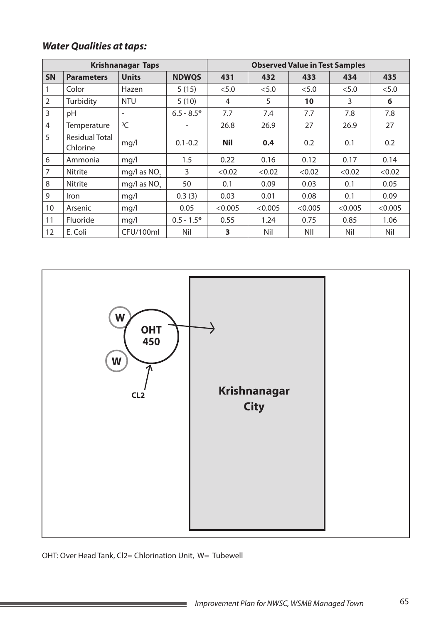|                |                                   | <b>Krishnanagar Taps</b> |              |            | <b>Observed Value in Test Samples</b> |            |         |         |
|----------------|-----------------------------------|--------------------------|--------------|------------|---------------------------------------|------------|---------|---------|
| <b>SN</b>      | <b>Parameters</b>                 | <b>Units</b>             | <b>NDWQS</b> | 431        | 432                                   | 433        | 434     | 435     |
|                | Color                             | Hazen                    | 5(15)        | < 5.0      | < 5.0                                 | < 5.0      | < 5.0   | < 5.0   |
| $\overline{2}$ | Turbidity                         | <b>NTU</b>               | 5(10)        | 4          | 5                                     | 10         | 3       | 6       |
| 3              | pH                                | $\overline{\phantom{a}}$ | $6.5 - 8.5*$ | 7.7        | 7.4                                   | 7.7        | 7.8     | 7.8     |
| 4              | Temperature                       | ${}^{0}C$                |              | 26.8       | 26.9                                  | 27         | 26.9    | 27      |
| 5              | <b>Residual Total</b><br>Chlorine | mq/l                     | $0.1 - 0.2$  | <b>Nil</b> | 0.4                                   | 0.2        | 0.1     | 0.2     |
| 6              | Ammonia                           | mq/l                     | 1.5          | 0.22       | 0.16                                  | 0.12       | 0.17    | 0.14    |
| 7              | <b>Nitrite</b>                    | mg/l as NO <sub>2</sub>  | 3            | < 0.02     | < 0.02                                | < 0.02     | < 0.02  | < 0.02  |
| 8              | Nitrite                           | mg/l as NO <sub>2</sub>  | 50           | 0.1        | 0.09                                  | 0.03       | 0.1     | 0.05    |
| 9              | Iron                              | mq/l                     | 0.3(3)       | 0.03       | 0.01                                  | 0.08       | 0.1     | 0.09    |
| 10             | Arsenic                           | mq/l                     | 0.05         | < 0.005    | < 0.005                               | < 0.005    | < 0.005 | < 0.005 |
| 11             | Fluoride                          | mq/l                     | $0.5 - 1.5*$ | 0.55       | 1.24                                  | 0.75       | 0.85    | 1.06    |
| 12             | E. Coli                           | CFU/100ml                | Nil          | 3          | Nil                                   | <b>NII</b> | Nil     | Nil     |



OHT: Over Head Tank, Cl2= Chlorination Unit, W= Tubewell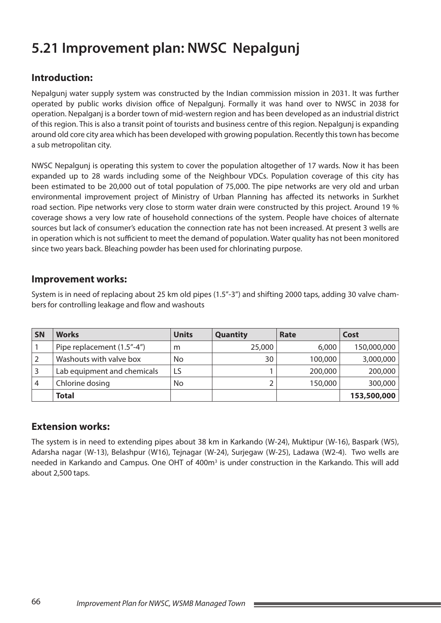# **5.21 Improvement plan: NWSC Nepalgunj**

## **Introduction:**

Nepalgunj water supply system was constructed by the Indian commission mission in 2031. It was further operated by public works division office of Nepalgunj. Formally it was hand over to NWSC in 2038 for operation. Nepalganj is a border town of mid-western region and has been developed as an industrial district of this region. This is also a transit point of tourists and business centre of this region. Nepalgunj is expanding around old core city area which has been developed with growing population. Recently this town has become a sub metropolitan city.

NWSC Nepalgunj is operating this system to cover the population altogether of 17 wards. Now it has been expanded up to 28 wards including some of the Neighbour VDCs. Population coverage of this city has been estimated to be 20,000 out of total population of 75,000. The pipe networks are very old and urban environmental improvement project of Ministry of Urban Planning has affected its networks in Surkhet road section. Pipe networks very close to storm water drain were constructed by this project. Around 19 % coverage shows a very low rate of household connections of the system. People have choices of alternate sources but lack of consumer's education the connection rate has not been increased. At present 3 wells are in operation which is not sufficient to meet the demand of population. Water quality has not been monitored since two years back. Bleaching powder has been used for chlorinating purpose.

### **Improvement works:**

System is in need of replacing about 25 km old pipes (1.5"-3") and shifting 2000 taps, adding 30 valve chambers for controlling leakage and flow and washouts

| SN | <b>Works</b>                | <b>Units</b> | <b>Quantity</b> | Rate    | Cost        |
|----|-----------------------------|--------------|-----------------|---------|-------------|
|    | Pipe replacement (1.5"-4")  | m            | 25,000          | 6,000   | 150,000,000 |
|    | Washouts with valve box     | No           | 30              | 100,000 | 3,000,000   |
|    | Lab equipment and chemicals | LS           |                 | 200,000 | 200,000     |
| 4  | Chlorine dosing             | No           |                 | 150,000 | 300,000     |
|    | <b>Total</b>                |              |                 |         | 153,500,000 |

### **Extension works:**

The system is in need to extending pipes about 38 km in Karkando (W-24), Muktipur (W-16), Baspark (W5), Adarsha nagar (W-13), Belashpur (W16), Tejnagar (W-24), Surjegaw (W-25), Ladawa (W2-4). Two wells are needed in Karkando and Campus. One OHT of 400m<sup>3</sup> is under construction in the Karkando. This will add about 2,500 taps.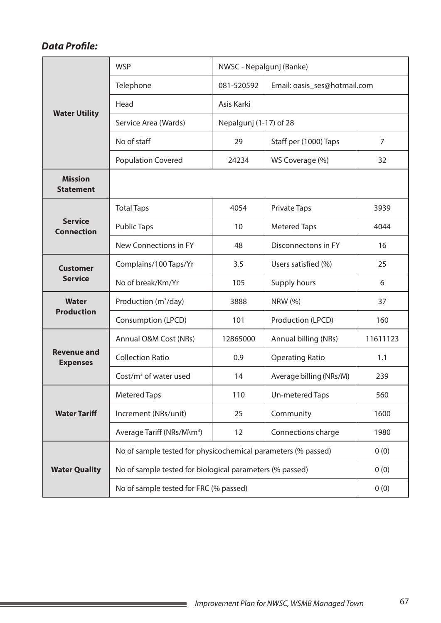## *Data Profile:*

|                                       | <b>WSP</b>                                                         | NWSC - Nepalgunj (Banke) |                              |          |  |  |  |
|---------------------------------------|--------------------------------------------------------------------|--------------------------|------------------------------|----------|--|--|--|
|                                       | Telephone                                                          | 081-520592               | Email: oasis_ses@hotmail.com |          |  |  |  |
|                                       | Head<br>Asis Karki                                                 |                          |                              |          |  |  |  |
| <b>Water Utility</b>                  | Service Area (Wards)                                               | Nepalgunj (1-17) of 28   |                              |          |  |  |  |
|                                       | No of staff                                                        | 29                       | Staff per (1000) Taps        | 7        |  |  |  |
|                                       | <b>Population Covered</b>                                          | 24234                    | WS Coverage (%)              | 32       |  |  |  |
| <b>Mission</b><br><b>Statement</b>    |                                                                    |                          |                              |          |  |  |  |
|                                       | <b>Total Taps</b>                                                  | 4054                     | <b>Private Taps</b>          | 3939     |  |  |  |
| <b>Service</b><br><b>Connection</b>   | <b>Public Taps</b>                                                 | 10                       | <b>Metered Taps</b>          | 4044     |  |  |  |
|                                       | New Connections in FY                                              | 48                       | Disconnectons in FY          | 16       |  |  |  |
| <b>Customer</b>                       | Complains/100 Taps/Yr                                              | 3.5                      | Users satisfied (%)          | 25       |  |  |  |
| <b>Service</b>                        | No of break/Km/Yr                                                  | 105                      | Supply hours                 | 6        |  |  |  |
| <b>Water</b>                          | Production $(m^3/day)$                                             | 3888                     | <b>NRW (%)</b>               | 37       |  |  |  |
| <b>Production</b>                     | Consumption (LPCD)                                                 | 101                      | Production (LPCD)            | 160      |  |  |  |
|                                       | Annual O&M Cost (NRs)                                              | 12865000                 | Annual billing (NRs)         | 11611123 |  |  |  |
| <b>Revenue and</b><br><b>Expenses</b> | <b>Collection Ratio</b>                                            | 0.9                      | <b>Operating Ratio</b>       | 1.1      |  |  |  |
|                                       | Cost/ $m3$ of water used                                           | 14                       | Average billing (NRs/M)      | 239      |  |  |  |
|                                       | <b>Metered Taps</b>                                                | 110                      | Un-metered Taps              | 560      |  |  |  |
| <b>Water Tariff</b>                   | Increment (NRs/unit)                                               | 25                       | Community                    | 1600     |  |  |  |
|                                       | Average Tariff (NRs/M\m <sup>3</sup> )<br>Connections charge<br>12 |                          |                              | 1980     |  |  |  |
|                                       | No of sample tested for physicochemical parameters (% passed)      | 0(0)                     |                              |          |  |  |  |
| <b>Water Quality</b>                  | No of sample tested for biological parameters (% passed)           |                          |                              | 0(0)     |  |  |  |
|                                       | No of sample tested for FRC (% passed)                             | 0(0)                     |                              |          |  |  |  |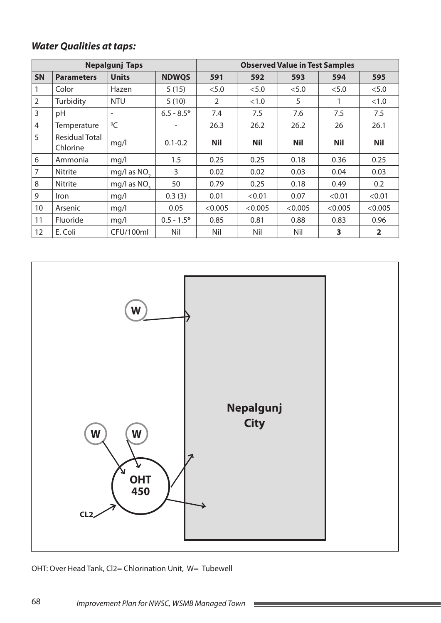# *Water Qualities at taps:*

| <b>Nepalgunj Taps</b> |                                   |                         |              | <b>Observed Value in Test Samples</b> |            |            |            |                |
|-----------------------|-----------------------------------|-------------------------|--------------|---------------------------------------|------------|------------|------------|----------------|
| <b>SN</b>             | <b>Parameters</b>                 | <b>Units</b>            | <b>NDWQS</b> | 591                                   | 592        | 593        | 594        | 595            |
| 1                     | Color                             | Hazen                   | 5(15)        | < 5.0                                 | < 5.0      | < 5.0      | < 5.0      | < 5.0          |
| $\overline{2}$        | Turbidity                         | <b>NTU</b>              | 5(10)        | $\overline{2}$                        | <1.0       | 5          |            | <1.0           |
| 3                     | pH                                | ۰                       | $6.5 - 8.5*$ | 7.4                                   | 7.5        | 7.6        | 7.5        | 7.5            |
| 4                     | Temperature                       | ${}^{0}C$               |              | 26.3                                  | 26.2       | 26.2       | 26         | 26.1           |
| 5                     | <b>Residual Total</b><br>Chlorine | mq/l                    | $0.1 - 0.2$  | <b>Nil</b>                            | <b>Nil</b> | <b>Nil</b> | <b>Nil</b> | <b>Nil</b>     |
| 6                     | Ammonia                           | mq/l                    | 1.5          | 0.25                                  | 0.25       | 0.18       | 0.36       | 0.25           |
| $\overline{7}$        | <b>Nitrite</b>                    | mg/l as NO <sub>2</sub> | 3            | 0.02                                  | 0.02       | 0.03       | 0.04       | 0.03           |
| 8                     | Nitrite                           | mg/l as NO <sub>2</sub> | 50           | 0.79                                  | 0.25       | 0.18       | 0.49       | 0.2            |
| 9                     | <i>Iron</i>                       | mq/l                    | 0.3(3)       | 0.01                                  | < 0.01     | 0.07       | < 0.01     | < 0.01         |
| 10                    | Arsenic                           | mq/l                    | 0.05         | < 0.005                               | < 0.005    | < 0.005    | < 0.005    | < 0.005        |
| 11                    | <b>Fluoride</b>                   | mq/l                    | $0.5 - 1.5*$ | 0.85                                  | 0.81       | 0.88       | 0.83       | 0.96           |
| 12                    | E. Coli                           | CFU/100ml               | Nil          | Nil                                   | Nil        | Nil        | 3          | $\overline{2}$ |



**Contract** 

OHT: Over Head Tank, Cl2= Chlorination Unit, W= Tubewell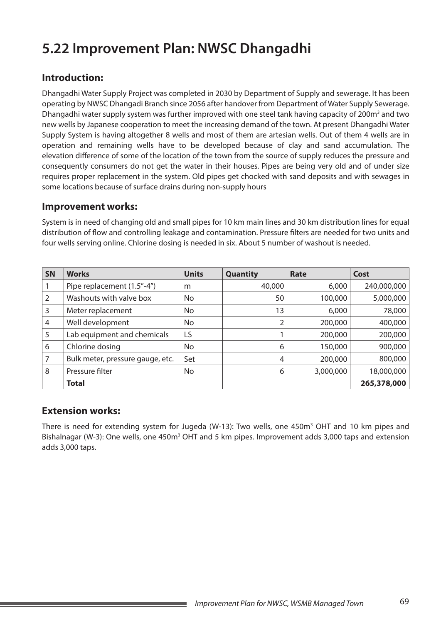# **5.22 Improvement Plan: NWSC Dhangadhi**

### **Introduction:**

Dhangadhi Water Supply Project was completed in 2030 by Department of Supply and sewerage. It has been operating by NWSC Dhangadi Branch since 2056 after handover from Department of Water Supply Sewerage. Dhangadhi water supply system was further improved with one steel tank having capacity of 200m<sup>3</sup> and two new wells by Japanese cooperation to meet the increasing demand of the town. At present Dhangadhi Water Supply System is having altogether 8 wells and most of them are artesian wells. Out of them 4 wells are in operation and remaining wells have to be developed because of clay and sand accumulation. The elevation difference of some of the location of the town from the source of supply reduces the pressure and consequently consumers do not get the water in their houses. Pipes are being very old and of under size requires proper replacement in the system. Old pipes get chocked with sand deposits and with sewages in some locations because of surface drains during non-supply hours

#### **Improvement works:**

System is in need of changing old and small pipes for 10 km main lines and 30 km distribution lines for equal distribution of flow and controlling leakage and contamination. Pressure filters are needed for two units and four wells serving online. Chlorine dosing is needed in six. About 5 number of washout is needed.

| <b>SN</b> | <b>Works</b>                     | <b>Units</b> | <b>Quantity</b> | Rate      | Cost        |
|-----------|----------------------------------|--------------|-----------------|-----------|-------------|
|           | Pipe replacement (1.5"-4")       | m            | 40,000          | 6,000     | 240,000,000 |
|           | Washouts with valve box          | No           | 50              | 100,000   | 5,000,000   |
| 3         | Meter replacement                | No           | 13              | 6,000     | 78,000      |
| 4         | Well development                 | No           |                 | 200,000   | 400,000     |
| 5         | Lab equipment and chemicals      | LS           |                 | 200,000   | 200,000     |
| 6         | Chlorine dosing                  | No           | 6               | 150,000   | 900,000     |
|           | Bulk meter, pressure gauge, etc. | Set          | 4               | 200,000   | 800,000     |
| 8         | Pressure filter                  | No           | 6               | 3,000,000 | 18,000,000  |
|           | <b>Total</b>                     |              |                 |           | 265,378,000 |

### **Extension works:**

There is need for extending system for Jugeda (W-13): Two wells, one 450m<sup>3</sup> OHT and 10 km pipes and Bishalnagar (W-3): One wells, one 450m<sup>3</sup> OHT and 5 km pipes. Improvement adds 3,000 taps and extension adds 3,000 taps.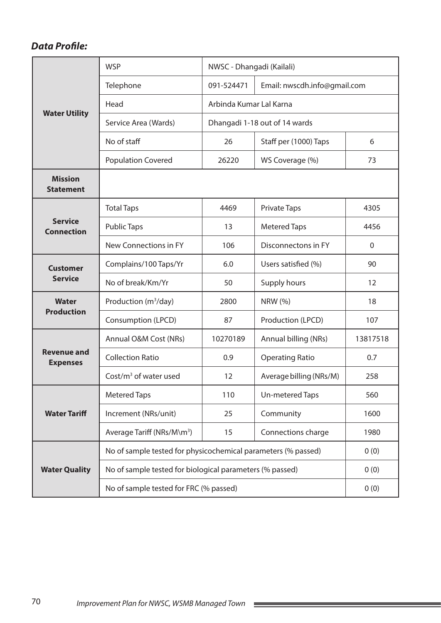## *Data Profile:*

|                                       | <b>WSP</b>                                                    | NWSC - Dhangadi (Kailali) |                              |                   |  |  |
|---------------------------------------|---------------------------------------------------------------|---------------------------|------------------------------|-------------------|--|--|
|                                       | Telephone                                                     | 091-524471                | Email: nwscdh.info@gmail.com |                   |  |  |
| <b>Water Utility</b>                  | Head                                                          |                           |                              |                   |  |  |
|                                       | Service Area (Wards)                                          |                           |                              |                   |  |  |
|                                       | No of staff                                                   | 26                        | Staff per (1000) Taps        | 6                 |  |  |
|                                       | <b>Population Covered</b>                                     | 26220                     | WS Coverage (%)              | 73                |  |  |
| <b>Mission</b><br><b>Statement</b>    |                                                               |                           |                              |                   |  |  |
|                                       | <b>Total Taps</b>                                             | 4469                      | <b>Private Taps</b>          | 4305              |  |  |
| <b>Service</b><br><b>Connection</b>   | <b>Public Taps</b>                                            | 13                        | <b>Metered Taps</b>          | 4456              |  |  |
|                                       | New Connections in FY                                         | 106                       | Disconnectons in FY          | $\mathbf 0$       |  |  |
| <b>Customer</b>                       | Complains/100 Taps/Yr                                         | 6.0                       | Users satisfied (%)          | 90                |  |  |
| <b>Service</b>                        | No of break/Km/Yr                                             | 50                        | Supply hours                 | $12 \overline{ }$ |  |  |
| Water                                 | Production (m <sup>3</sup> /day)                              | 2800                      | <b>NRW</b> (%)               | 18                |  |  |
| <b>Production</b>                     | Consumption (LPCD)                                            | 87                        | Production (LPCD)            | 107               |  |  |
|                                       | Annual O&M Cost (NRs)                                         | 10270189                  | Annual billing (NRs)         | 13817518          |  |  |
| <b>Revenue and</b><br><b>Expenses</b> | <b>Collection Ratio</b>                                       | 0.9                       | <b>Operating Ratio</b>       | 0.7               |  |  |
|                                       | $Cost/m3$ of water used                                       | 12                        | Average billing (NRs/M)      | 258               |  |  |
|                                       | <b>Metered Taps</b>                                           | 110                       | Un-metered Taps              | 560               |  |  |
| <b>Water Tariff</b>                   | Increment (NRs/unit)                                          | 25                        | Community                    | 1600              |  |  |
|                                       | Average Tariff (NRs/M\m <sup>3</sup> )                        | Connections charge        | 1980                         |                   |  |  |
|                                       | No of sample tested for physicochemical parameters (% passed) | 0(0)                      |                              |                   |  |  |
| <b>Water Quality</b>                  | No of sample tested for biological parameters (% passed)      |                           |                              | 0(0)              |  |  |
|                                       | No of sample tested for FRC (% passed)                        | 0(0)                      |                              |                   |  |  |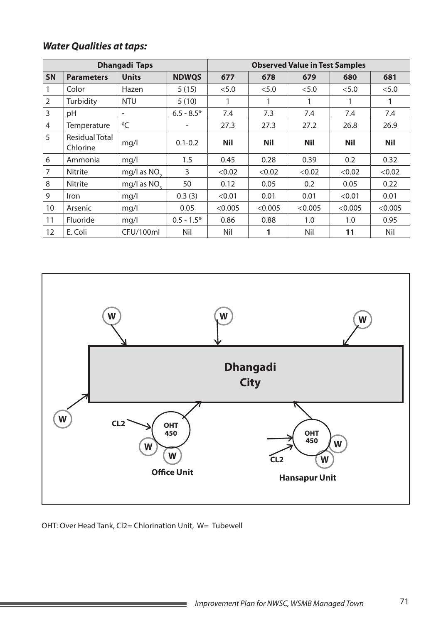# *Water Qualities at taps:*

| <b>Dhangadi Taps</b> |                                   |                          |              | <b>Observed Value in Test Samples</b> |            |            |            |            |
|----------------------|-----------------------------------|--------------------------|--------------|---------------------------------------|------------|------------|------------|------------|
| <b>SN</b>            | <b>Parameters</b>                 | <b>Units</b>             | <b>NDWQS</b> | 677                                   | 678        | 679        | 680        | 681        |
|                      | Color                             | Hazen                    | 5(15)        | < 5.0                                 | < 5.0      | < 5.0      | < 5.0      | < 5.0      |
| $\overline{2}$       | Turbidity                         | <b>NTU</b>               | 5(10)        |                                       |            | 1          | 1          | 1          |
| 3                    | pH                                | $\overline{\phantom{a}}$ | $6.5 - 8.5*$ | 7.4                                   | 7.3        | 7.4        | 7.4        | 7.4        |
| 4                    | Temperature                       | ${}^{0}C$                |              | 27.3                                  | 27.3       | 27.2       | 26.8       | 26.9       |
| 5                    | <b>Residual Total</b><br>Chlorine | mg/l                     | $0.1 - 0.2$  | <b>Nil</b>                            | <b>Nil</b> | <b>Nil</b> | <b>Nil</b> | <b>Nil</b> |
| 6                    | Ammonia                           | mq/l                     | 1.5          | 0.45                                  | 0.28       | 0.39       | 0.2        | 0.32       |
| 7                    | <b>Nitrite</b>                    | mg/l as NO <sub>2</sub>  | 3            | < 0.02                                | < 0.02     | < 0.02     | < 0.02     | < 0.02     |
| 8                    | Nitrite                           | mg/l as NO <sub>2</sub>  | 50           | 0.12                                  | 0.05       | 0.2        | 0.05       | 0.22       |
| 9                    | Iron                              | mq/l                     | 0.3(3)       | < 0.01                                | 0.01       | 0.01       | < 0.01     | 0.01       |
| 10                   | Arsenic                           | mq/l                     | 0.05         | < 0.005                               | < 0.005    | < 0.005    | < 0.005    | < 0.005    |
| 11                   | Fluoride                          | mq/l                     | $0.5 - 1.5*$ | 0.86                                  | 0.88       | 1.0        | 1.0        | 0.95       |
| 12                   | E. Coli                           | CFU/100ml                | Nil          | Nil                                   | 1          | Nil        | 11         | Nil        |



OHT: Over Head Tank, Cl2= Chlorination Unit, W= Tubewell

**Service State**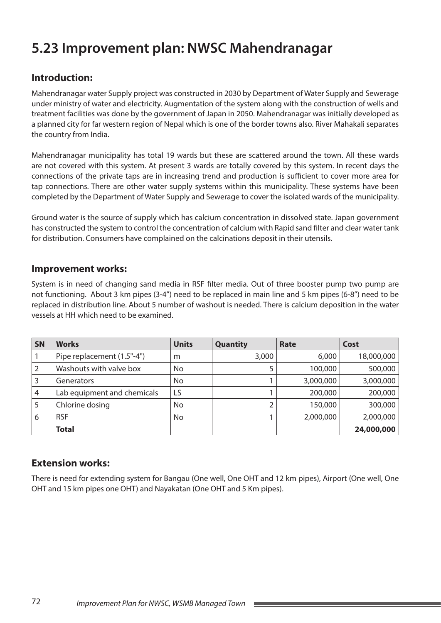# **5.23 Improvement plan: NWSC Mahendranagar**

## **Introduction:**

Mahendranagar water Supply project was constructed in 2030 by Department of Water Supply and Sewerage under ministry of water and electricity. Augmentation of the system along with the construction of wells and treatment facilities was done by the government of Japan in 2050. Mahendranagar was initially developed as a planned city for far western region of Nepal which is one of the border towns also. River Mahakali separates the country from India.

Mahendranagar municipality has total 19 wards but these are scattered around the town. All these wards are not covered with this system. At present 3 wards are totally covered by this system. In recent days the connections of the private taps are in increasing trend and production is sufficient to cover more area for tap connections. There are other water supply systems within this municipality. These systems have been completed by the Department of Water Supply and Sewerage to cover the isolated wards of the municipality.

Ground water is the source of supply which has calcium concentration in dissolved state. Japan government has constructed the system to control the concentration of calcium with Rapid sand filter and clear water tank for distribution. Consumers have complained on the calcinations deposit in their utensils.

#### **Improvement works:**

System is in need of changing sand media in RSF filter media. Out of three booster pump two pump are not functioning. About 3 km pipes (3-4") need to be replaced in main line and 5 km pipes (6-8") need to be replaced in distribution line. About 5 number of washout is needed. There is calcium deposition in the water vessels at HH which need to be examined.

| SN | <b>Works</b>                | <b>Units</b> | Quantity | Rate      | Cost       |
|----|-----------------------------|--------------|----------|-----------|------------|
|    | Pipe replacement (1.5"-4")  | m            | 3,000    | 6,000     | 18,000,000 |
|    | Washouts with valve box     | No           |          | 100,000   | 500,000    |
| 3  | <b>Generators</b>           | No           |          | 3,000,000 | 3,000,000  |
| 4  | Lab equipment and chemicals | LS           |          | 200,000   | 200,000    |
| 5  | Chlorine dosing             | No           |          | 150,000   | 300,000    |
| 6  | <b>RSF</b>                  | No           |          | 2,000,000 | 2,000,000  |
|    | <b>Total</b>                |              |          |           | 24,000,000 |

#### **Extension works:**

There is need for extending system for Bangau (One well, One OHT and 12 km pipes), Airport (One well, One OHT and 15 km pipes one OHT) and Nayakatan (One OHT and 5 Km pipes).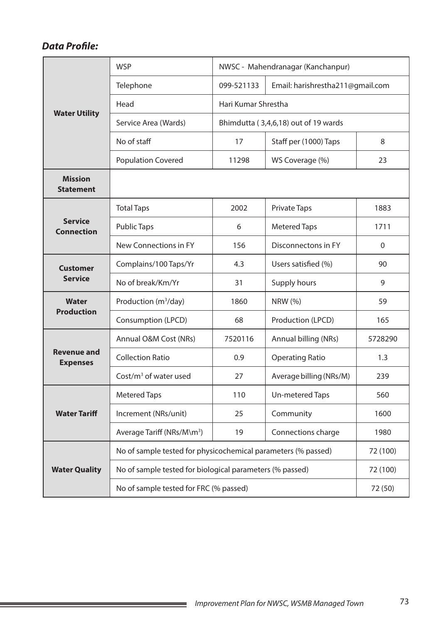## *Data Profile:*

|                                       | <b>WSP</b>                                                    |            | NWSC - Mahendranagar (Kanchanpur) |              |  |  |
|---------------------------------------|---------------------------------------------------------------|------------|-----------------------------------|--------------|--|--|
|                                       | Telephone                                                     | 099-521133 | Email: harishrestha211@gmail.com  |              |  |  |
|                                       | Head                                                          |            |                                   |              |  |  |
| <b>Water Utility</b>                  | Service Area (Wards)                                          |            |                                   |              |  |  |
|                                       | No of staff                                                   | 17         | Staff per (1000) Taps             | 8            |  |  |
|                                       | <b>Population Covered</b>                                     | 11298      | WS Coverage (%)                   | 23           |  |  |
| <b>Mission</b><br><b>Statement</b>    |                                                               |            |                                   |              |  |  |
|                                       | <b>Total Taps</b>                                             | 2002       | <b>Private Taps</b>               | 1883         |  |  |
| <b>Service</b><br><b>Connection</b>   | <b>Public Taps</b>                                            | 6          | <b>Metered Taps</b>               | 1711         |  |  |
|                                       | New Connections in FY                                         | 156        | Disconnectons in FY               | $\mathbf{0}$ |  |  |
| <b>Customer</b>                       | Complains/100 Taps/Yr                                         | 4.3        | Users satisfied (%)               | 90           |  |  |
| <b>Service</b>                        | No of break/Km/Yr                                             | 31         | Supply hours                      | 9            |  |  |
| <b>Water</b>                          | Production (m <sup>3</sup> /day)                              | 1860       | NRW (%)                           | 59           |  |  |
| <b>Production</b>                     | Consumption (LPCD)                                            | 68         | Production (LPCD)                 | 165          |  |  |
|                                       | Annual O&M Cost (NRs)                                         | 7520116    | Annual billing (NRs)              | 5728290      |  |  |
| <b>Revenue and</b><br><b>Expenses</b> | <b>Collection Ratio</b>                                       | 0.9        | <b>Operating Ratio</b>            | 1.3          |  |  |
|                                       | Cost/ $m3$ of water used                                      | 27         | Average billing (NRs/M)           | 239          |  |  |
|                                       | <b>Metered Taps</b>                                           | 110        | Un-metered Taps                   | 560          |  |  |
| <b>Water Tariff</b>                   | Increment (NRs/unit)                                          | 25         | Community                         | 1600         |  |  |
|                                       | Average Tariff (NRs/M\m <sup>3</sup> )                        | 1980       |                                   |              |  |  |
|                                       | No of sample tested for physicochemical parameters (% passed) | 72 (100)   |                                   |              |  |  |
| <b>Water Quality</b>                  | No of sample tested for biological parameters (% passed)      | 72 (100)   |                                   |              |  |  |
|                                       | No of sample tested for FRC (% passed)                        | 72 (50)    |                                   |              |  |  |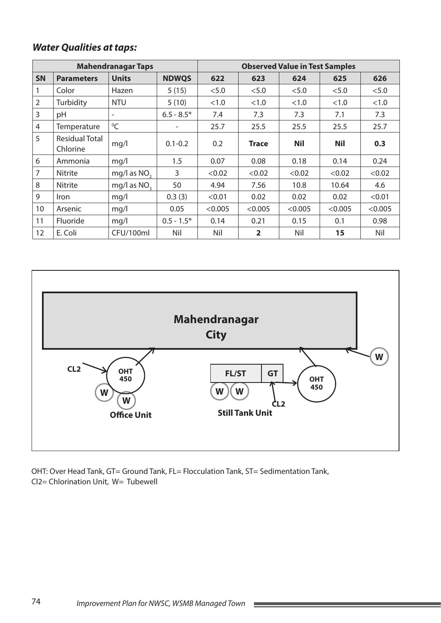### *Water Qualities at taps:*

| <b>Mahendranagar Taps</b> |                                   |                          |              | <b>Observed Value in Test Samples</b> |                |            |            |         |
|---------------------------|-----------------------------------|--------------------------|--------------|---------------------------------------|----------------|------------|------------|---------|
| <b>SN</b>                 | <b>Parameters</b>                 | <b>Units</b>             | <b>NDWQS</b> | 622                                   | 623            | 624        | 625        | 626     |
|                           | Color                             | Hazen                    | 5(15)        | < 5.0                                 | < 5.0          | < 5.0      | < 5.0      | < 5.0   |
| 2                         | Turbidity                         | <b>NTU</b>               | 5(10)        | < 1.0                                 | <1.0           | < 1.0      | <1.0       | < 1.0   |
| 3                         | pH                                | $\overline{\phantom{a}}$ | $6.5 - 8.5*$ | 7.4                                   | 7.3            | 7.3        | 7.1        | 7.3     |
| 4                         | Temperature                       | $\mathrm{O}C$            | -            | 25.7                                  | 25.5           | 25.5       | 25.5       | 25.7    |
| 5                         | <b>Residual Total</b><br>Chlorine | mq/l                     | $0.1 - 0.2$  | 0.2                                   | <b>Trace</b>   | <b>Nil</b> | <b>Nil</b> | 0.3     |
| 6                         | Ammonia                           | mq/l                     | 1.5          | 0.07                                  | 0.08           | 0.18       | 0.14       | 0.24    |
| 7                         | <b>Nitrite</b>                    | mg/l as $NO2$            | 3            | < 0.02                                | < 0.02         | < 0.02     | < 0.02     | < 0.02  |
| 8                         | <b>Nitrite</b>                    | mg/l as NO <sub>2</sub>  | 50           | 4.94                                  | 7.56           | 10.8       | 10.64      | 4.6     |
| 9                         | <i>Iron</i>                       | mq/l                     | 0.3(3)       | < 0.01                                | 0.02           | 0.02       | 0.02       | < 0.01  |
| 10                        | Arsenic                           | mq/l                     | 0.05         | < 0.005                               | < 0.005        | < 0.005    | < 0.005    | < 0.005 |
| 11                        | <b>Fluoride</b>                   | mq/l                     | $0.5 - 1.5*$ | 0.14                                  | 0.21           | 0.15       | 0.1        | 0.98    |
| 12                        | E. Coli                           | CFU/100ml                | Nil          | Nil                                   | $\overline{2}$ | Nil        | 15         | Nil     |



OHT: Over Head Tank, GT= Ground Tank, FL= Flocculation Tank, ST= Sedimentation Tank, Cl2= Chlorination Unit, W= Tubewell